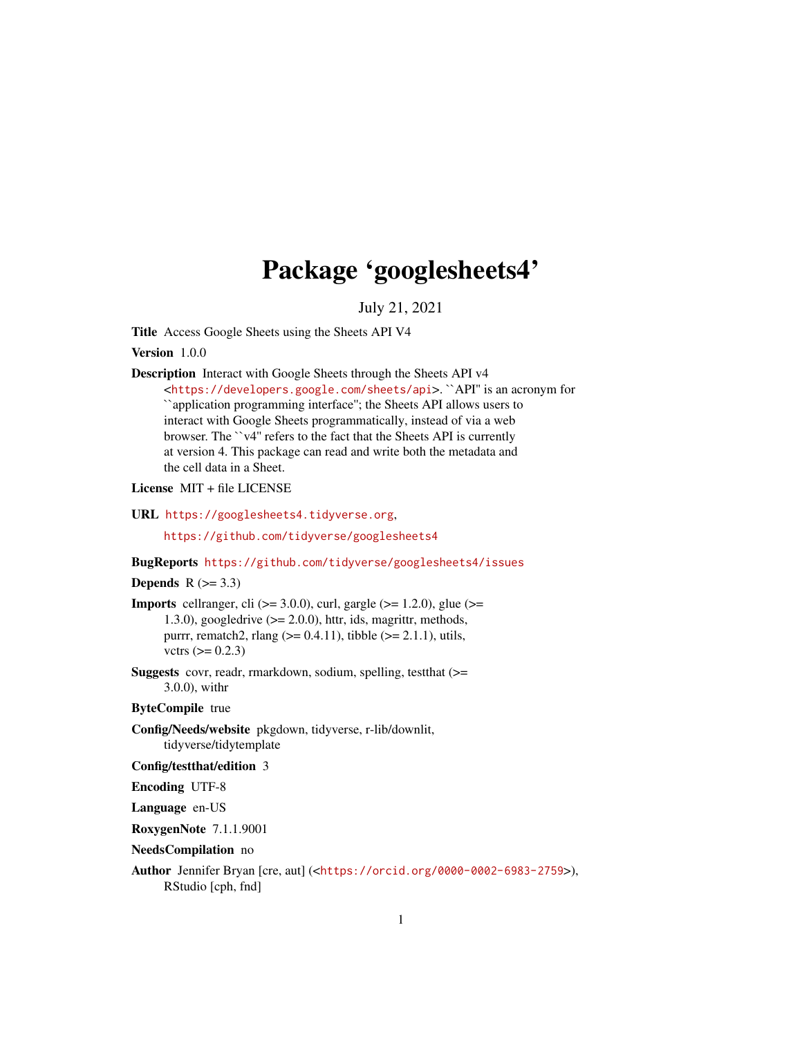# Package 'googlesheets4'

July 21, 2021

<span id="page-0-0"></span>Title Access Google Sheets using the Sheets API V4

Version 1.0.0

Description Interact with Google Sheets through the Sheets API v4 <<https://developers.google.com/sheets/api>>. ``API'' is an acronym for ``application programming interface''; the Sheets API allows users to interact with Google Sheets programmatically, instead of via a web browser. The ``v4'' refers to the fact that the Sheets API is currently at version 4. This package can read and write both the metadata and the cell data in a Sheet.

License MIT + file LICENSE

URL <https://googlesheets4.tidyverse.org>,

<https://github.com/tidyverse/googlesheets4>

BugReports <https://github.com/tidyverse/googlesheets4/issues>

## Depends  $R$  ( $>= 3.3$ )

**Imports** cellranger, cli ( $>= 3.0.0$ ), curl, gargle ( $>= 1.2.0$ ), glue ( $>= 1.2$ ) 1.3.0), googledrive  $(>= 2.0.0)$ , httr, ids, magrittr, methods, purrr, rematch2, rlang ( $> = 0.4.11$ ), tibble ( $> = 2.1.1$ ), utils, vctrs  $(>= 0.2.3)$ 

Suggests covr, readr, rmarkdown, sodium, spelling, testthat (>= 3.0.0), withr

## ByteCompile true

Config/Needs/website pkgdown, tidyverse, r-lib/downlit, tidyverse/tidytemplate

Config/testthat/edition 3

Encoding UTF-8

Language en-US

RoxygenNote 7.1.1.9001

#### NeedsCompilation no

Author Jennifer Bryan [cre, aut] (<<https://orcid.org/0000-0002-6983-2759>>), RStudio [cph, fnd]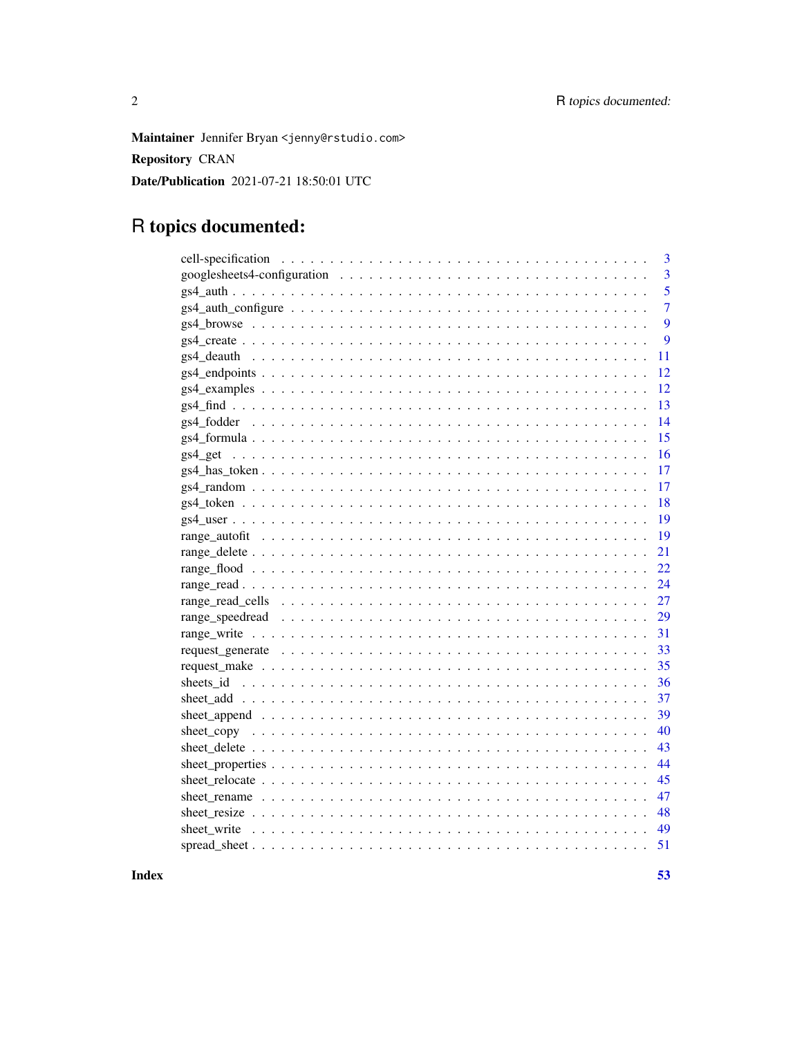Maintainer Jennifer Bryan <jenny@rstudio.com>

**Repository CRAN** 

Date/Publication 2021-07-21 18:50:01 UTC

## R topics documented:

|                                                                                                          | 3              |
|----------------------------------------------------------------------------------------------------------|----------------|
|                                                                                                          | 3              |
|                                                                                                          | 5              |
|                                                                                                          | $\overline{7}$ |
|                                                                                                          | 9              |
|                                                                                                          | 9              |
|                                                                                                          | 11             |
|                                                                                                          | 12             |
|                                                                                                          | 12             |
|                                                                                                          | 13             |
|                                                                                                          | 14             |
|                                                                                                          | 15             |
| gs4 get                                                                                                  | 16             |
|                                                                                                          | 17             |
|                                                                                                          | 17             |
|                                                                                                          | 18             |
|                                                                                                          | 19             |
|                                                                                                          | 19             |
|                                                                                                          | 21             |
|                                                                                                          | 22             |
|                                                                                                          | 24             |
|                                                                                                          | 27             |
|                                                                                                          | 29             |
|                                                                                                          | 31             |
|                                                                                                          | 33             |
|                                                                                                          | 35             |
|                                                                                                          | 36             |
|                                                                                                          | 37             |
|                                                                                                          | 39             |
|                                                                                                          | 40             |
|                                                                                                          | 43             |
|                                                                                                          | 44             |
|                                                                                                          | 45             |
|                                                                                                          | 47             |
|                                                                                                          | 48             |
| sheet write $\ldots \ldots \ldots \ldots \ldots \ldots \ldots \ldots \ldots \ldots \ldots \ldots \ldots$ | 49             |
|                                                                                                          | 51             |
|                                                                                                          |                |

**Index**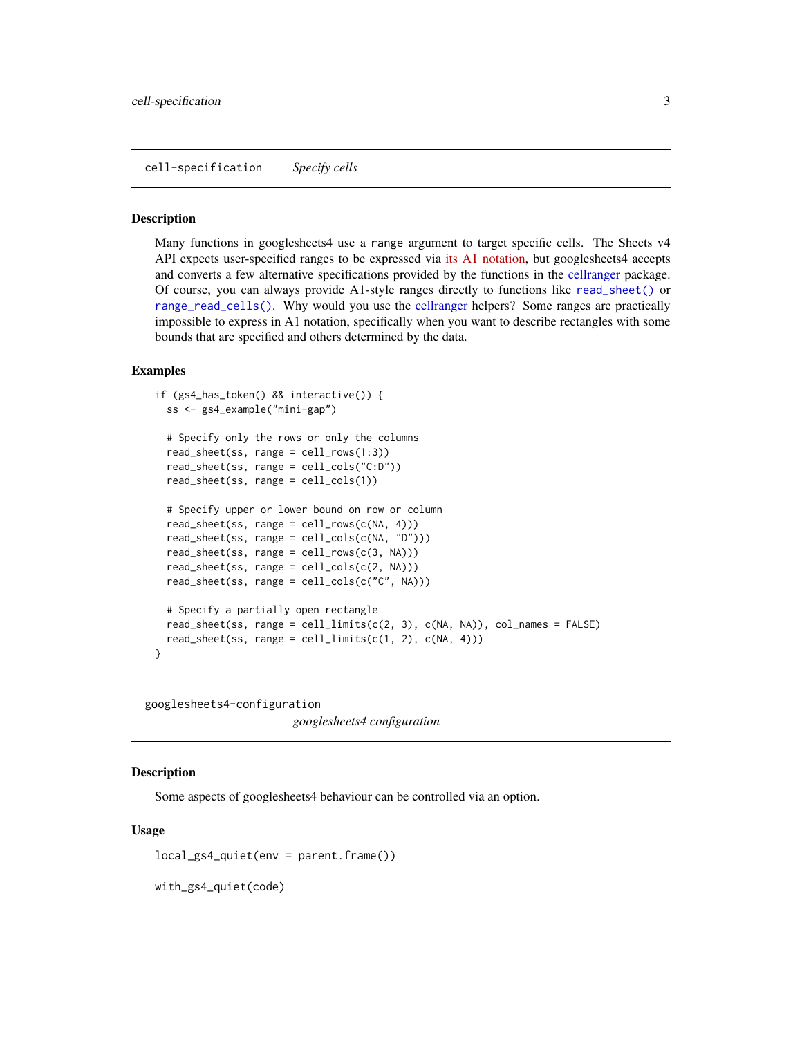<span id="page-2-1"></span><span id="page-2-0"></span>cell-specification *Specify cells*

#### **Description**

Many functions in googlesheets4 use a range argument to target specific cells. The Sheets v4 API expects user-specified ranges to be expressed via [its A1 notation,](https://developers.google.com/sheets/api/guides/concepts#a1_notation) but googlesheets4 accepts and converts a few alternative specifications provided by the functions in the [cellranger](#page-0-0) package. Of course, you can always provide A1-style ranges directly to functions like [read\\_sheet\(\)](#page-23-1) or [range\\_read\\_cells\(\)](#page-26-1). Why would you use the [cellranger](#page-0-0) helpers? Some ranges are practically impossible to express in A1 notation, specifically when you want to describe rectangles with some bounds that are specified and others determined by the data.

#### Examples

```
if (gs4_has_token() && interactive()) {
 ss <- gs4_example("mini-gap")
 # Specify only the rows or only the columns
 read_sheet(ss, range = cell_rows(1:3))
 read_sheet(ss, range = cell_cols("C:D"))
 read_sheet(ss, range = cell_cols(1))
 # Specify upper or lower bound on row or column
 read_sheet(ss, range = cell\_rows(c(NA, 4)))read_sheet(ss, range = cell_cols(c(NA, "D")))
 read_sheet(ss, range = cell\_rows(c(3, NA)))read\_sheet(ss, range = cell\_cols(c(2, NA)))read_sheet(ss, range = cell_cols(c("C", NA)))
 # Specify a partially open rectangle
 read_sheet(ss, range = cell_limits(c(2, 3), c(NA, NA)), col_names = FALSE)
 read_sheet(ss, range = cell_limits(c(1, 2), c(NA, 4)))
}
```
googlesheets4-configuration

*googlesheets4 configuration*

#### Description

Some aspects of googlesheets4 behaviour can be controlled via an option.

#### Usage

local\_gs4\_quiet(env = parent.frame())

with\_gs4\_quiet(code)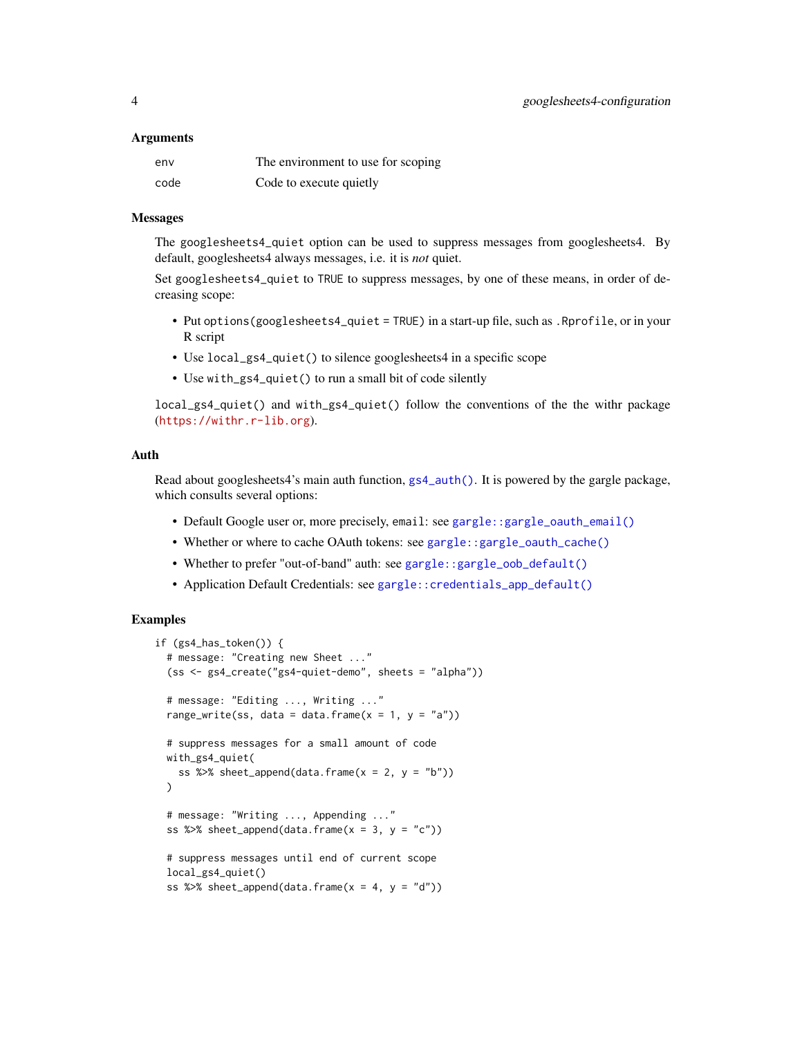#### <span id="page-3-0"></span>**Arguments**

| env  | The environment to use for scoping |
|------|------------------------------------|
| code | Code to execute quietly            |

#### Messages

The googlesheets4\_quiet option can be used to suppress messages from googlesheets4. By default, googlesheets4 always messages, i.e. it is *not* quiet.

Set googlesheets4\_quiet to TRUE to suppress messages, by one of these means, in order of decreasing scope:

- Put options(googlesheets4\_quiet = TRUE) in a start-up file, such as .Rprofile, or in your R script
- Use local\_gs4\_quiet() to silence googlesheets4 in a specific scope
- Use with\_gs4\_quiet() to run a small bit of code silently

local\_gs4\_quiet() and with\_gs4\_quiet() follow the conventions of the the withr package (<https://withr.r-lib.org>).

## Auth

Read about googlesheets4's main auth function, [gs4\\_auth\(\)](#page-4-1). It is powered by the gargle package, which consults several options:

- Default Google user or, more precisely, email: see [gargle::gargle\\_oauth\\_email\(\)](#page-0-0)
- Whether or where to cache OAuth tokens: see [gargle::gargle\\_oauth\\_cache\(\)](#page-0-0)
- Whether to prefer "out-of-band" auth: see [gargle::gargle\\_oob\\_default\(\)](#page-0-0)
- Application Default Credentials: see [gargle::credentials\\_app\\_default\(\)](#page-0-0)

```
if (gs4_has_token()) {
 # message: "Creating new Sheet ..."
  (ss <- gs4_create("gs4-quiet-demo", sheets = "alpha"))
 # message: "Editing ..., Writing ..."
 range_write(ss, data = data.frame(x = 1, y = "a"))
 # suppress messages for a small amount of code
 with_gs4_quiet(
   ss %\gg sheet_append(data.frame(x = 2, y = "b"))
 )
 # message: "Writing ..., Appending ..."
 ss %\gg sheet_append(data.frame(x = 3, y = "c"))
 # suppress messages until end of current scope
 local_gs4_quiet()
 ss %\gg sheet_append(data.frame(x = 4, y = "d"))
```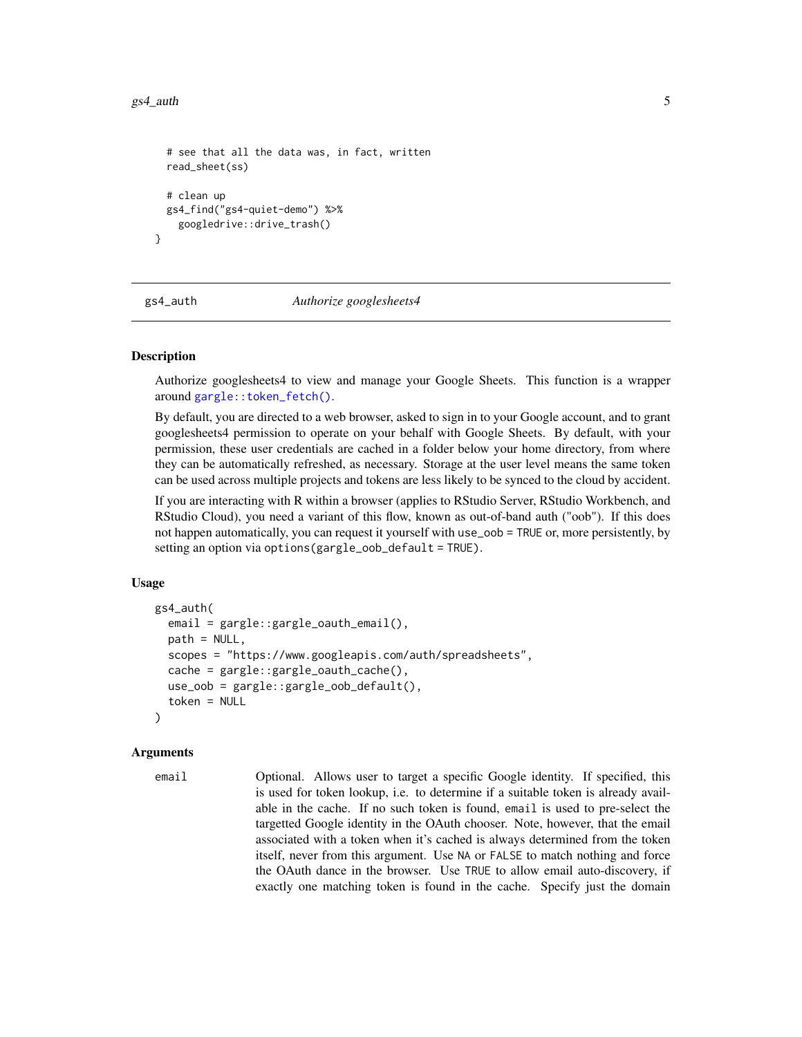#### <span id="page-4-0"></span> $gs4$ <sub>auth</sub> 5

```
# see that all the data was, in fact, written
 read_sheet(ss)
 # clean up
 gs4_find("gs4-quiet-demo") %>%
    googledrive::drive_trash()
}
```
<span id="page-4-1"></span>gs4\_auth *Authorize googlesheets4*

## **Description**

Authorize googlesheets4 to view and manage your Google Sheets. This function is a wrapper around [gargle::token\\_fetch\(\)](#page-0-0).

By default, you are directed to a web browser, asked to sign in to your Google account, and to grant googlesheets4 permission to operate on your behalf with Google Sheets. By default, with your permission, these user credentials are cached in a folder below your home directory, from where they can be automatically refreshed, as necessary. Storage at the user level means the same token can be used across multiple projects and tokens are less likely to be synced to the cloud by accident.

If you are interacting with R within a browser (applies to RStudio Server, RStudio Workbench, and RStudio Cloud), you need a variant of this flow, known as out-of-band auth ("oob"). If this does not happen automatically, you can request it yourself with use\_oob = TRUE or, more persistently, by setting an option via options(gargle\_oob\_default = TRUE).

## Usage

```
gs4_auth(
  email = gargle::gargle_oauth_email(),
  path = NULL,
  scopes = "https://www.googleapis.com/auth/spreadsheets",
  cache = gargle::gargle_oauth_cache(),
  use_oob = gargle::gargle_oob_default(),
  token = NULL
)
```
#### Arguments

```
email Optional. Allows user to target a specific Google identity. If specified, this
                  is used for token lookup, i.e. to determine if a suitable token is already avail-
                  able in the cache. If no such token is found, email is used to pre-select the
                  targetted Google identity in the OAuth chooser. Note, however, that the email
                  associated with a token when it's cached is always determined from the token
                  itself, never from this argument. Use NA or FALSE to match nothing and force
                  the OAuth dance in the browser. Use TRUE to allow email auto-discovery, if
                  exactly one matching token is found in the cache. Specify just the domain
```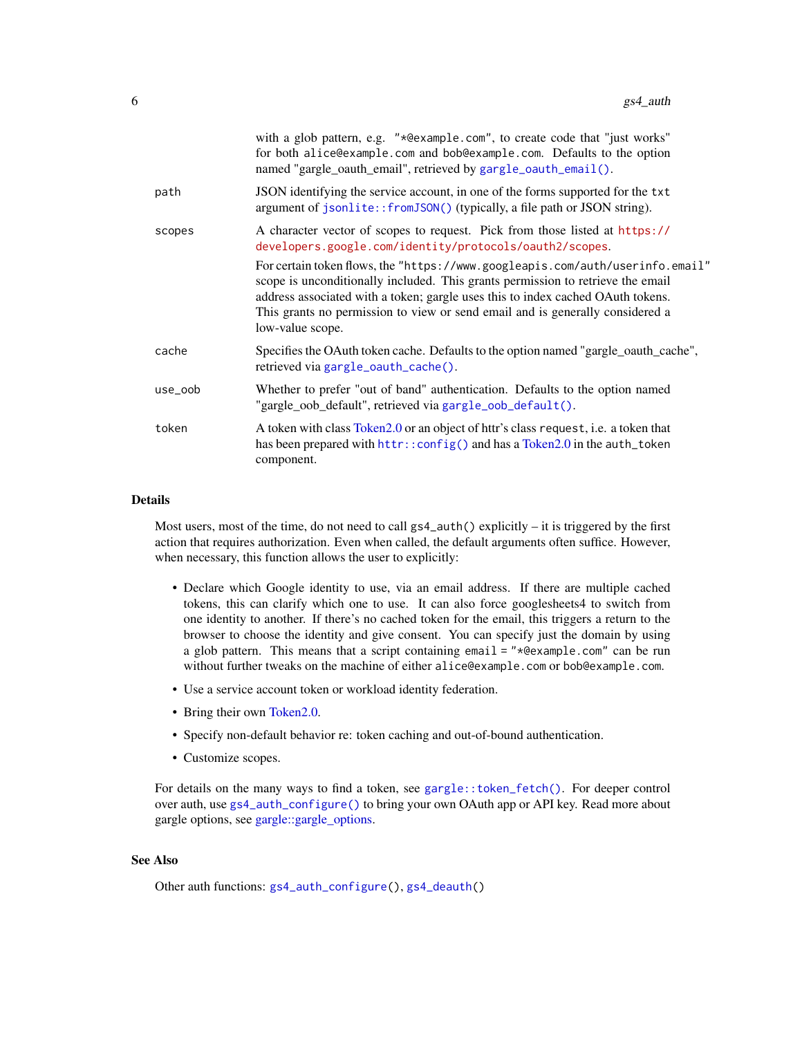<span id="page-5-0"></span>

|         | with a glob pattern, e.g. "*@example.com", to create code that "just works"<br>for both alice@example.com and bob@example.com. Defaults to the option<br>named "gargle_oauth_email", retrieved by gargle_oauth_email().                                                                                                                                  |
|---------|----------------------------------------------------------------------------------------------------------------------------------------------------------------------------------------------------------------------------------------------------------------------------------------------------------------------------------------------------------|
| path    | JSON identifying the service account, in one of the forms supported for the txt<br>argument of jsonlite::fromJSON() (typically, a file path or JSON string).                                                                                                                                                                                             |
| scopes  | A character vector of scopes to request. Pick from those listed at https://<br>developers.google.com/identity/protocols/oauth2/scopes.                                                                                                                                                                                                                   |
|         | For certain token flows, the "https://www.googleapis.com/auth/userinfo.email"<br>scope is unconditionally included. This grants permission to retrieve the email<br>address associated with a token; gargle uses this to index cached OAuth tokens.<br>This grants no permission to view or send email and is generally considered a<br>low-value scope. |
| cache   | Specifies the OAuth token cache. Defaults to the option named "gargle_oauth_cache",<br>retrieved via gargle_oauth_cache().                                                                                                                                                                                                                               |
| use_oob | Whether to prefer "out of band" authentication. Defaults to the option named<br>"gargle_oob_default", retrieved via gargle_oob_default().                                                                                                                                                                                                                |
| token   | A token with class Token 2.0 or an object of httr's class request, i.e. a token that<br>has been prepared with httr::config() and has a Token2.0 in the auth_token<br>component.                                                                                                                                                                         |
|         |                                                                                                                                                                                                                                                                                                                                                          |

#### Details

Most users, most of the time, do not need to call gs4\_auth() explicitly – it is triggered by the first action that requires authorization. Even when called, the default arguments often suffice. However, when necessary, this function allows the user to explicitly:

- Declare which Google identity to use, via an email address. If there are multiple cached tokens, this can clarify which one to use. It can also force googlesheets4 to switch from one identity to another. If there's no cached token for the email, this triggers a return to the browser to choose the identity and give consent. You can specify just the domain by using a glob pattern. This means that a script containing email = "\*@example.com" can be run without further tweaks on the machine of either alice@example.com or bob@example.com.
- Use a service account token or workload identity federation.
- Bring their own [Token2.0.](#page-0-0)
- Specify non-default behavior re: token caching and out-of-bound authentication.
- Customize scopes.

For details on the many ways to find a token, see [gargle::token\\_fetch\(\)](#page-0-0). For deeper control over auth, use [gs4\\_auth\\_configure\(\)](#page-6-1) to bring your own OAuth app or API key. Read more about gargle options, see [gargle::gargle\\_options.](#page-0-0)

#### See Also

Other auth functions: [gs4\\_auth\\_configure\(](#page-6-1)), [gs4\\_deauth\(](#page-10-1))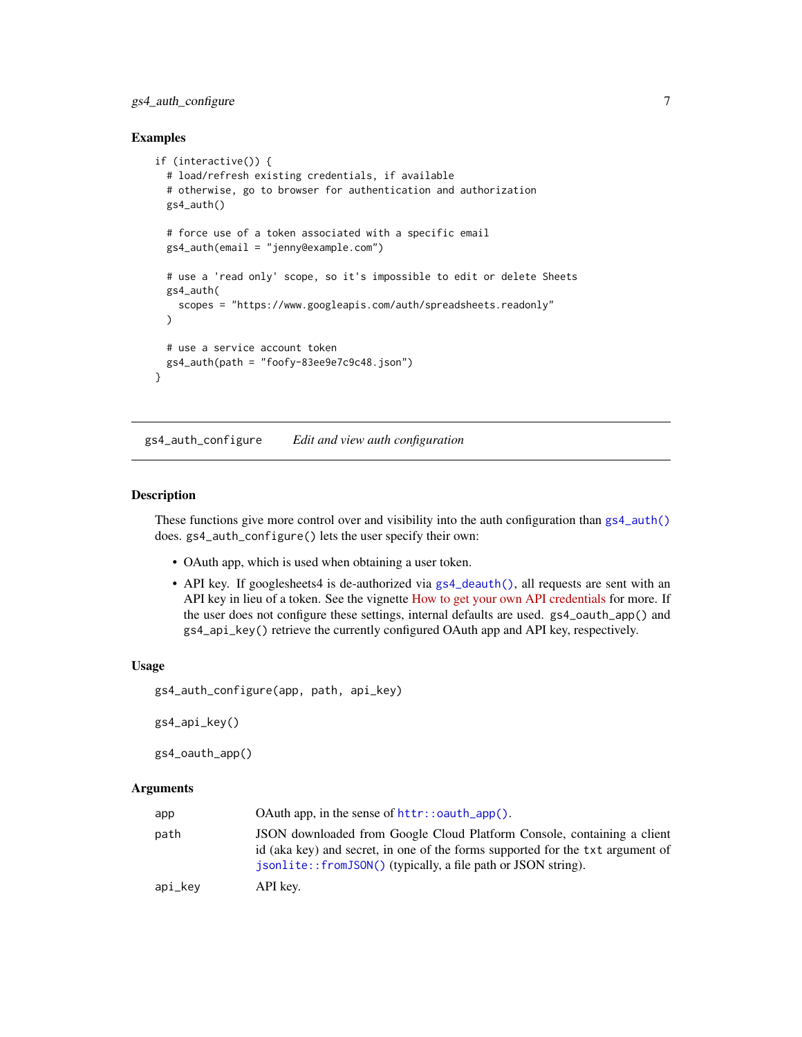## <span id="page-6-0"></span>gs4\_auth\_configure 7

#### Examples

```
if (interactive()) {
 # load/refresh existing credentials, if available
 # otherwise, go to browser for authentication and authorization
 gs4_auth()
 # force use of a token associated with a specific email
 gs4_auth(email = "jenny@example.com")
 # use a 'read only' scope, so it's impossible to edit or delete Sheets
 gs4_auth(
   scopes = "https://www.googleapis.com/auth/spreadsheets.readonly"
 )
 # use a service account token
 gs4_auth(path = "foofy-83ee9e7c9c48.json")
}
```
<span id="page-6-1"></span>gs4\_auth\_configure *Edit and view auth configuration*

## <span id="page-6-2"></span>Description

These functions give more control over and visibility into the auth configuration than  $gs4_$ auth() does. gs4\_auth\_configure() lets the user specify their own:

- OAuth app, which is used when obtaining a user token.
- API key. If googlesheets4 is de-authorized via [gs4\\_deauth\(\)](#page-10-1), all requests are sent with an API key in lieu of a token. See the vignette [How to get your own API credentials](https://gargle.r-lib.org/articles/get-api-credentials.html) for more. If the user does not configure these settings, internal defaults are used. gs4\_oauth\_app() and gs4\_api\_key() retrieve the currently configured OAuth app and API key, respectively.

#### Usage

```
gs4_auth_configure(app, path, api_key)
```
gs4\_api\_key()

```
gs4_oauth_app()
```
#### Arguments

| app     |                                                                                                                                                                                                                            |
|---------|----------------------------------------------------------------------------------------------------------------------------------------------------------------------------------------------------------------------------|
| path    | JSON downloaded from Google Cloud Platform Console, containing a client<br>id (aka key) and secret, in one of the forms supported for the txt argument of<br>isonlite::fromJSON() (typically, a file path or JSON string). |
| api_key | API key.                                                                                                                                                                                                                   |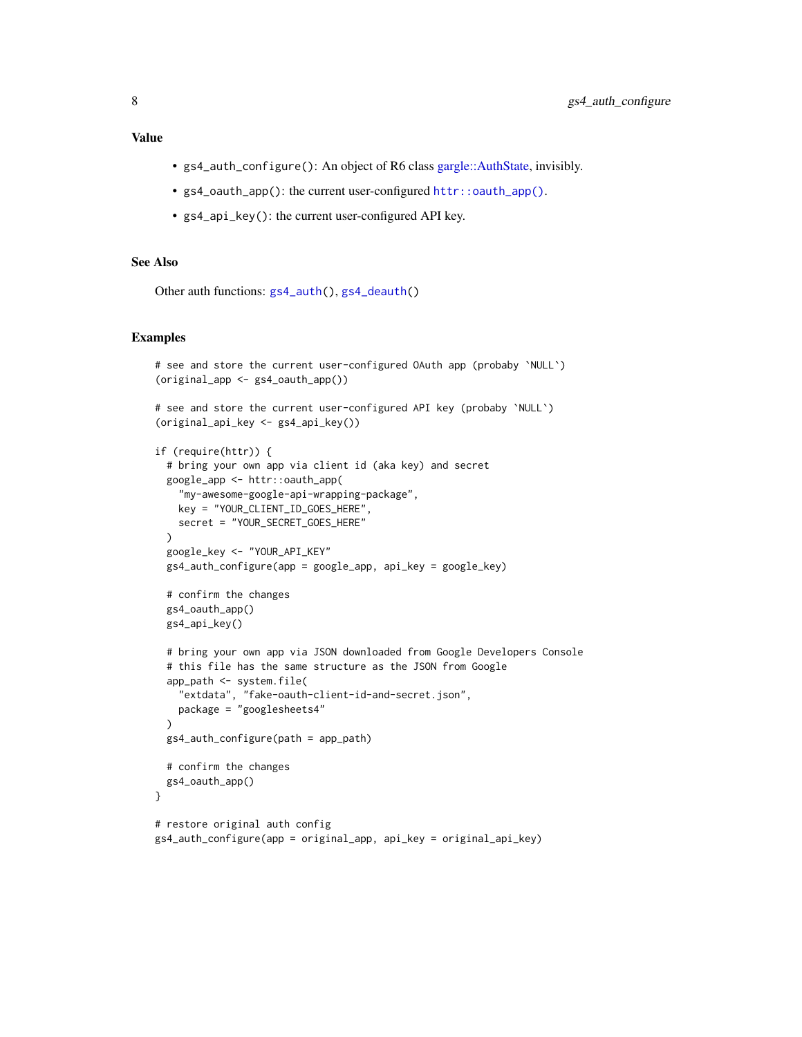## <span id="page-7-0"></span>Value

- gs4\_auth\_configure(): An object of R6 class [gargle::AuthState,](#page-0-0) invisibly.
- gs4\_oauth\_app(): the current user-configured [httr::oauth\\_app\(\)](#page-0-0).
- gs4\_api\_key(): the current user-configured API key.

#### See Also

Other auth functions: [gs4\\_auth\(](#page-4-1)), [gs4\\_deauth\(](#page-10-1))

#### Examples

```
# see and store the current user-configured OAuth app (probaby `NULL`)
(original_app <- gs4_oauth_app())
# see and store the current user-configured API key (probaby `NULL`)
(original_api_key <- gs4_api_key())
if (require(httr)) {
 # bring your own app via client id (aka key) and secret
 google_app <- httr::oauth_app(
    "my-awesome-google-api-wrapping-package",
   key = "YOUR_CLIENT_ID_GOES_HERE",
   secret = "YOUR_SECRET_GOES_HERE"
 \lambdagoogle_key <- "YOUR_API_KEY"
 gs4_auth_configure(app = google_app, api_key = google_key)
 # confirm the changes
 gs4_oauth_app()
 gs4_api_key()
 # bring your own app via JSON downloaded from Google Developers Console
 # this file has the same structure as the JSON from Google
 app_path <- system.file(
    "extdata", "fake-oauth-client-id-and-secret.json",
   package = "googlesheets4"
 \lambdags4_auth_configure(path = app_path)
 # confirm the changes
 gs4_oauth_app()
}
# restore original auth config
```
gs4\_auth\_configure(app = original\_app, api\_key = original\_api\_key)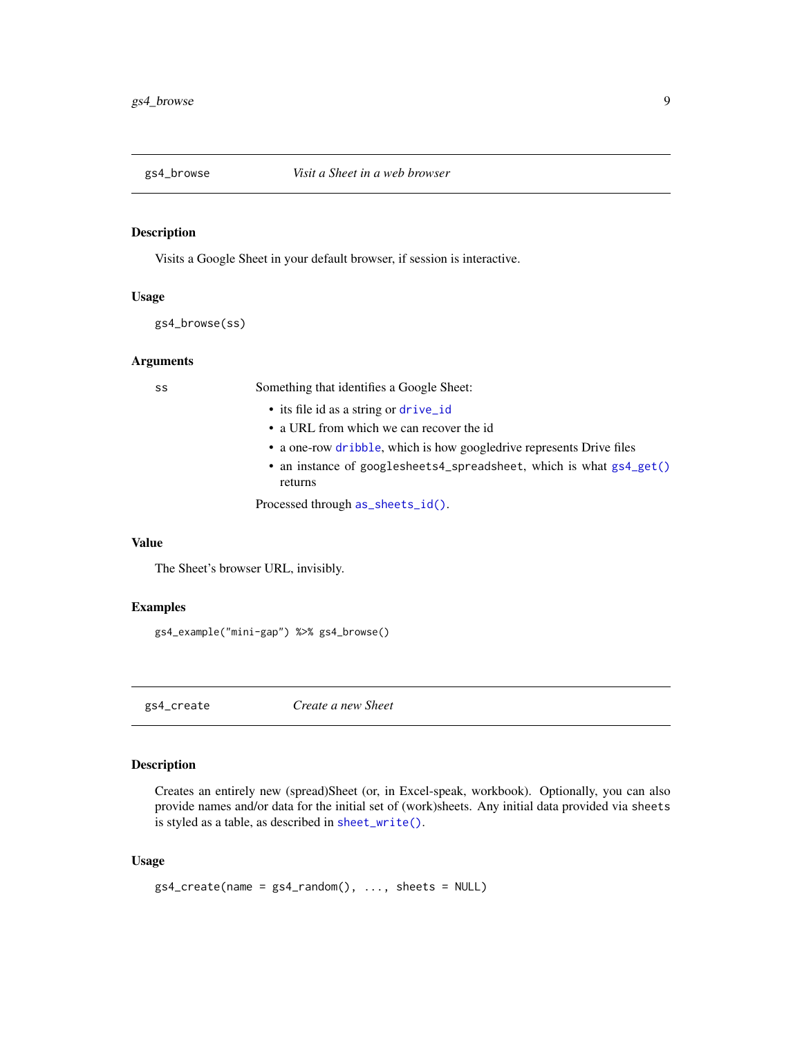<span id="page-8-0"></span>

## Description

Visits a Google Sheet in your default browser, if session is interactive.

#### Usage

gs4\_browse(ss)

## Arguments

ss Something that identifies a Google Sheet:

- its file id as a string or [drive\\_id](#page-0-0)
- a URL from which we can recover the id
- a one-row [dribble](#page-0-0), which is how googledrive represents Drive files
- an instance of googlesheets4\_spreadsheet, which is what [gs4\\_get\(\)](#page-15-1) returns

Processed through [as\\_sheets\\_id\(\)](#page-35-1).

#### Value

The Sheet's browser URL, invisibly.

#### Examples

gs4\_example("mini-gap") %>% gs4\_browse()

<span id="page-8-1"></span>gs4\_create *Create a new Sheet*

## Description

Creates an entirely new (spread)Sheet (or, in Excel-speak, workbook). Optionally, you can also provide names and/or data for the initial set of (work)sheets. Any initial data provided via sheets is styled as a table, as described in [sheet\\_write\(\)](#page-48-1).

#### Usage

```
gs4_ccreate(name = gs4_random(), ..., sheets = NULL)
```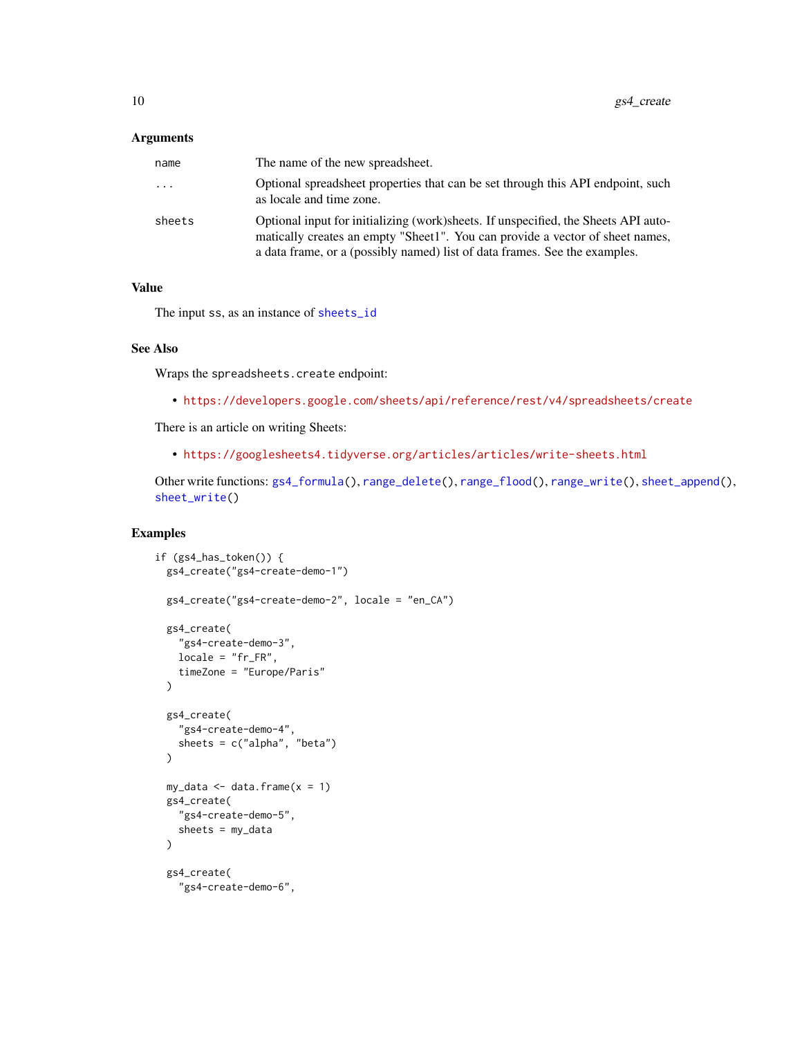#### <span id="page-9-0"></span>**Arguments**

| name   | The name of the new spreadsheet.                                                                                                                                                                                                                   |
|--------|----------------------------------------------------------------------------------------------------------------------------------------------------------------------------------------------------------------------------------------------------|
| .      | Optional spreadsheet properties that can be set through this API endpoint, such<br>as locale and time zone.                                                                                                                                        |
| sheets | Optional input for initializing (work) sheets. If unspecified, the Sheets API auto-<br>matically creates an empty "Sheet1". You can provide a vector of sheet names,<br>a data frame, or a (possibly named) list of data frames. See the examples. |

## Value

The input ss, as an instance of [sheets\\_id](#page-35-2)

#### See Also

Wraps the spreadsheets.create endpoint:

• <https://developers.google.com/sheets/api/reference/rest/v4/spreadsheets/create>

There is an article on writing Sheets:

• <https://googlesheets4.tidyverse.org/articles/articles/write-sheets.html>

Other write functions: [gs4\\_formula\(](#page-14-1)), [range\\_delete\(](#page-20-1)), [range\\_flood\(](#page-21-1)), [range\\_write\(](#page-30-1)), [sheet\\_append\(](#page-38-1)), [sheet\\_write\(](#page-48-1))

```
if (gs4_has_token()) {
 gs4_create("gs4-create-demo-1")
 gs4_create("gs4-create-demo-2", locale = "en_CA")
 gs4_create(
    "gs4-create-demo-3",
   locale = "fr_FR",timeZone = "Europe/Paris"
 \lambdags4_create(
    "gs4-create-demo-4",
   sheets = c("alpha", "beta"))
 my_data \leq data.frame(x = 1)
 gs4_create(
    "gs4-create-demo-5",
    sheets = my_data
 \lambdags4_create(
    "gs4-create-demo-6",
```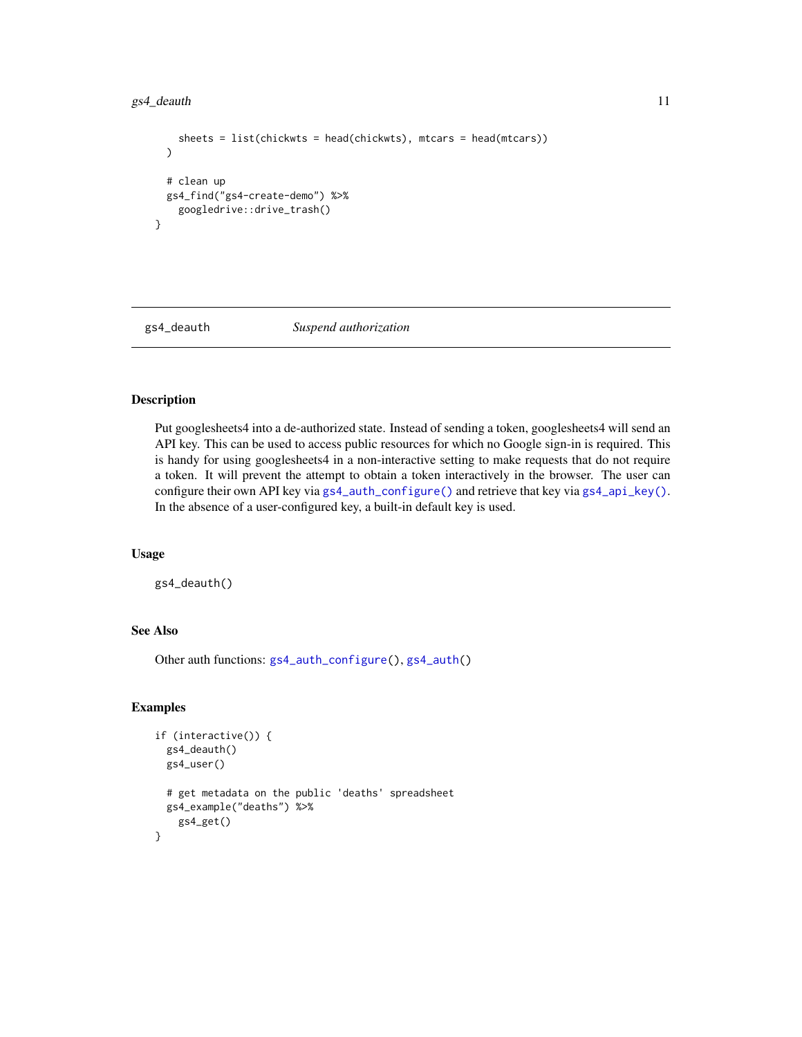## <span id="page-10-0"></span>gs4\_deauth 11

```
sheets = list(chickwts = head(chickwts), mtcars = head(mtcars))
 )
 # clean up
 gs4_find("gs4-create-demo") %>%
   googledrive::drive_trash()
}
```
<span id="page-10-1"></span>

```
gs4_deauth Suspend authorization
```
#### Description

Put googlesheets4 into a de-authorized state. Instead of sending a token, googlesheets4 will send an API key. This can be used to access public resources for which no Google sign-in is required. This is handy for using googlesheets4 in a non-interactive setting to make requests that do not require a token. It will prevent the attempt to obtain a token interactively in the browser. The user can configure their own API key via [gs4\\_auth\\_configure\(\)](#page-6-1) and retrieve that key via [gs4\\_api\\_key\(\)](#page-6-2). In the absence of a user-configured key, a built-in default key is used.

## Usage

gs4\_deauth()

## See Also

Other auth functions: [gs4\\_auth\\_configure\(](#page-6-1)), [gs4\\_auth\(](#page-4-1))

```
if (interactive()) {
 gs4_deauth()
 gs4_user()
 # get metadata on the public 'deaths' spreadsheet
 gs4_example("deaths") %>%
    gs4_get()
}
```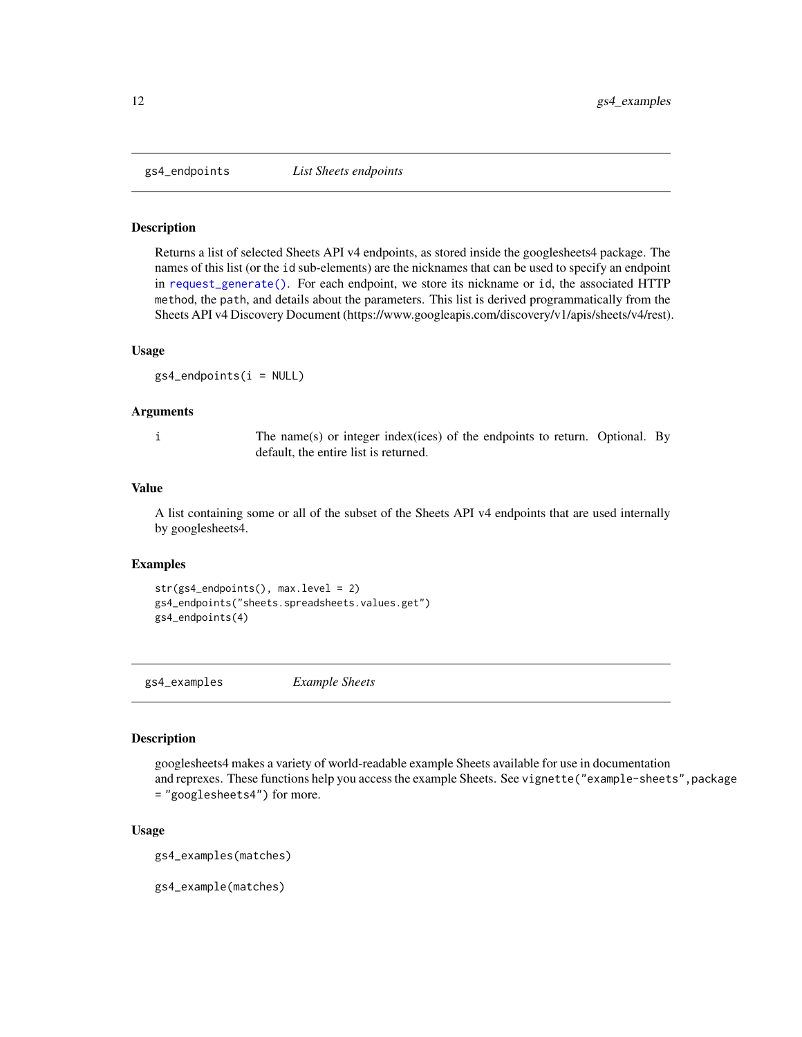<span id="page-11-1"></span><span id="page-11-0"></span>

#### Description

Returns a list of selected Sheets API v4 endpoints, as stored inside the googlesheets4 package. The names of this list (or the id sub-elements) are the nicknames that can be used to specify an endpoint in [request\\_generate\(\)](#page-32-1). For each endpoint, we store its nickname or id, the associated HTTP method, the path, and details about the parameters. This list is derived programmatically from the Sheets API v4 Discovery Document (https://www.googleapis.com/discovery/v1/apis/sheets/v4/rest).

#### Usage

 $gs4$ <sub>endpoints(i = NULL)</sub>

#### Arguments

i The name(s) or integer index(ices) of the endpoints to return. Optional. By default, the entire list is returned.

#### Value

A list containing some or all of the subset of the Sheets API v4 endpoints that are used internally by googlesheets4.

#### Examples

```
str(gs4_endpoints(), max.level = 2)
gs4_endpoints("sheets.spreadsheets.values.get")
gs4_endpoints(4)
```
gs4\_examples *Example Sheets*

#### Description

googlesheets4 makes a variety of world-readable example Sheets available for use in documentation and reprexes. These functions help you access the example Sheets. See vignette("example-sheets", package = "googlesheets4") for more.

#### Usage

```
gs4_examples(matches)
```
gs4\_example(matches)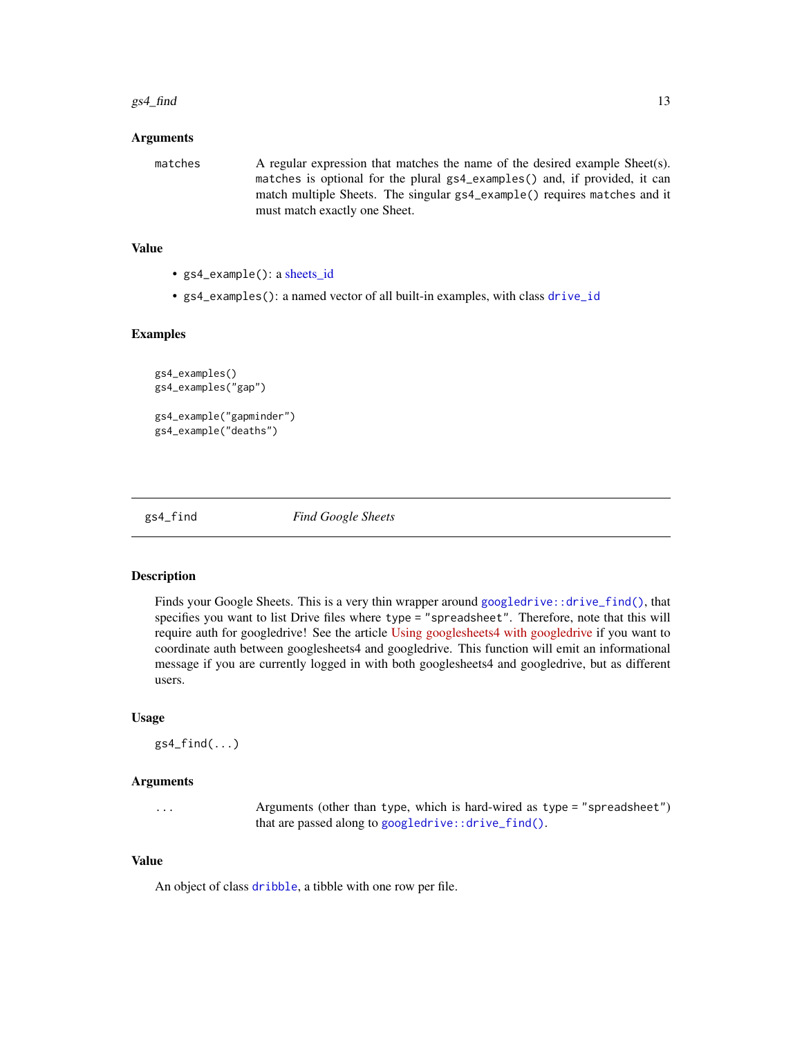#### <span id="page-12-0"></span> $gs4\_find$  13

#### Arguments

matches A regular expression that matches the name of the desired example Sheet(s). matches is optional for the plural gs4\_examples() and, if provided, it can match multiple Sheets. The singular gs4\_example() requires matches and it must match exactly one Sheet.

#### Value

- gs4\_example(): a [sheets\\_id](#page-35-2)
- gs4\_examples(): a named vector of all built-in examples, with class [drive\\_id](#page-0-0)

#### Examples

```
gs4_examples()
gs4_examples("gap")
gs4_example("gapminder")
gs4_example("deaths")
```
<span id="page-12-1"></span>

gs4\_find *Find Google Sheets*

## Description

Finds your Google Sheets. This is a very thin wrapper around [googledrive::drive\\_find\(\)](#page-0-0), that specifies you want to list Drive files where type = "spreadsheet". Therefore, note that this will require auth for googledrive! See the article [Using googlesheets4 with googledrive](https://googlesheets4.tidyverse.org/articles/articles/drive-and-sheets.html) if you want to coordinate auth between googlesheets4 and googledrive. This function will emit an informational message if you are currently logged in with both googlesheets4 and googledrive, but as different users.

#### Usage

 $gs4_find(...)$ 

## Arguments

... Arguments (other than type, which is hard-wired as type = "spreadsheet") that are passed along to [googledrive::drive\\_find\(\)](#page-0-0).

#### Value

An object of class [dribble](#page-0-0), a tibble with one row per file.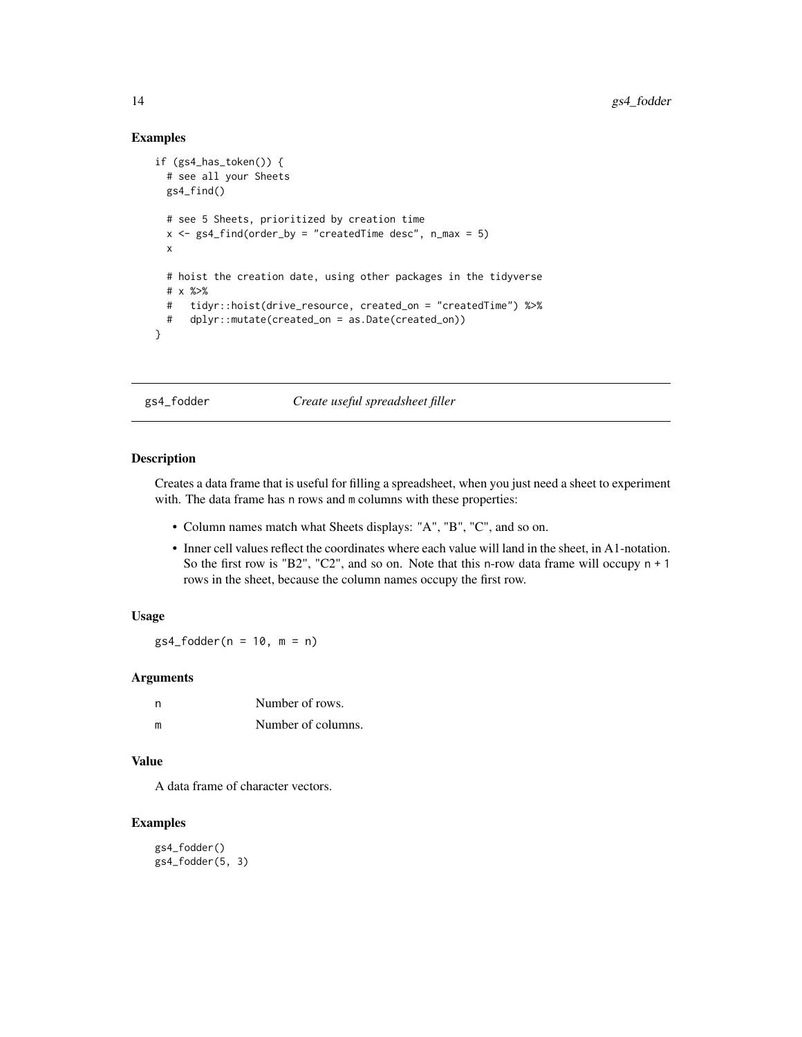#### Examples

```
if (gs4_has_token()) {
 # see all your Sheets
 gs4_find()
 # see 5 Sheets, prioritized by creation time
 x \le gs4_find(order_by = "createdTime desc", n_max = 5)
 x
 # hoist the creation date, using other packages in the tidyverse
 # x %>%
 # tidyr::hoist(drive_resource, created_on = "createdTime") %>%
 # dplyr::mutate(created_on = as.Date(created_on))
}
```
gs4\_fodder *Create useful spreadsheet filler*

#### Description

Creates a data frame that is useful for filling a spreadsheet, when you just need a sheet to experiment with. The data frame has n rows and m columns with these properties:

- Column names match what Sheets displays: "A", "B", "C", and so on.
- Inner cell values reflect the coordinates where each value will land in the sheet, in A1-notation. So the first row is "B2", "C2", and so on. Note that this n-row data frame will occupy n + 1 rows in the sheet, because the column names occupy the first row.

#### Usage

 $gs4_fodder(n = 10, m = n)$ 

## Arguments

| n. | Number of rows.    |
|----|--------------------|
| m  | Number of columns. |

#### Value

A data frame of character vectors.

#### Examples

gs4\_fodder() gs4\_fodder(5, 3)

<span id="page-13-0"></span>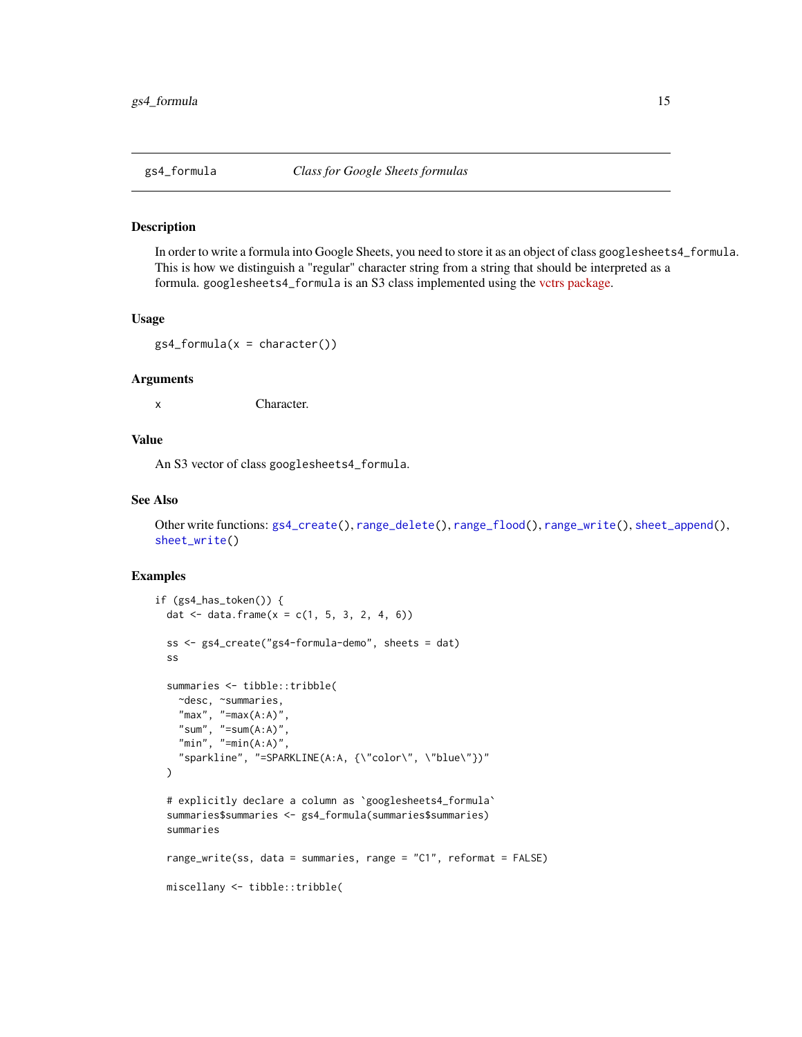#### <span id="page-14-1"></span><span id="page-14-0"></span>Description

In order to write a formula into Google Sheets, you need to store it as an object of class googlesheets4\_formula. This is how we distinguish a "regular" character string from a string that should be interpreted as a formula. googlesheets4\_formula is an S3 class implemented using the [vctrs package.](https://vctrs.r-lib.org/articles/s3-vector.html)

#### Usage

 $gs4_formula(x = character())$ 

#### **Arguments**

x Character.

## Value

An S3 vector of class googlesheets4\_formula.

#### See Also

Other write functions: [gs4\\_create\(](#page-8-1)), [range\\_delete\(](#page-20-1)), [range\\_flood\(](#page-21-1)), [range\\_write\(](#page-30-1)), [sheet\\_append\(](#page-38-1)), [sheet\\_write\(](#page-48-1))

```
if (gs4_has_token()) {
 dat \leq data.frame(x = c(1, 5, 3, 2, 4, 6))
 ss <- gs4_create("gs4-formula-demo", sheets = dat)
 ss
 summaries <- tibble::tribble(
   ~desc, ~summaries,
   "max", "=max(A:A)",
   "sum", "=sum(A:A)",
   "min", "=min(A:A)",
    "sparkline", "=SPARKLINE(A:A, {\"color\", \"blue\"})"
 )
 # explicitly declare a column as `googlesheets4_formula`
 summaries$summaries <- gs4_formula(summaries$summaries)
 summaries
 range_write(ss, data = summaries, range = "C1", reformat = FALSE)
 miscellany <- tibble::tribble(
```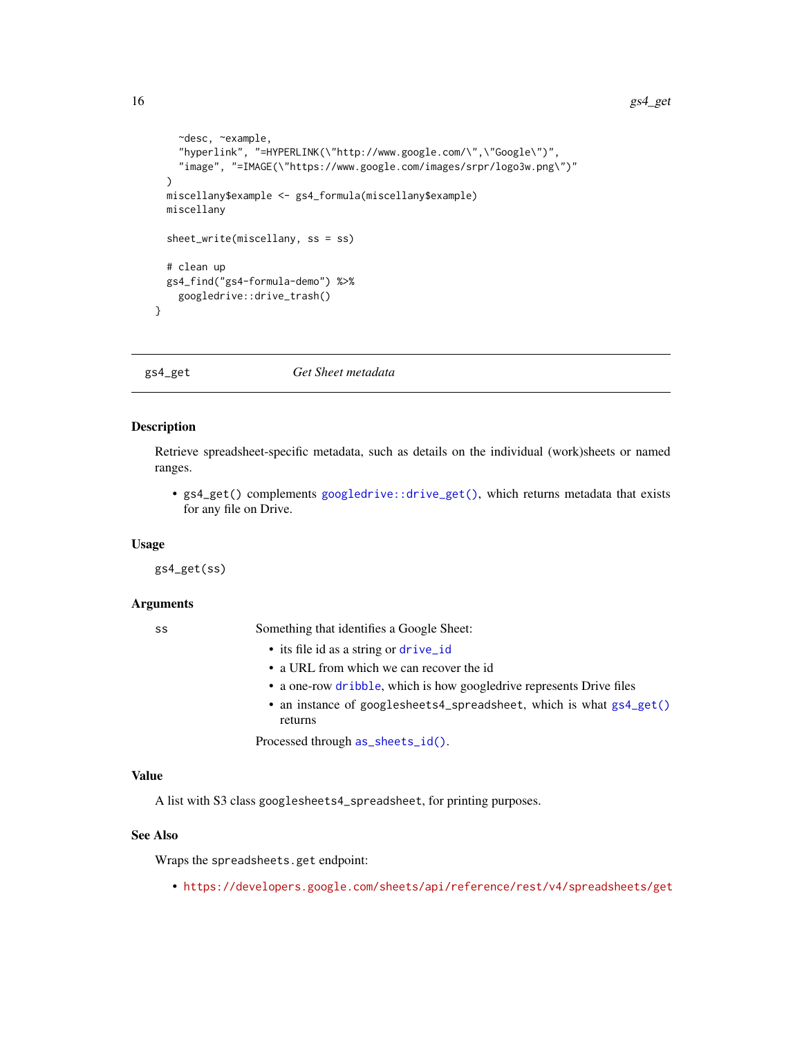```
~desc, ~example,
  "hyperlink", "=HYPERLINK(\"http://www.google.com/\",\"Google\")",
  "image", "=IMAGE(\"https://www.google.com/images/srpr/logo3w.png\")"
)
miscellany$example <- gs4_formula(miscellany$example)
miscellany
sheet_write(miscellany, ss = ss)
# clean up
gs4_find("gs4-formula-demo") %>%
  googledrive::drive_trash()
```
<span id="page-15-1"></span>gs4\_get *Get Sheet metadata*

## Description

}

Retrieve spreadsheet-specific metadata, such as details on the individual (work)sheets or named ranges.

• gs4\_get() complements [googledrive::drive\\_get\(\)](#page-0-0), which returns metadata that exists for any file on Drive.

#### Usage

gs4\_get(ss)

#### Arguments

ss Something that identifies a Google Sheet:

- its file id as a string or [drive\\_id](#page-0-0)
- a URL from which we can recover the id
- a one-row [dribble](#page-0-0), which is how googledrive represents Drive files
- an instance of googlesheets4\_spreadsheet, which is what [gs4\\_get\(\)](#page-15-1) returns

Processed through [as\\_sheets\\_id\(\)](#page-35-1).

## Value

A list with S3 class googlesheets4\_spreadsheet, for printing purposes.

## See Also

Wraps the spreadsheets.get endpoint:

• <https://developers.google.com/sheets/api/reference/rest/v4/spreadsheets/get>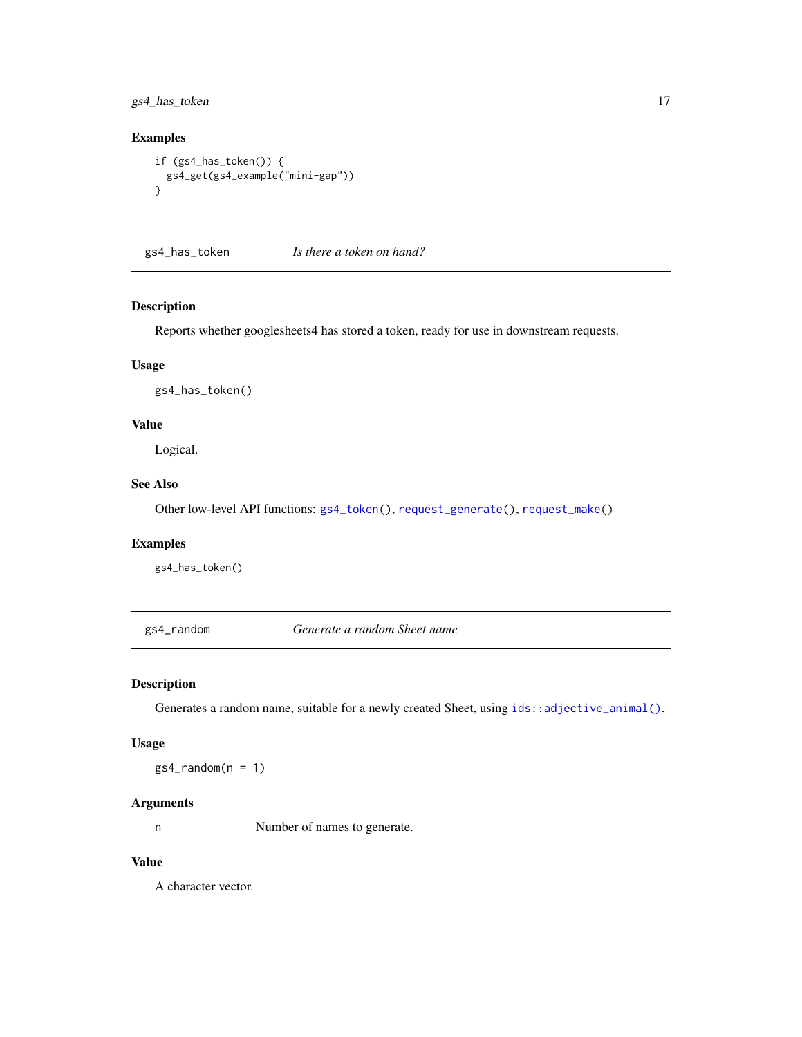<span id="page-16-0"></span>gs4\_has\_token 17

## Examples

```
if (gs4_has_token()) {
 gs4_get(gs4_example("mini-gap"))
}
```
<span id="page-16-1"></span>gs4\_has\_token *Is there a token on hand?*

## Description

Reports whether googlesheets4 has stored a token, ready for use in downstream requests.

## Usage

gs4\_has\_token()

## Value

Logical.

## See Also

Other low-level API functions: [gs4\\_token\(](#page-17-1)), [request\\_generate\(](#page-32-1)), [request\\_make\(](#page-34-1))

## Examples

gs4\_has\_token()

gs4\_random *Generate a random Sheet name*

## Description

Generates a random name, suitable for a newly created Sheet, using [ids::adjective\\_animal\(\)](#page-0-0).

#### Usage

 $gs4_r$ random $(n = 1)$ 

## Arguments

n Number of names to generate.

## Value

A character vector.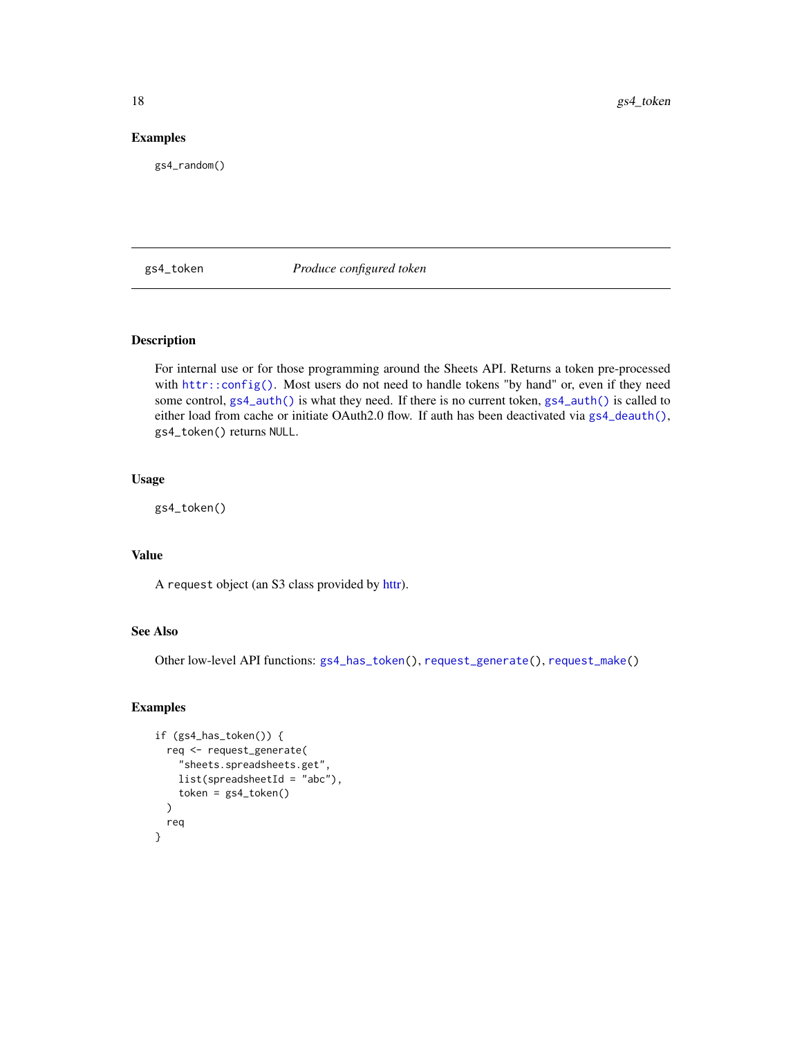## Examples

gs4\_random()

<span id="page-17-1"></span>gs4\_token *Produce configured token*

## Description

For internal use or for those programming around the Sheets API. Returns a token pre-processed with [httr::config\(\)](#page-0-0). Most users do not need to handle tokens "by hand" or, even if they need some control, [gs4\\_auth\(\)](#page-4-1) is what they need. If there is no current token, [gs4\\_auth\(\)](#page-4-1) is called to either load from cache or initiate OAuth2.0 flow. If auth has been deactivated via  $gs4$ -deauth(), gs4\_token() returns NULL.

## Usage

gs4\_token()

## Value

A request object (an S3 class provided by [httr\)](#page-0-0).

## See Also

Other low-level API functions: [gs4\\_has\\_token\(](#page-16-1)), [request\\_generate\(](#page-32-1)), [request\\_make\(](#page-34-1))

```
if (gs4_has_token()) {
 req <- request_generate(
    "sheets.spreadsheets.get",
   list(spreadsheetId = "abc"),
    token = gs4_token()
 )
 req
}
```
<span id="page-17-0"></span>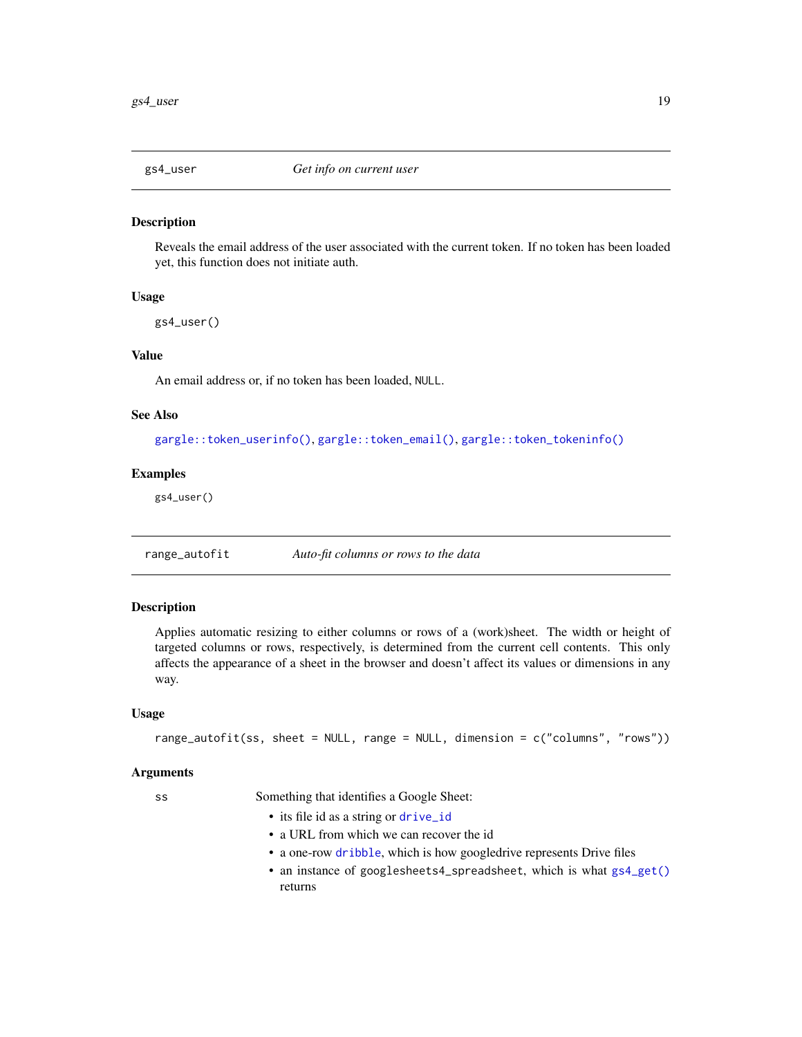<span id="page-18-0"></span>

## Description

Reveals the email address of the user associated with the current token. If no token has been loaded yet, this function does not initiate auth.

#### Usage

gs4\_user()

#### Value

An email address or, if no token has been loaded, NULL.

#### See Also

[gargle::token\\_userinfo\(\)](#page-0-0), [gargle::token\\_email\(\)](#page-0-0), [gargle::token\\_tokeninfo\(\)](#page-0-0)

## Examples

gs4\_user()

range\_autofit *Auto-fit columns or rows to the data*

#### Description

Applies automatic resizing to either columns or rows of a (work)sheet. The width or height of targeted columns or rows, respectively, is determined from the current cell contents. This only affects the appearance of a sheet in the browser and doesn't affect its values or dimensions in any way.

#### Usage

```
range_autofit(ss, sheet = NULL, range = NULL, dimension = c("columns", "rows"))
```
#### Arguments

ss Something that identifies a Google Sheet:

- its file id as a string or [drive\\_id](#page-0-0)
- a URL from which we can recover the id
- a one-row [dribble](#page-0-0), which is how googledrive represents Drive files
- an instance of googlesheets4\_spreadsheet, which is what [gs4\\_get\(\)](#page-15-1) returns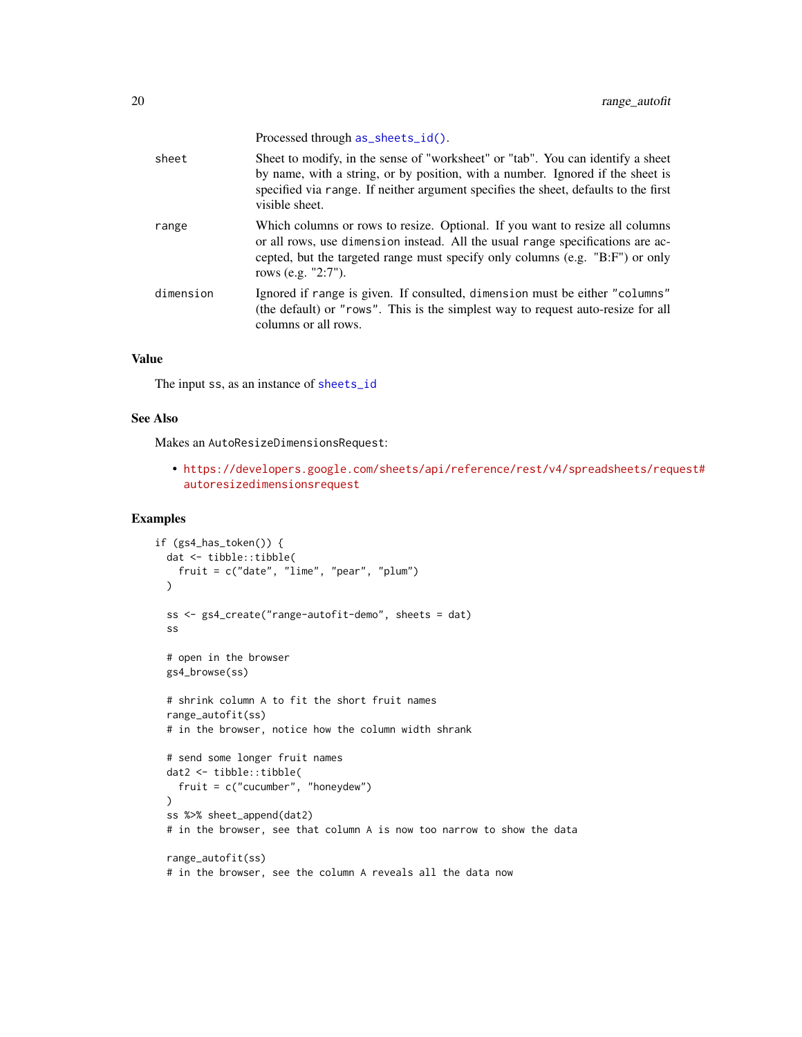<span id="page-19-0"></span>

|           | Processed through as_sheets_id().                                                                                                                                                                                                                                          |
|-----------|----------------------------------------------------------------------------------------------------------------------------------------------------------------------------------------------------------------------------------------------------------------------------|
| sheet     | Sheet to modify, in the sense of "worksheet" or "tab". You can identify a sheet<br>by name, with a string, or by position, with a number. Ignored if the sheet is<br>specified via range. If neither argument specifies the sheet, defaults to the first<br>visible sheet. |
| range     | Which columns or rows to resize. Optional. If you want to resize all columns<br>or all rows, use dimension instead. All the usual range specifications are ac-<br>cepted, but the targeted range must specify only columns (e.g. "B:F") or only<br>rows (e.g. "2:7").      |
| dimension | Ignored if range is given. If consulted, dimension must be either "columns"<br>(the default) or "rows". This is the simplest way to request auto-resize for all<br>columns or all rows.                                                                                    |

#### Value

The input ss, as an instance of [sheets\\_id](#page-35-2)

#### See Also

Makes an AutoResizeDimensionsRequest:

• [https://developers.google.com/sheets/api/reference/rest/v4/spreadsheets/req](https://developers.google.com/sheets/api/reference/rest/v4/spreadsheets/request#autoresizedimensionsrequest)uest# [autoresizedimensionsrequest](https://developers.google.com/sheets/api/reference/rest/v4/spreadsheets/request#autoresizedimensionsrequest)

```
if (gs4_has_token()) {
 dat <- tibble::tibble(
   fruit = c("date", "lime", "pear", "plum")
 \lambdass <- gs4_create("range-autofit-demo", sheets = dat)
 ss
 # open in the browser
 gs4_browse(ss)
 # shrink column A to fit the short fruit names
 range_autofit(ss)
 # in the browser, notice how the column width shrank
 # send some longer fruit names
 dat2 <- tibble::tibble(
   fruit = c("cucumber", "honeydew")
 \mathcal{L}ss %>% sheet_append(dat2)
 # in the browser, see that column A is now too narrow to show the data
 range_autofit(ss)
 # in the browser, see the column A reveals all the data now
```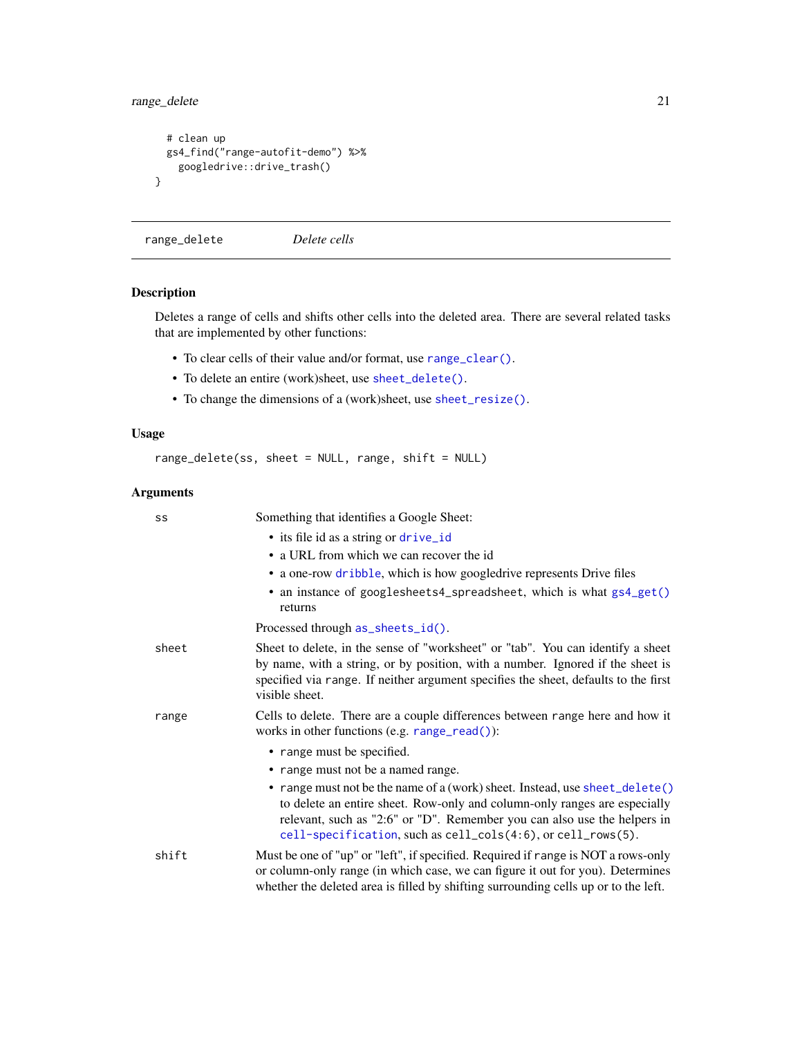## <span id="page-20-0"></span>range\_delete 21

```
# clean up
 gs4_find("range-autofit-demo") %>%
   googledrive::drive_trash()
}
```
<span id="page-20-1"></span>range\_delete *Delete cells*

## Description

Deletes a range of cells and shifts other cells into the deleted area. There are several related tasks that are implemented by other functions:

- To clear cells of their value and/or format, use [range\\_clear\(\)](#page-21-2).
- To delete an entire (work)sheet, use [sheet\\_delete\(\)](#page-42-1).
- To change the dimensions of a (work)sheet, use [sheet\\_resize\(\)](#page-47-1).

## Usage

```
range_delete(ss, sheet = NULL, range, shift = NULL)
```
#### Arguments

| SS    | Something that identifies a Google Sheet:                                                                                                                                                                                                                                                            |
|-------|------------------------------------------------------------------------------------------------------------------------------------------------------------------------------------------------------------------------------------------------------------------------------------------------------|
|       | • its file id as a string or drive_id                                                                                                                                                                                                                                                                |
|       | • a URL from which we can recover the id                                                                                                                                                                                                                                                             |
|       | • a one-row dribble, which is how googledrive represents Drive files                                                                                                                                                                                                                                 |
|       | • an instance of googlesheets4_spreadsheet, which is what gs4_get()<br>returns                                                                                                                                                                                                                       |
|       | Processed through as_sheets_id().                                                                                                                                                                                                                                                                    |
| sheet | Sheet to delete, in the sense of "worksheet" or "tab". You can identify a sheet<br>by name, with a string, or by position, with a number. Ignored if the sheet is<br>specified via range. If neither argument specifies the sheet, defaults to the first<br>visible sheet.                           |
| range | Cells to delete. There are a couple differences between range here and how it<br>works in other functions (e.g. $range_{read}()$ ):                                                                                                                                                                  |
|       | • range must be specified.                                                                                                                                                                                                                                                                           |
|       | • range must not be a named range.                                                                                                                                                                                                                                                                   |
|       | • range must not be the name of a (work) sheet. Instead, use sheet_delete()<br>to delete an entire sheet. Row-only and column-only ranges are especially<br>relevant, such as "2:6" or "D". Remember you can also use the helpers in<br>cell-specification, such as cell_cols(4:6), or cell_rows(5). |
| shift | Must be one of "up" or "left", if specified. Required if range is NOT a rows-only<br>or column-only range (in which case, we can figure it out for you). Determines<br>whether the deleted area is filled by shifting surrounding cells up or to the left.                                           |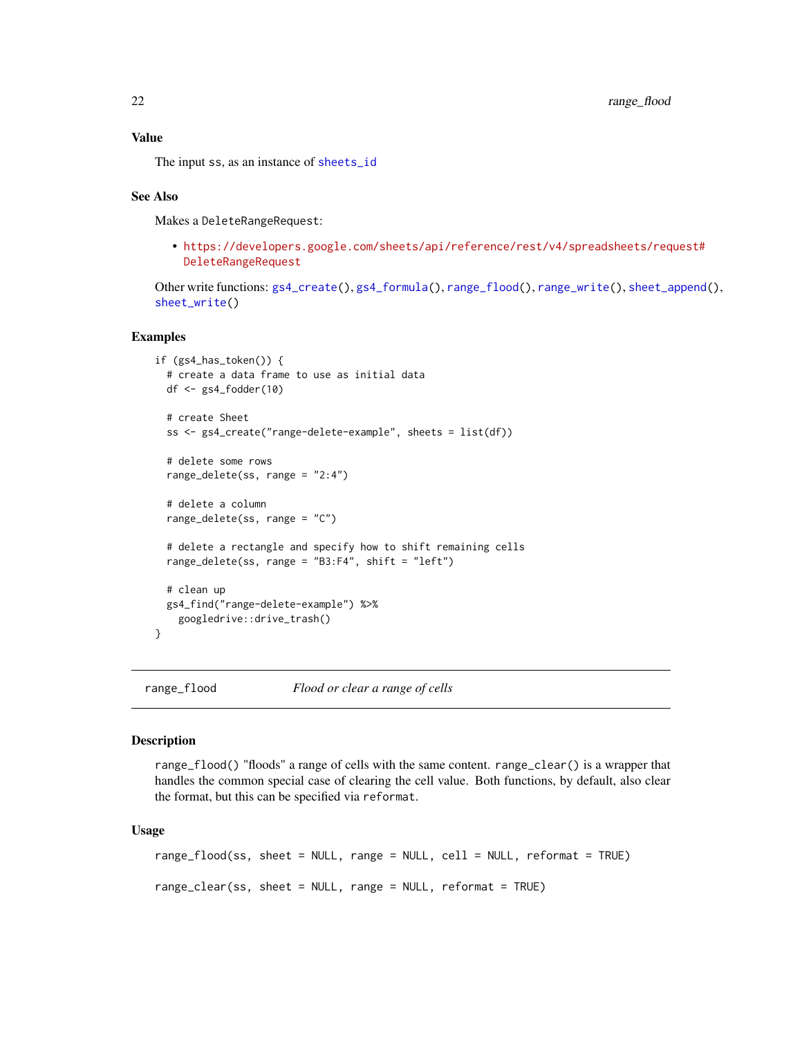## <span id="page-21-0"></span>Value

The input ss, as an instance of [sheets\\_id](#page-35-2)

#### See Also

Makes a DeleteRangeRequest:

• [https://developers.google.com/sheets/api/reference/rest/v4/spreadsheets/req](https://developers.google.com/sheets/api/reference/rest/v4/spreadsheets/request#DeleteRangeRequest)uest# [DeleteRangeRequest](https://developers.google.com/sheets/api/reference/rest/v4/spreadsheets/request#DeleteRangeRequest)

```
gs4_create(gs4_formula(range_flood(range_write(sheet_append(),
sheet_write()
```
#### Examples

```
if (gs4_has_token()) {
 # create a data frame to use as initial data
 df <- gs4_fodder(10)
 # create Sheet
 ss <- gs4_create("range-delete-example", sheets = list(df))
 # delete some rows
 range_delete(ss, range = "2:4")
 # delete a column
 range_delete(ss, range = "C")
 # delete a rectangle and specify how to shift remaining cells
 range_delete(ss, range = "B3:F4", shift = "left")
 # clean up
 gs4_find("range-delete-example") %>%
    googledrive::drive_trash()
}
```
<span id="page-21-1"></span>range\_flood *Flood or clear a range of cells*

#### <span id="page-21-2"></span>Description

range\_flood() "floods" a range of cells with the same content. range\_clear() is a wrapper that handles the common special case of clearing the cell value. Both functions, by default, also clear the format, but this can be specified via reformat.

#### Usage

```
range_flood(ss, sheet = NULL, range = NULL, cell = NULL, reformat = TRUE)
range_clear(ss, sheet = NULL, range = NULL, reformat = TRUE)
```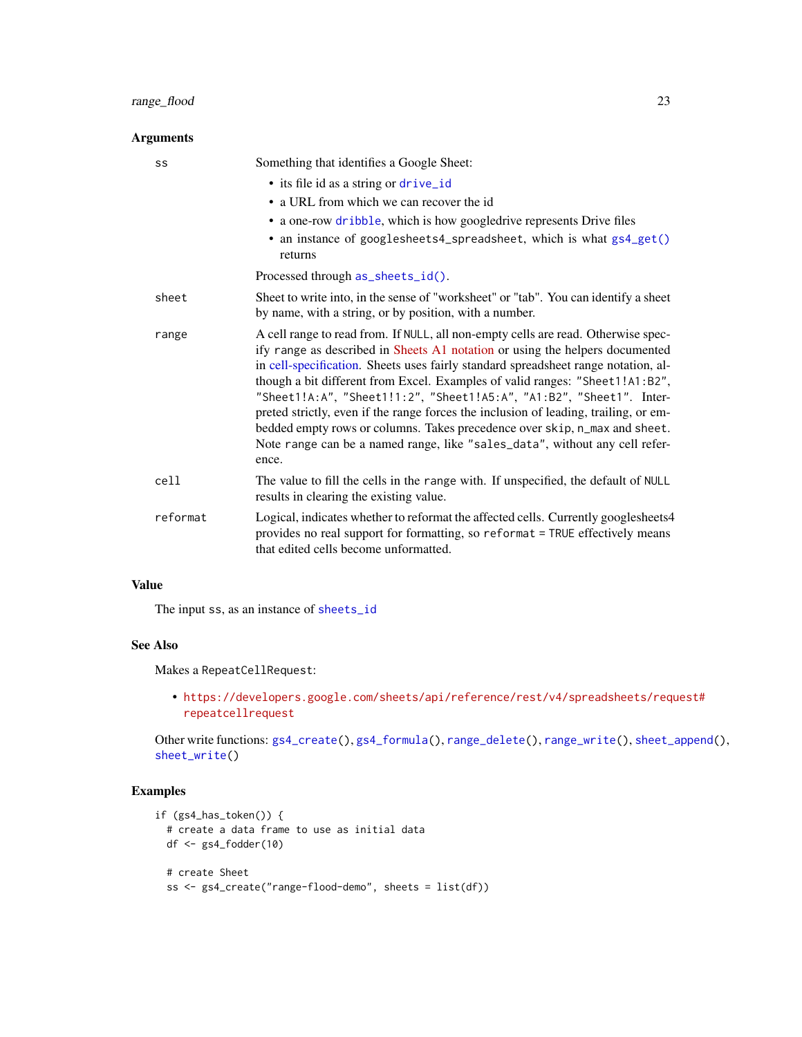## <span id="page-22-0"></span>range\_flood 23

#### Arguments

| SS       | Something that identifies a Google Sheet:                                                                                                                                                                                                                                                                                                                                                                                                                                                                                                                                                                                                                                     |
|----------|-------------------------------------------------------------------------------------------------------------------------------------------------------------------------------------------------------------------------------------------------------------------------------------------------------------------------------------------------------------------------------------------------------------------------------------------------------------------------------------------------------------------------------------------------------------------------------------------------------------------------------------------------------------------------------|
|          | • its file id as a string or drive_id                                                                                                                                                                                                                                                                                                                                                                                                                                                                                                                                                                                                                                         |
|          | • a URL from which we can recover the id                                                                                                                                                                                                                                                                                                                                                                                                                                                                                                                                                                                                                                      |
|          | • a one-row dribble, which is how googledrive represents Drive files                                                                                                                                                                                                                                                                                                                                                                                                                                                                                                                                                                                                          |
|          | • an instance of googlesheets4_spreadsheet, which is what gs4_get()<br>returns                                                                                                                                                                                                                                                                                                                                                                                                                                                                                                                                                                                                |
|          | Processed through as_sheets_id().                                                                                                                                                                                                                                                                                                                                                                                                                                                                                                                                                                                                                                             |
| sheet    | Sheet to write into, in the sense of "worksheet" or "tab". You can identify a sheet<br>by name, with a string, or by position, with a number.                                                                                                                                                                                                                                                                                                                                                                                                                                                                                                                                 |
| range    | A cell range to read from. If NULL, all non-empty cells are read. Otherwise spec-<br>ify range as described in Sheets A1 notation or using the helpers documented<br>in cell-specification. Sheets uses fairly standard spreadsheet range notation, al-<br>though a bit different from Excel. Examples of valid ranges: "Sheet1!A1:B2",<br>"Sheet1!A:A", "Sheet1!1:2", "Sheet1!A5:A", "A1:B2", "Sheet1". Inter-<br>preted strictly, even if the range forces the inclusion of leading, trailing, or em-<br>bedded empty rows or columns. Takes precedence over skip, n_max and sheet.<br>Note range can be a named range, like "sales_data", without any cell refer-<br>ence. |
| cell     | The value to fill the cells in the range with. If unspecified, the default of NULL<br>results in clearing the existing value.                                                                                                                                                                                                                                                                                                                                                                                                                                                                                                                                                 |
| reformat | Logical, indicates whether to reformat the affected cells. Currently googlesheets4<br>provides no real support for formatting, so reformat = TRUE effectively means<br>that edited cells become unformatted.                                                                                                                                                                                                                                                                                                                                                                                                                                                                  |

## Value

The input ss, as an instance of [sheets\\_id](#page-35-2)

## See Also

Makes a RepeatCellRequest:

• [https://developers.google.com/sheets/api/reference/rest/v4/spreadsheets/req](https://developers.google.com/sheets/api/reference/rest/v4/spreadsheets/request#repeatcellrequest)uest# [repeatcellrequest](https://developers.google.com/sheets/api/reference/rest/v4/spreadsheets/request#repeatcellrequest)

Other write functions: [gs4\\_create\(](#page-8-1)), [gs4\\_formula\(](#page-14-1)), [range\\_delete\(](#page-20-1)), [range\\_write\(](#page-30-1)), [sheet\\_append\(](#page-38-1)), [sheet\\_write\(](#page-48-1))

```
if (gs4_has_token()) {
  # create a data frame to use as initial data
 df <- gs4_fodder(10)
  # create Sheet
  ss <- gs4_create("range-flood-demo", sheets = list(df))
```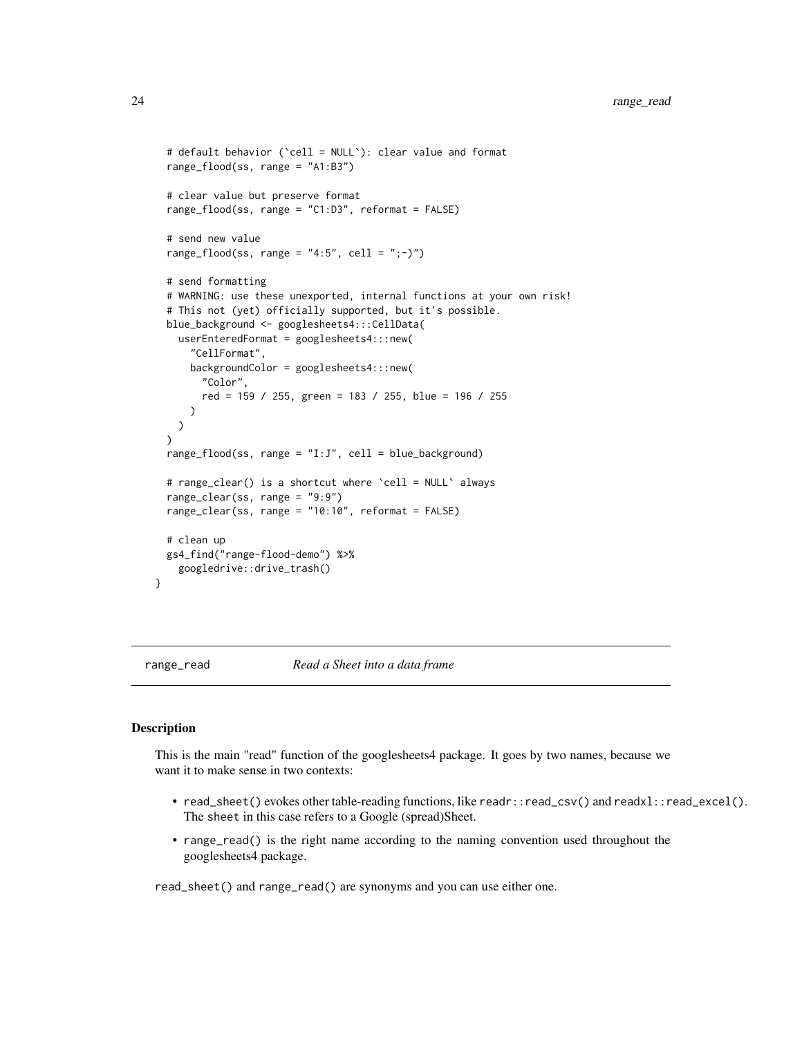```
# default behavior (`cell = NULL`): clear value and format
 range_flood(ss, range = "A1:B3")
 # clear value but preserve format
 range_flood(ss, range = "C1:D3", reformat = FALSE)
 # send new value
 range_flood(ss, range = "4:5", cell = ";-)")
 # send formatting
 # WARNING: use these unexported, internal functions at your own risk!
 # This not (yet) officially supported, but it's possible.
 blue_background <- googlesheets4:::CellData(
   userEnteredFormat = googlesheets4:::new(
      "CellFormat",
     backgroundColor = googlesheets4:::new(
        "Color",
        red = 159 / 255, green = 183 / 255, blue = 196 / 255
     )
   )
 \lambdarange_flood(ss, range = "I:J", cell = blue_background)
 # range_clear() is a shortcut where `cell = NULL` always
 range_clear(ss, range = "9:9")
 range_clear(ss, range = "10:10", reformat = FALSE)
 # clean up
 gs4_find("range-flood-demo") %>%
   googledrive::drive_trash()
}
```
<span id="page-23-2"></span>

range\_read *Read a Sheet into a data frame*

## <span id="page-23-1"></span>Description

This is the main "read" function of the googlesheets4 package. It goes by two names, because we want it to make sense in two contexts:

- read\_sheet() evokes other table-reading functions, like readr::read\_csv() and readxl::read\_excel(). The sheet in this case refers to a Google (spread)Sheet.
- range\_read() is the right name according to the naming convention used throughout the googlesheets4 package.

read\_sheet() and range\_read() are synonyms and you can use either one.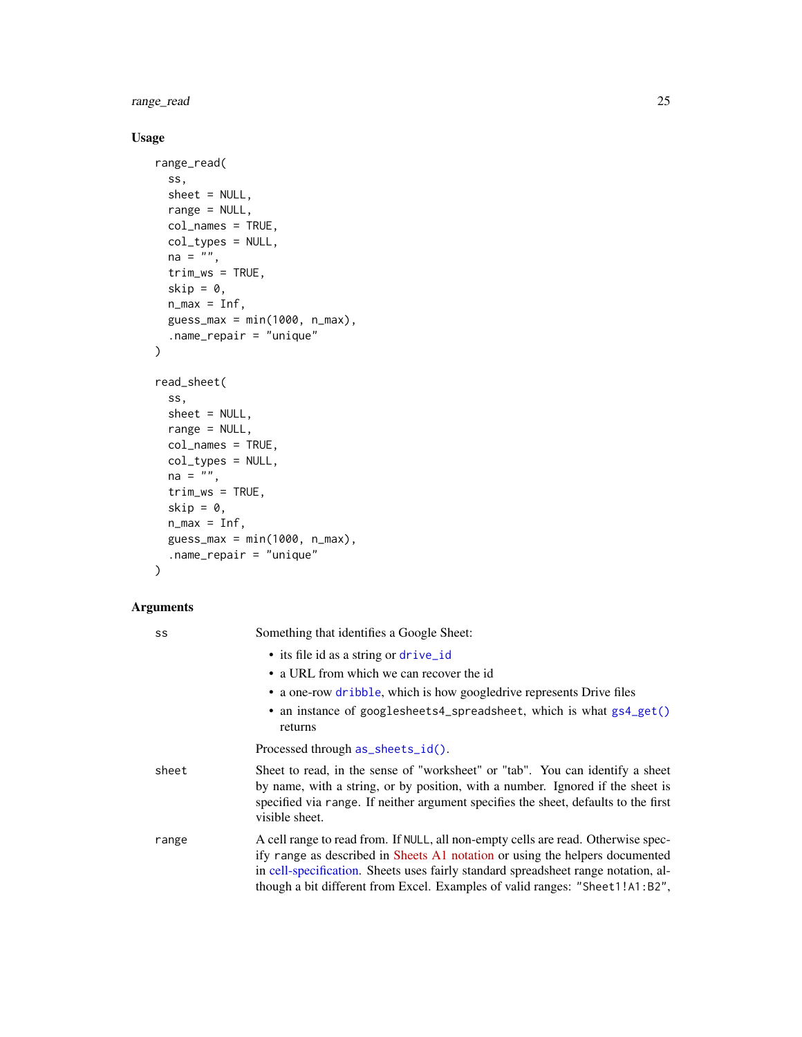<span id="page-24-0"></span>range\_read 25

## Usage

```
range_read(
  ss,
  sheet = NULL,
 range = NULL,
 col_names = TRUE,
 col_types = NULL,
 na = "",trim_ws = TRUE,
  skip = 0,n_{max} = Inf,guess_max = min(1000, n_max),
  .name_repair = "unique"
)
read_sheet(
  ss,
  sheet = NULL,
 range = NULL,
 col_names = TRUE,
 col_types = NULL,
 na = ""trim_ws = TRUE,
  skip = 0,n_max = Inf,guess_max = min(1000, n_max),
  .name_repair = "unique"
\mathcal{L}
```
## Arguments

| SS    | Something that identifies a Google Sheet:                                                                                                                                                                                                                                                                                               |
|-------|-----------------------------------------------------------------------------------------------------------------------------------------------------------------------------------------------------------------------------------------------------------------------------------------------------------------------------------------|
|       | • its file id as a string or drive_id                                                                                                                                                                                                                                                                                                   |
|       | • a URL from which we can recover the id                                                                                                                                                                                                                                                                                                |
|       | • a one-row dribble, which is how googledrive represents Drive files                                                                                                                                                                                                                                                                    |
|       | • an instance of googlesheets4_spreadsheet, which is what gs4_get()<br>returns                                                                                                                                                                                                                                                          |
|       | Processed through as_sheets_id().                                                                                                                                                                                                                                                                                                       |
| sheet | Sheet to read, in the sense of "worksheet" or "tab". You can identify a sheet<br>by name, with a string, or by position, with a number. Ignored if the sheet is<br>specified via range. If neither argument specifies the sheet, defaults to the first<br>visible sheet.                                                                |
| range | A cell range to read from. If NULL, all non-empty cells are read. Otherwise spec-<br>ify range as described in Sheets A1 notation or using the helpers documented<br>in cell-specification. Sheets uses fairly standard spreadsheet range notation, al-<br>though a bit different from Excel. Examples of valid ranges: "Sheet1!A1:B2", |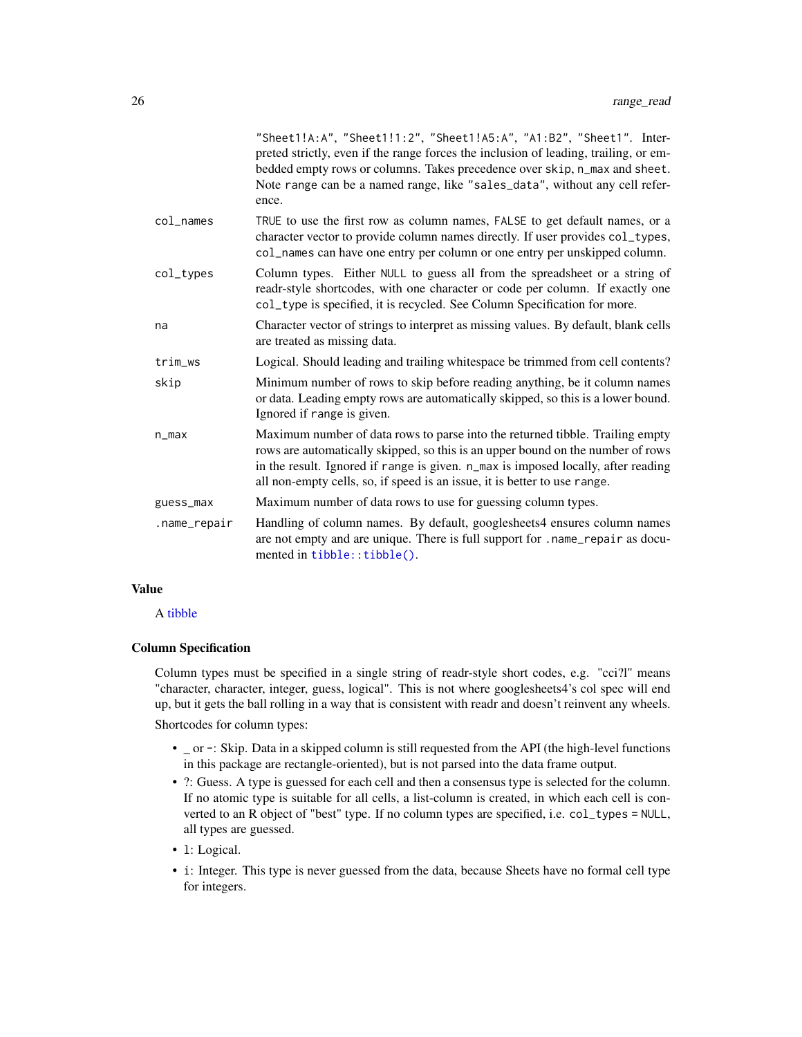<span id="page-25-0"></span>

|                        | "Sheet1!A:A", "Sheet1!1:2", "Sheet1!A5:A", "A1:B2", "Sheet1". Inter-<br>preted strictly, even if the range forces the inclusion of leading, trailing, or em-<br>bedded empty rows or columns. Takes precedence over skip, n_max and sheet.<br>Note range can be a named range, like "sales_data", without any cell refer-<br>ence. |
|------------------------|------------------------------------------------------------------------------------------------------------------------------------------------------------------------------------------------------------------------------------------------------------------------------------------------------------------------------------|
| $col$ <sub>mames</sub> | TRUE to use the first row as column names, FALSE to get default names, or a<br>character vector to provide column names directly. If user provides col_types,<br>col_names can have one entry per column or one entry per unskipped column.                                                                                        |
| col_types              | Column types. Either NULL to guess all from the spreadsheet or a string of<br>readr-style shortcodes, with one character or code per column. If exactly one<br>col_type is specified, it is recycled. See Column Specification for more.                                                                                           |
| na                     | Character vector of strings to interpret as missing values. By default, blank cells<br>are treated as missing data.                                                                                                                                                                                                                |
| trim_ws                | Logical. Should leading and trailing whitespace be trimmed from cell contents?                                                                                                                                                                                                                                                     |
| skip                   | Minimum number of rows to skip before reading anything, be it column names<br>or data. Leading empty rows are automatically skipped, so this is a lower bound.<br>Ignored if range is given.                                                                                                                                       |
| $n_{max}$              | Maximum number of data rows to parse into the returned tibble. Trailing empty<br>rows are automatically skipped, so this is an upper bound on the number of rows<br>in the result. Ignored if range is given. n_max is imposed locally, after reading<br>all non-empty cells, so, if speed is an issue, it is better to use range. |
| guess_max              | Maximum number of data rows to use for guessing column types.                                                                                                                                                                                                                                                                      |
| .name_repair           | Handling of column names. By default, googlesheets4 ensures column names<br>are not empty and are unique. There is full support for .name_repair as docu-<br>mented in tibble::tibble().                                                                                                                                           |
|                        |                                                                                                                                                                                                                                                                                                                                    |

## Value

## A [tibble](#page-0-0)

#### Column Specification

Column types must be specified in a single string of readr-style short codes, e.g. "cci?l" means "character, character, integer, guess, logical". This is not where googlesheets4's col spec will end up, but it gets the ball rolling in a way that is consistent with readr and doesn't reinvent any wheels.

Shortcodes for column types:

- \_ or -: Skip. Data in a skipped column is still requested from the API (the high-level functions in this package are rectangle-oriented), but is not parsed into the data frame output.
- ?: Guess. A type is guessed for each cell and then a consensus type is selected for the column. If no atomic type is suitable for all cells, a list-column is created, in which each cell is converted to an R object of "best" type. If no column types are specified, i.e. col\_types = NULL, all types are guessed.
- l: Logical.
- i: Integer. This type is never guessed from the data, because Sheets have no formal cell type for integers.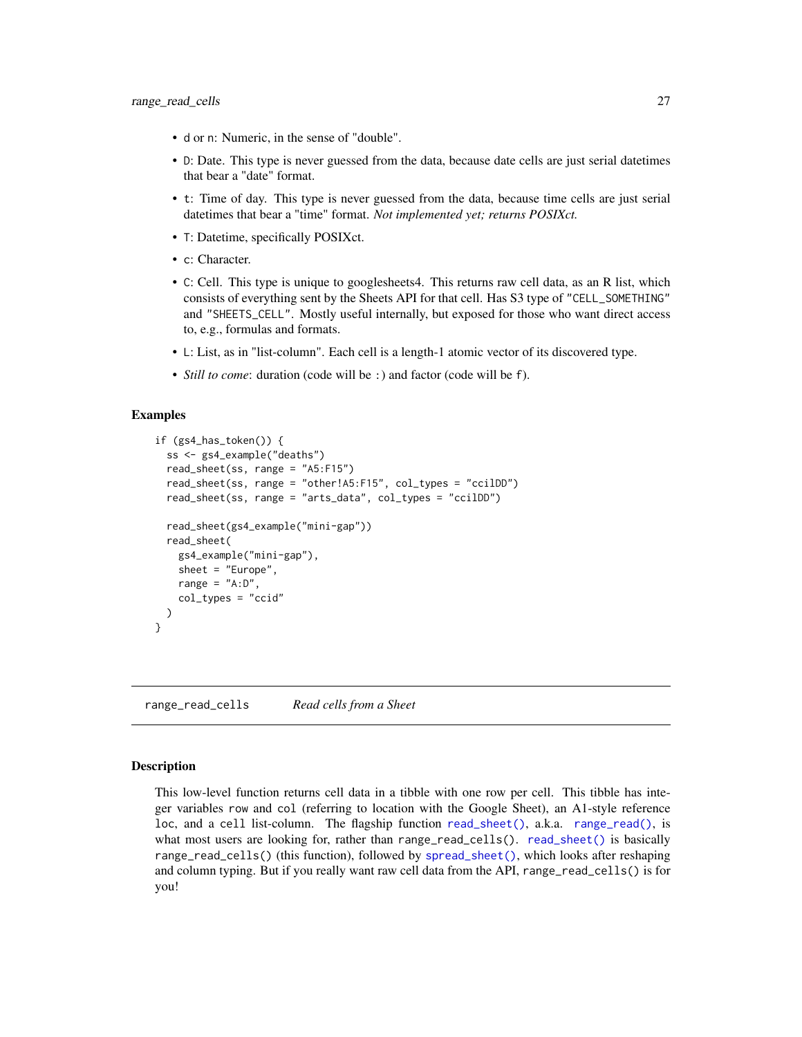- <span id="page-26-0"></span>• d or n: Numeric, in the sense of "double".
- D: Date. This type is never guessed from the data, because date cells are just serial datetimes that bear a "date" format.
- t: Time of day. This type is never guessed from the data, because time cells are just serial datetimes that bear a "time" format. *Not implemented yet; returns POSIXct.*
- T: Datetime, specifically POSIXct.
- c: Character.
- C: Cell. This type is unique to googlesheets4. This returns raw cell data, as an R list, which consists of everything sent by the Sheets API for that cell. Has S3 type of "CELL\_SOMETHING" and "SHEETS\_CELL". Mostly useful internally, but exposed for those who want direct access to, e.g., formulas and formats.
- L: List, as in "list-column". Each cell is a length-1 atomic vector of its discovered type.
- *Still to come*: duration (code will be :) and factor (code will be f).

#### Examples

```
if (gs4_has_token()) {
 ss <- gs4_example("deaths")
 read_sheet(ss, range = "A5:F15")
 read_sheet(ss, range = "other!A5:F15", col_types = "ccilDD")
 read_sheet(ss, range = "arts_data", col_types = "ccilDD")
 read_sheet(gs4_example("mini-gap"))
 read_sheet(
   gs4_example("mini-gap"),
    sheet = "Europe",
   range = "A:D",
   col_types = "ccid"
 )
}
```
<span id="page-26-1"></span>range\_read\_cells *Read cells from a Sheet*

#### Description

This low-level function returns cell data in a tibble with one row per cell. This tibble has integer variables row and col (referring to location with the Google Sheet), an A1-style reference loc, and a cell list-column. The flagship function [read\\_sheet\(\)](#page-23-1), a.k.a. [range\\_read\(\)](#page-23-2), is what most users are looking for, rather than range\_read\_cells(). [read\\_sheet\(\)](#page-23-1) is basically range\_read\_cells() (this function), followed by [spread\\_sheet\(\)](#page-50-1), which looks after reshaping and column typing. But if you really want raw cell data from the API, range\_read\_cells() is for you!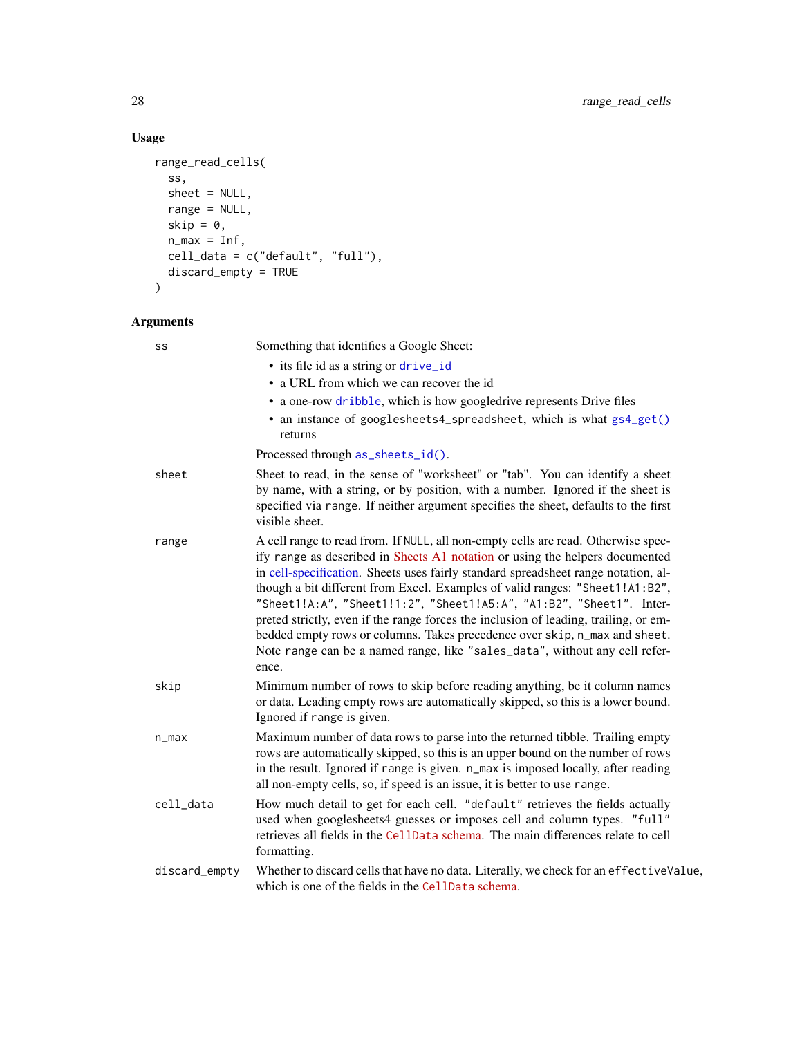## Usage

```
range_read_cells(
  ss,
  sheet = NULL,
  range = NULL,
  skip = 0,
  n_{max} = Inf,cell_data = c("default", "full"),
  discard_empty = TRUE
\mathcal{L}
```
## Arguments

| SS            | Something that identifies a Google Sheet:                                                                                                                                                                                                                                                                                                                                                                                                                                                                                                                                                                                                                                     |
|---------------|-------------------------------------------------------------------------------------------------------------------------------------------------------------------------------------------------------------------------------------------------------------------------------------------------------------------------------------------------------------------------------------------------------------------------------------------------------------------------------------------------------------------------------------------------------------------------------------------------------------------------------------------------------------------------------|
|               | • its file id as a string or drive_id                                                                                                                                                                                                                                                                                                                                                                                                                                                                                                                                                                                                                                         |
|               | • a URL from which we can recover the id                                                                                                                                                                                                                                                                                                                                                                                                                                                                                                                                                                                                                                      |
|               | • a one-row dribble, which is how googledrive represents Drive files                                                                                                                                                                                                                                                                                                                                                                                                                                                                                                                                                                                                          |
|               | • an instance of googlesheets4_spreadsheet, which is what gs4_get()<br>returns                                                                                                                                                                                                                                                                                                                                                                                                                                                                                                                                                                                                |
|               | Processed through as_sheets_id().                                                                                                                                                                                                                                                                                                                                                                                                                                                                                                                                                                                                                                             |
| sheet         | Sheet to read, in the sense of "worksheet" or "tab". You can identify a sheet<br>by name, with a string, or by position, with a number. Ignored if the sheet is<br>specified via range. If neither argument specifies the sheet, defaults to the first<br>visible sheet.                                                                                                                                                                                                                                                                                                                                                                                                      |
| range         | A cell range to read from. If NULL, all non-empty cells are read. Otherwise spec-<br>ify range as described in Sheets A1 notation or using the helpers documented<br>in cell-specification. Sheets uses fairly standard spreadsheet range notation, al-<br>though a bit different from Excel. Examples of valid ranges: "Sheet1!A1:B2",<br>"Sheet1!A:A", "Sheet1!1:2", "Sheet1!A5:A", "A1:B2", "Sheet1". Inter-<br>preted strictly, even if the range forces the inclusion of leading, trailing, or em-<br>bedded empty rows or columns. Takes precedence over skip, n_max and sheet.<br>Note range can be a named range, like "sales_data", without any cell refer-<br>ence. |
| skip          | Minimum number of rows to skip before reading anything, be it column names<br>or data. Leading empty rows are automatically skipped, so this is a lower bound.<br>Ignored if range is given.                                                                                                                                                                                                                                                                                                                                                                                                                                                                                  |
| $n_{max}$     | Maximum number of data rows to parse into the returned tibble. Trailing empty<br>rows are automatically skipped, so this is an upper bound on the number of rows<br>in the result. Ignored if range is given. n_max is imposed locally, after reading<br>all non-empty cells, so, if speed is an issue, it is better to use range.                                                                                                                                                                                                                                                                                                                                            |
| cell_data     | How much detail to get for each cell. "default" retrieves the fields actually<br>used when googlesheets4 guesses or imposes cell and column types. "full"<br>retrieves all fields in the CellData schema. The main differences relate to cell<br>formatting.                                                                                                                                                                                                                                                                                                                                                                                                                  |
| discard_empty | Whether to discard cells that have no data. Literally, we check for an effectiveValue,<br>which is one of the fields in the CellData schema.                                                                                                                                                                                                                                                                                                                                                                                                                                                                                                                                  |

<span id="page-27-0"></span>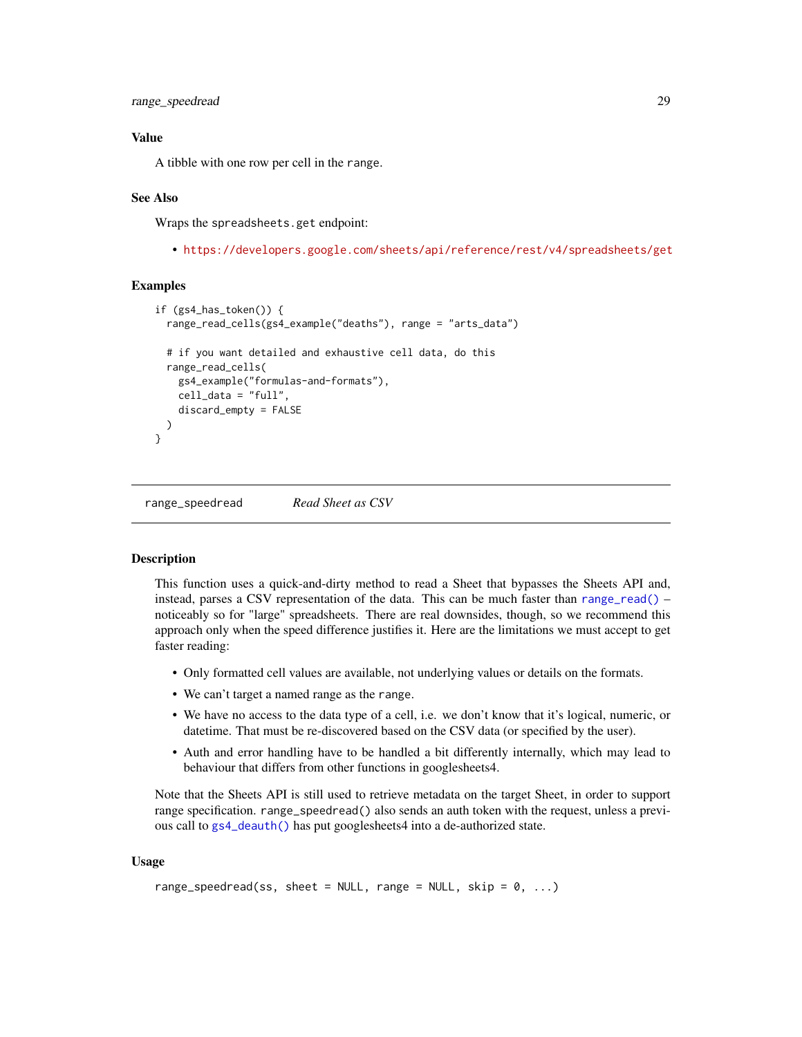<span id="page-28-0"></span>range\_speedread 29

## Value

A tibble with one row per cell in the range.

#### See Also

Wraps the spreadsheets.get endpoint:

• <https://developers.google.com/sheets/api/reference/rest/v4/spreadsheets/get>

## Examples

```
if (gs4_has_token()) {
  range_read_cells(gs4_example("deaths"), range = "arts_data")
 # if you want detailed and exhaustive cell data, do this
 range_read_cells(
    gs4_example("formulas-and-formats"),
    cell_data = "full",
    discard_empty = FALSE
 )
}
```
range\_speedread *Read Sheet as CSV*

#### **Description**

This function uses a quick-and-dirty method to read a Sheet that bypasses the Sheets API and, instead, parses a CSV representation of the data. This can be much faster than [range\\_read\(\)](#page-23-2) – noticeably so for "large" spreadsheets. There are real downsides, though, so we recommend this approach only when the speed difference justifies it. Here are the limitations we must accept to get faster reading:

- Only formatted cell values are available, not underlying values or details on the formats.
- We can't target a named range as the range.
- We have no access to the data type of a cell, i.e. we don't know that it's logical, numeric, or datetime. That must be re-discovered based on the CSV data (or specified by the user).
- Auth and error handling have to be handled a bit differently internally, which may lead to behaviour that differs from other functions in googlesheets4.

Note that the Sheets API is still used to retrieve metadata on the target Sheet, in order to support range specification. range\_speedread() also sends an auth token with the request, unless a previous call to [gs4\\_deauth\(\)](#page-10-1) has put googlesheets4 into a de-authorized state.

#### Usage

```
range_speedread(ss, sheet = NULL, range = NULL, skip = 0, ...)
```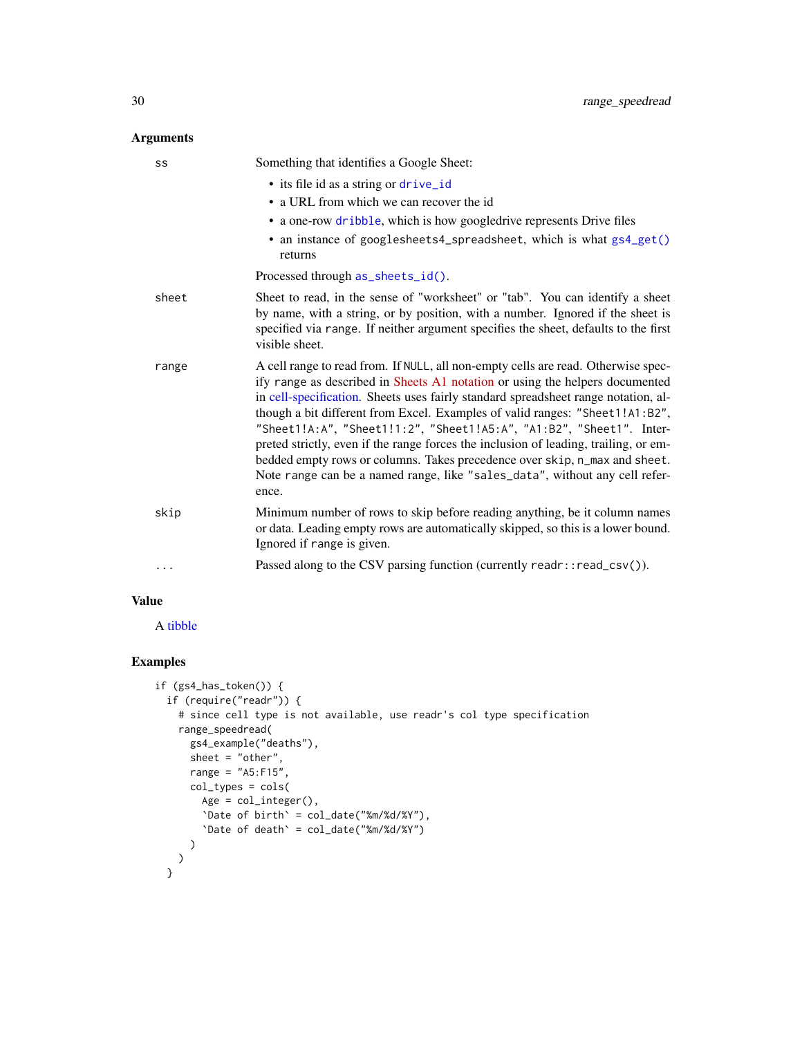## <span id="page-29-0"></span>Arguments

| SS    | Something that identifies a Google Sheet:                                                                                                                                                                                                                                                                                                                                                                                                                                                                                                                                                                                                                                     |
|-------|-------------------------------------------------------------------------------------------------------------------------------------------------------------------------------------------------------------------------------------------------------------------------------------------------------------------------------------------------------------------------------------------------------------------------------------------------------------------------------------------------------------------------------------------------------------------------------------------------------------------------------------------------------------------------------|
|       | • its file id as a string or drive_id                                                                                                                                                                                                                                                                                                                                                                                                                                                                                                                                                                                                                                         |
|       | • a URL from which we can recover the id                                                                                                                                                                                                                                                                                                                                                                                                                                                                                                                                                                                                                                      |
|       | • a one-row dribble, which is how googledrive represents Drive files                                                                                                                                                                                                                                                                                                                                                                                                                                                                                                                                                                                                          |
|       | • an instance of googlesheets4_spreadsheet, which is what gs4_get()<br>returns                                                                                                                                                                                                                                                                                                                                                                                                                                                                                                                                                                                                |
|       | Processed through as_sheets_id().                                                                                                                                                                                                                                                                                                                                                                                                                                                                                                                                                                                                                                             |
| sheet | Sheet to read, in the sense of "worksheet" or "tab". You can identify a sheet<br>by name, with a string, or by position, with a number. Ignored if the sheet is<br>specified via range. If neither argument specifies the sheet, defaults to the first<br>visible sheet.                                                                                                                                                                                                                                                                                                                                                                                                      |
| range | A cell range to read from. If NULL, all non-empty cells are read. Otherwise spec-<br>ify range as described in Sheets A1 notation or using the helpers documented<br>in cell-specification. Sheets uses fairly standard spreadsheet range notation, al-<br>though a bit different from Excel. Examples of valid ranges: "Sheet1!A1:B2",<br>"Sheet1!A:A", "Sheet1!1:2", "Sheet1!A5:A", "A1:B2", "Sheet1". Inter-<br>preted strictly, even if the range forces the inclusion of leading, trailing, or em-<br>bedded empty rows or columns. Takes precedence over skip, n_max and sheet.<br>Note range can be a named range, like "sales_data", without any cell refer-<br>ence. |
| skip  | Minimum number of rows to skip before reading anything, be it column names<br>or data. Leading empty rows are automatically skipped, so this is a lower bound.<br>Ignored if range is given.                                                                                                                                                                                                                                                                                                                                                                                                                                                                                  |
| .     | Passed along to the CSV parsing function (currently readr::read_csv()).                                                                                                                                                                                                                                                                                                                                                                                                                                                                                                                                                                                                       |

## Value

A [tibble](#page-0-0)

```
if (gs4_has_token()) {
 if (require("readr")) {
   # since cell type is not available, use readr's col type specification
   range_speedread(
     gs4_example("deaths"),
     sheet = "other",
     range = "A5: F15",col_types = cols(
       Age = col\_integer(),
       `Date of birth` = col_date("%m/%d/%Y"),
       `Date of death` = col_date("%m/%d/%Y")
     )
    )
  }
```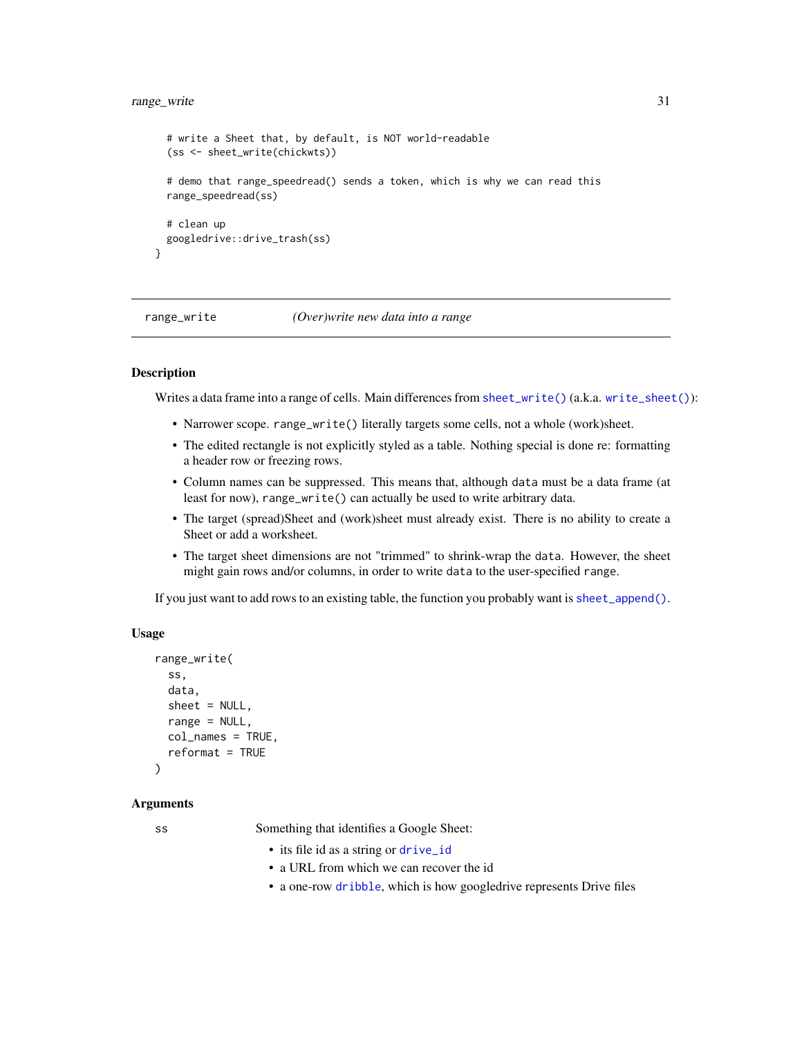## <span id="page-30-0"></span>range\_write 31

```
# write a Sheet that, by default, is NOT world-readable
(ss <- sheet_write(chickwts))
# demo that range_speedread() sends a token, which is why we can read this
range_speedread(ss)
# clean up
googledrive::drive_trash(ss)
```
<span id="page-30-1"></span>range\_write *(Over)write new data into a range*

#### Description

}

Writes a data frame into a range of cells. Main differences from [sheet\\_write\(\)](#page-48-1) (a.k.a. [write\\_sheet\(\)](#page-48-2)):

- Narrower scope. range\_write() literally targets some cells, not a whole (work)sheet.
- The edited rectangle is not explicitly styled as a table. Nothing special is done re: formatting a header row or freezing rows.
- Column names can be suppressed. This means that, although data must be a data frame (at least for now), range\_write() can actually be used to write arbitrary data.
- The target (spread)Sheet and (work)sheet must already exist. There is no ability to create a Sheet or add a worksheet.
- The target sheet dimensions are not "trimmed" to shrink-wrap the data. However, the sheet might gain rows and/or columns, in order to write data to the user-specified range.

If you just want to add rows to an existing table, the function you probably want is [sheet\\_append\(\)](#page-38-1).

## Usage

```
range_write(
  ss,
  data,
  sheet = NULL,
  range = NULL,
 col_names = TRUE,
  reformat = TRUE)
```
#### Arguments

ss Something that identifies a Google Sheet:

- its file id as a string or [drive\\_id](#page-0-0)
- a URL from which we can recover the id
- a one-row [dribble](#page-0-0), which is how googledrive represents Drive files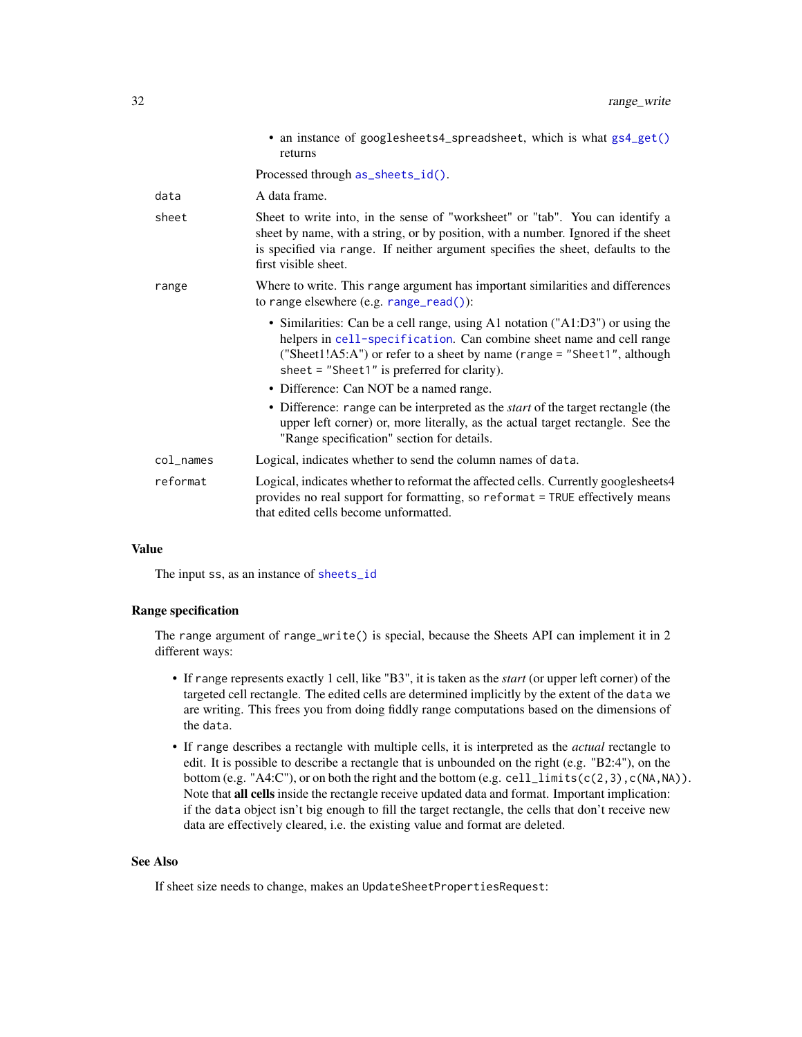<span id="page-31-0"></span>

|           | • an instance of googlesheets4_spreadsheet, which is what gs4_get()<br>returns                                                                                                                                                                                                      |
|-----------|-------------------------------------------------------------------------------------------------------------------------------------------------------------------------------------------------------------------------------------------------------------------------------------|
|           | Processed through as_sheets_id().                                                                                                                                                                                                                                                   |
| data      | A data frame.                                                                                                                                                                                                                                                                       |
| sheet     | Sheet to write into, in the sense of "worksheet" or "tab". You can identify a<br>sheet by name, with a string, or by position, with a number. Ignored if the sheet<br>is specified via range. If neither argument specifies the sheet, defaults to the<br>first visible sheet.      |
| range     | Where to write. This range argument has important similarities and differences<br>to range elsewhere $(e.g. range\_read())$ :                                                                                                                                                       |
|           | • Similarities: Can be a cell range, using A1 notation ("A1:D3") or using the<br>helpers in cell-specification. Can combine sheet name and cell range<br>("Sheet1! $A5:A$ ") or refer to a sheet by name (range = "Sheet1", although<br>sheet = "Sheet1" is preferred for clarity). |
|           | • Difference: Can NOT be a named range.                                                                                                                                                                                                                                             |
|           | • Difference: range can be interpreted as the <i>start</i> of the target rectangle (the<br>upper left corner) or, more literally, as the actual target rectangle. See the<br>"Range specification" section for details.                                                             |
| col names | Logical, indicates whether to send the column names of data.                                                                                                                                                                                                                        |
| reformat  | Logical, indicates whether to reformat the affected cells. Currently googlesheets4<br>provides no real support for formatting, so reformat = TRUE effectively means<br>that edited cells become unformatted.                                                                        |

#### Value

The input ss, as an instance of [sheets\\_id](#page-35-2)

## Range specification

The range argument of range\_write() is special, because the Sheets API can implement it in 2 different ways:

- If range represents exactly 1 cell, like "B3", it is taken as the *start* (or upper left corner) of the targeted cell rectangle. The edited cells are determined implicitly by the extent of the data we are writing. This frees you from doing fiddly range computations based on the dimensions of the data.
- If range describes a rectangle with multiple cells, it is interpreted as the *actual* rectangle to edit. It is possible to describe a rectangle that is unbounded on the right (e.g. "B2:4"), on the bottom (e.g. "A4:C"), or on both the right and the bottom (e.g. cell\_limits( $c(2,3)$ ,  $c(NA,NA)$ ). Note that all cells inside the rectangle receive updated data and format. Important implication: if the data object isn't big enough to fill the target rectangle, the cells that don't receive new data are effectively cleared, i.e. the existing value and format are deleted.

## See Also

If sheet size needs to change, makes an UpdateSheetPropertiesRequest: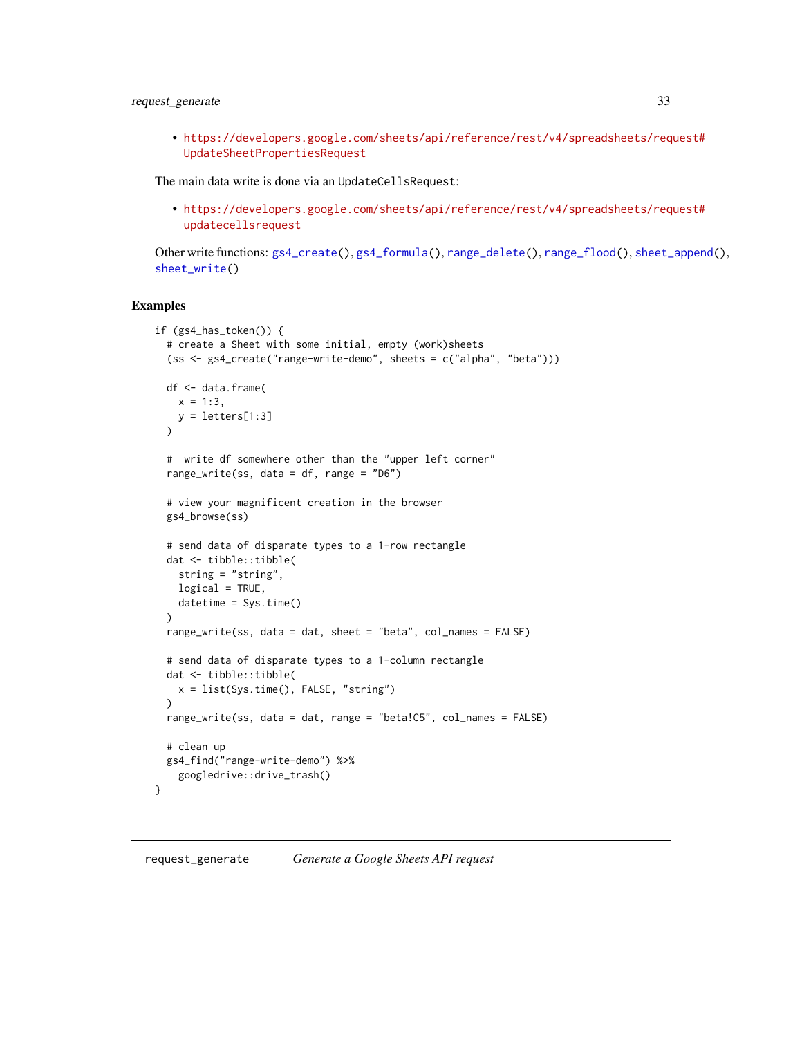## <span id="page-32-0"></span>request\_generate 33

• [https://developers.google.com/sheets/api/reference/rest/v4/spreadsheets/req](https://developers.google.com/sheets/api/reference/rest/v4/spreadsheets/request#UpdateSheetPropertiesRequest)uest# [UpdateSheetPropertiesRequest](https://developers.google.com/sheets/api/reference/rest/v4/spreadsheets/request#UpdateSheetPropertiesRequest)

The main data write is done via an UpdateCellsRequest:

• [https://developers.google.com/sheets/api/reference/rest/v4/spreadsheets/req](https://developers.google.com/sheets/api/reference/rest/v4/spreadsheets/request#updatecellsrequest)uest# [updatecellsrequest](https://developers.google.com/sheets/api/reference/rest/v4/spreadsheets/request#updatecellsrequest)

Other write functions: [gs4\\_create\(](#page-8-1)), [gs4\\_formula\(](#page-14-1)), [range\\_delete\(](#page-20-1)), [range\\_flood\(](#page-21-1)), [sheet\\_append\(](#page-38-1)), [sheet\\_write\(](#page-48-1))

#### Examples

```
if (gs4_has_token()) {
 # create a Sheet with some initial, empty (work)sheets
 (ss <- gs4_create("range-write-demo", sheets = c("alpha", "beta")))
 df <- data.frame(
   x = 1:3,
   y = letters[1:3]\lambda# write df somewhere other than the "upper left corner"
 range_write(ss, data = df, range = "D6")
 # view your magnificent creation in the browser
 gs4_browse(ss)
 # send data of disparate types to a 1-row rectangle
 dat <- tibble::tibble(
   string = "string",
   logical = TRUE,datetime = Sys.time()
 )
 range_write(ss, data = dat, sheet = "beta", col_names = FALSE)
 # send data of disparate types to a 1-column rectangle
 dat <- tibble::tibble(
   x = list(Sys.time(), FALSE, "string")
 \lambdarange_write(ss, data = dat, range = "beta!C5", col_names = FALSE)
 # clean up
 gs4_find("range-write-demo") %>%
   googledrive::drive_trash()
}
```
<span id="page-32-1"></span>request\_generate *Generate a Google Sheets API request*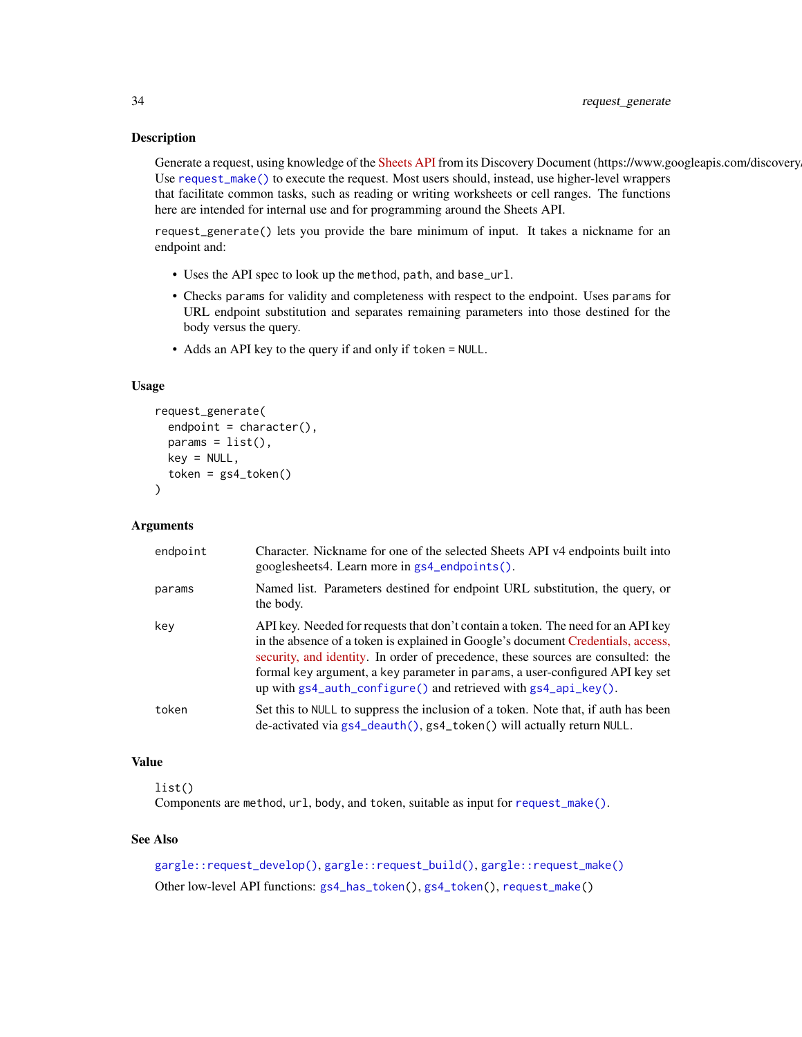#### **Description**

Generate a request, using knowledge of the [Sheets API](https://developers.google.com/sheets/api/) from its Discovery Document (https://www.googleapis.com/discovery Use [request\\_make\(\)](#page-34-1) to execute the request. Most users should, instead, use higher-level wrappers that facilitate common tasks, such as reading or writing worksheets or cell ranges. The functions here are intended for internal use and for programming around the Sheets API.

request\_generate() lets you provide the bare minimum of input. It takes a nickname for an endpoint and:

- Uses the API spec to look up the method, path, and base\_url.
- Checks params for validity and completeness with respect to the endpoint. Uses params for URL endpoint substitution and separates remaining parameters into those destined for the body versus the query.
- Adds an API key to the query if and only if token = NULL.

#### Usage

```
request_generate(
  endpoint = character(),params = list(),key = NULL,token = gs4_token()
\mathcal{L}
```
#### Arguments

| endpoint | Character. Nickname for one of the selected Sheets API v4 endpoints built into<br>googlesheets4. Learn more in gs4_endpoints().                                                                                                                                                                                                                                                                                    |
|----------|--------------------------------------------------------------------------------------------------------------------------------------------------------------------------------------------------------------------------------------------------------------------------------------------------------------------------------------------------------------------------------------------------------------------|
| params   | Named list. Parameters destined for endpoint URL substitution, the query, or<br>the body.                                                                                                                                                                                                                                                                                                                          |
| key      | API key. Needed for requests that don't contain a token. The need for an API key<br>in the absence of a token is explained in Google's document Credentials, access,<br>security, and identity. In order of precedence, these sources are consulted: the<br>formal key argument, a key parameter in params, a user-configured API key set<br>up with $gs4$ auth configure() and retrieved with $gs4$ api $key()$ . |
| token    | Set this to NULL to suppress the inclusion of a token. Note that, if auth has been<br>de-activated via gs4_deauth(), gs4_token() will actually return NULL.                                                                                                                                                                                                                                                        |

## Value

list()

Components are method, url, body, and token, suitable as input for [request\\_make\(\)](#page-34-1).

#### See Also

[gargle::request\\_develop\(\)](#page-0-0), [gargle::request\\_build\(\)](#page-0-0), [gargle::request\\_make\(\)](#page-0-0) Other low-level API functions: [gs4\\_has\\_token\(](#page-16-1)), [gs4\\_token\(](#page-17-1)), [request\\_make\(](#page-34-1))

<span id="page-33-0"></span>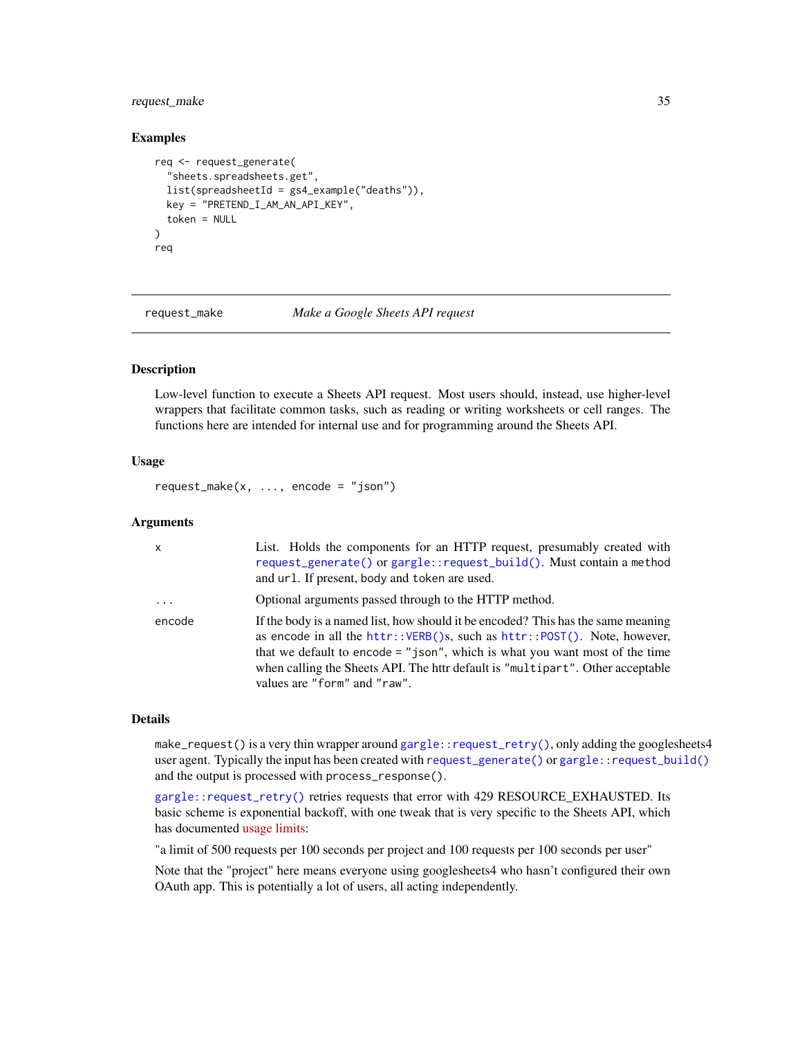## <span id="page-34-0"></span>request\_make 35

#### Examples

```
req <- request_generate(
 "sheets.spreadsheets.get",
 list(spreadsheetId = gs4_example("deaths")),
 key = "PRETEND_I_AM_AN_API_KEY",
 token = NULL
\lambdareq
```
<span id="page-34-1"></span>request\_make *Make a Google Sheets API request*

#### Description

Low-level function to execute a Sheets API request. Most users should, instead, use higher-level wrappers that facilitate common tasks, such as reading or writing worksheets or cell ranges. The functions here are intended for internal use and for programming around the Sheets API.

## Usage

request\_make(x,  $\dots$ , encode = "json")

#### Arguments

| X        | List. Holds the components for an HTTP request, presumably created with<br>request_generate() or gargle::request_build(). Must contain a method<br>and url. If present, body and token are used.                                                                                                                                                                  |
|----------|-------------------------------------------------------------------------------------------------------------------------------------------------------------------------------------------------------------------------------------------------------------------------------------------------------------------------------------------------------------------|
| $\cdots$ | Optional arguments passed through to the HTTP method.                                                                                                                                                                                                                                                                                                             |
| encode   | If the body is a named list, how should it be encoded? This has the same meaning<br>as encode in all the httr:: VERB()s, such as httr:: POST(). Note, however,<br>that we default to encode $=$ "json", which is what you want most of the time<br>when calling the Sheets API. The httr default is "multipart". Other acceptable<br>values are "form" and "raw". |

## Details

make\_request() is a very thin wrapper around [gargle::request\\_retry\(\)](#page-0-0), only adding the googlesheets4 user agent. Typically the input has been created with [request\\_generate\(\)](#page-32-1) or [gargle::request\\_build\(\)](#page-0-0) and the output is processed with process\_response().

[gargle::request\\_retry\(\)](#page-0-0) retries requests that error with 429 RESOURCE\_EXHAUSTED. Its basic scheme is exponential backoff, with one tweak that is very specific to the Sheets API, which has documented [usage limits:](https://developers.google.com/sheets/api/reference/limits)

"a limit of 500 requests per 100 seconds per project and 100 requests per 100 seconds per user"

Note that the "project" here means everyone using googlesheets4 who hasn't configured their own OAuth app. This is potentially a lot of users, all acting independently.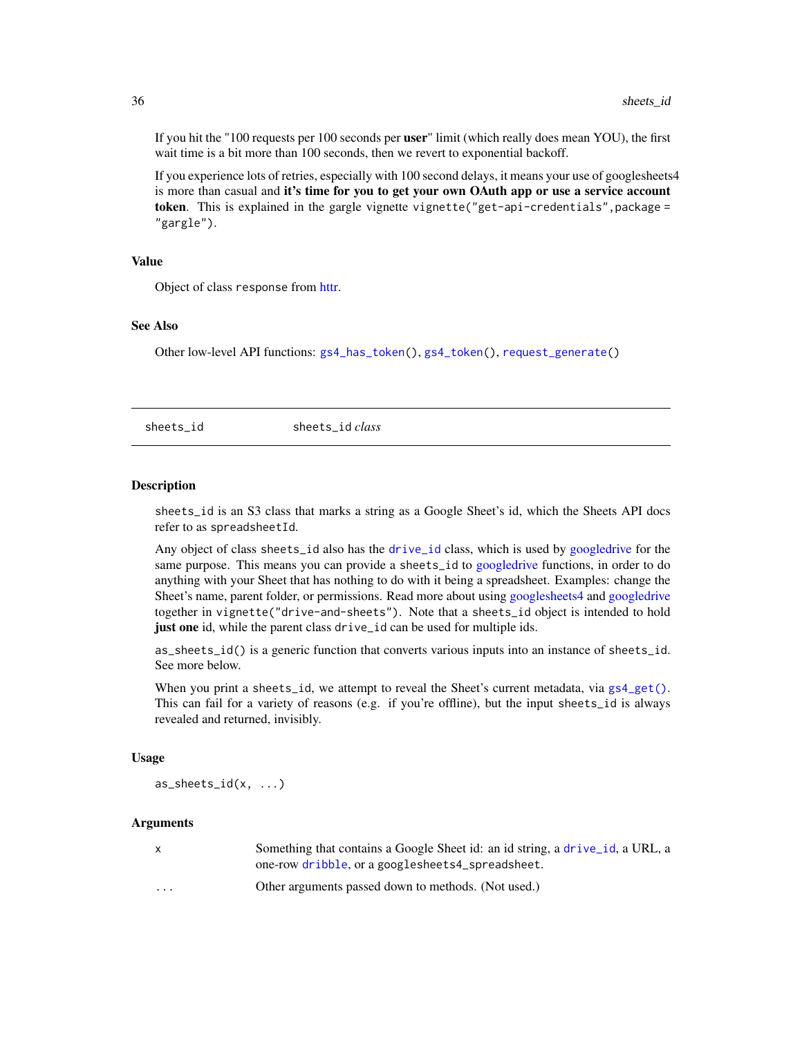If you hit the "100 requests per 100 seconds per **user**" limit (which really does mean YOU), the first wait time is a bit more than 100 seconds, then we revert to exponential backoff.

If you experience lots of retries, especially with 100 second delays, it means your use of googlesheets4 is more than casual and it's time for you to get your own OAuth app or use a service account token. This is explained in the gargle vignette vignette("get-api-credentials", package = "gargle").

## Value

Object of class response from [httr.](#page-0-0)

#### See Also

Other low-level API functions: [gs4\\_has\\_token\(](#page-16-1)), [gs4\\_token\(](#page-17-1)), [request\\_generate\(](#page-32-1))

<span id="page-35-2"></span>sheets\_id sheets\_id *class*

#### <span id="page-35-1"></span>Description

sheets\_id is an S3 class that marks a string as a Google Sheet's id, which the Sheets API docs refer to as spreadsheetId.

Any object of class sheets\_id also has the [drive\\_id](#page-0-0) class, which is used by [googledrive](#page-0-0) for the same purpose. This means you can provide a sheets\_id to [googledrive](#page-0-0) functions, in order to do anything with your Sheet that has nothing to do with it being a spreadsheet. Examples: change the Sheet's name, parent folder, or permissions. Read more about using [googlesheets4](#page-0-0) and [googledrive](#page-0-0) together in vignette("drive-and-sheets"). Note that a sheets\_id object is intended to hold just one id, while the parent class drive\_id can be used for multiple ids.

as\_sheets\_id() is a generic function that converts various inputs into an instance of sheets\_id. See more below.

When you print a sheets\_id, we attempt to reveal the Sheet's current metadata, via [gs4\\_get\(\)](#page-15-1). This can fail for a variety of reasons (e.g. if you're offline), but the input sheets\_id is always revealed and returned, invisibly.

#### Usage

 $as\_sheets_id(x, \ldots)$ 

#### Arguments

| X        | Something that contains a Google Sheet id: an id string, a drive id, a URL, a<br>one-row dribble, or a googlesheets4_spreadsheet. |
|----------|-----------------------------------------------------------------------------------------------------------------------------------|
| $\cdots$ | Other arguments passed down to methods. (Not used.)                                                                               |

<span id="page-35-0"></span>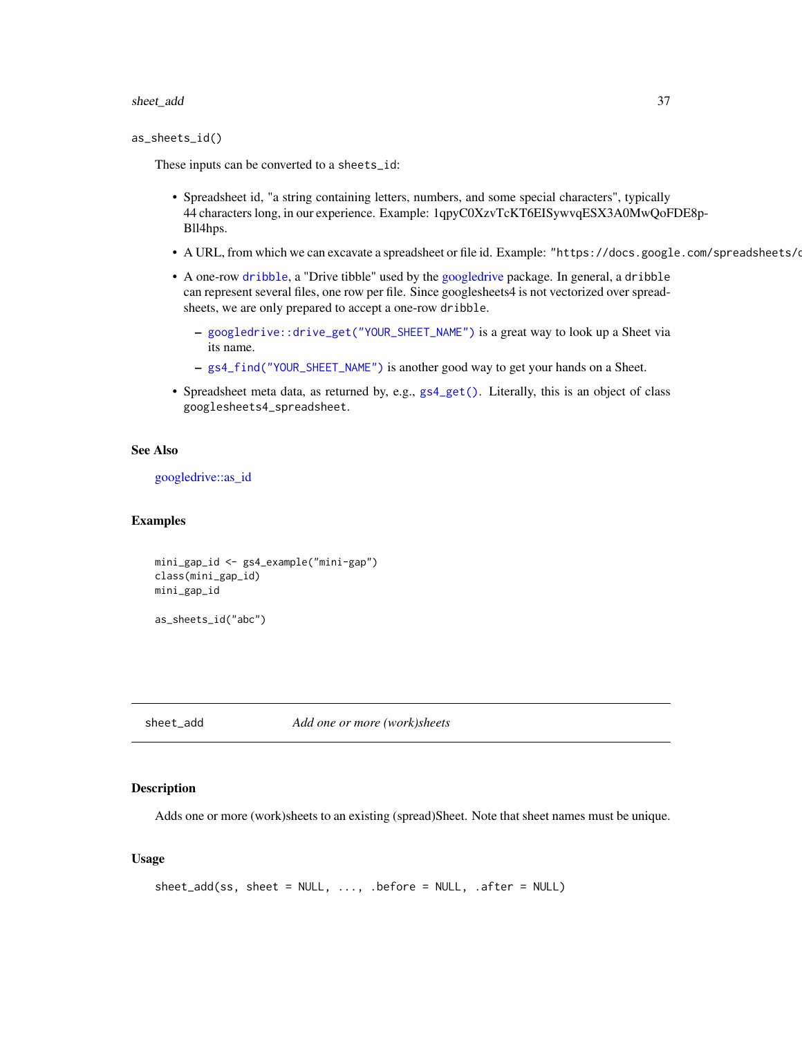#### <span id="page-36-0"></span>sheet\_add 37

```
as_sheets_id()
```
These inputs can be converted to a sheets\_id:

- Spreadsheet id, "a string containing letters, numbers, and some special characters", typically 44 characters long, in our experience. Example: 1qpyC0XzvTcKT6EISywvqESX3A0MwQoFDE8p-Bll4hps.
- A URL, from which we can excavate a spreadsheet or file id. Example: "https://docs.google.com/spreadsheets/d
- A one-row [dribble](#page-0-0), a "Drive tibble" used by the [googledrive](#page-0-0) package. In general, a dribble can represent several files, one row per file. Since googlesheets4 is not vectorized over spreadsheets, we are only prepared to accept a one-row dribble.
	- [googledrive::drive\\_get\("YOUR\\_SHEET\\_NAME"\)](#page-0-0) is a great way to look up a Sheet via its name.
	- [gs4\\_find\("YOUR\\_SHEET\\_NAME"\)](#page-12-1) is another good way to get your hands on a Sheet.
- Spreadsheet meta data, as returned by, e.g., [gs4\\_get\(\)](#page-15-1). Literally, this is an object of class googlesheets4\_spreadsheet.

## See Also

[googledrive::as\\_id](#page-0-0)

#### Examples

```
mini_gap_id <- gs4_example("mini-gap")
class(mini_gap_id)
mini_gap_id
```
as\_sheets\_id("abc")

<span id="page-36-1"></span>sheet\_add *Add one or more (work)sheets*

#### Description

Adds one or more (work)sheets to an existing (spread)Sheet. Note that sheet names must be unique.

#### Usage

```
sheet\_add(ss, sheet = NULL, ..., before = NULL, .after = NULL)
```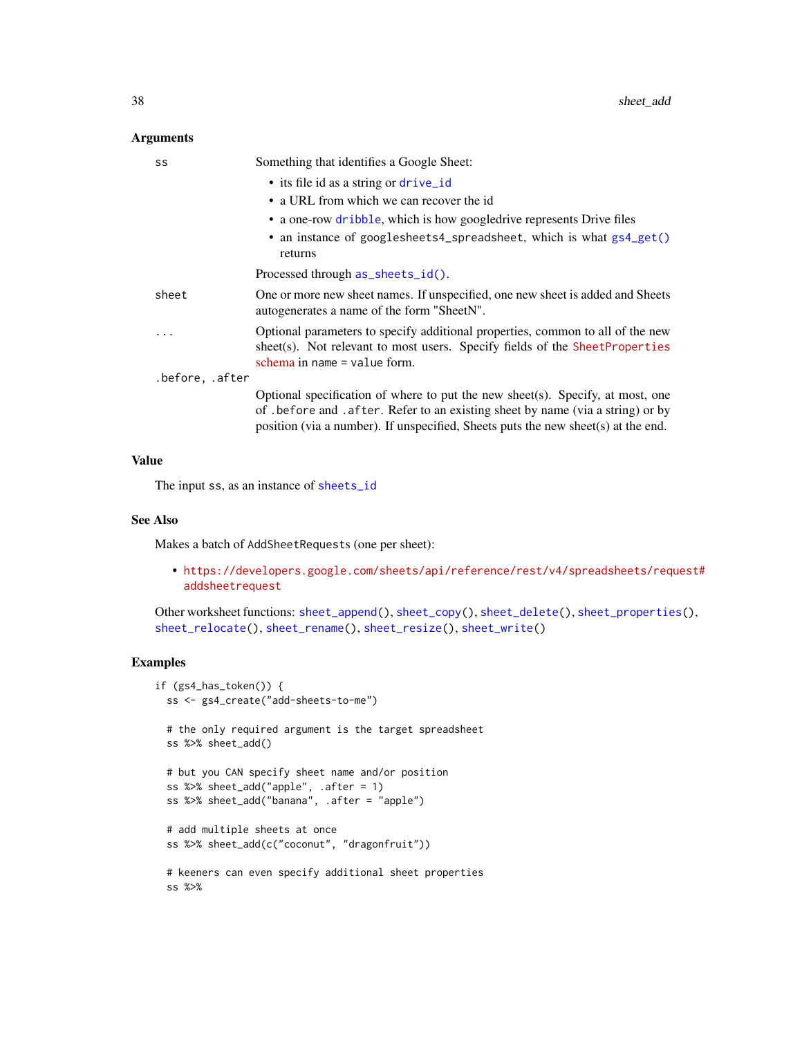#### <span id="page-37-0"></span>Arguments

| SS              | Something that identifies a Google Sheet:                                                                                                                                                                                                               |
|-----------------|---------------------------------------------------------------------------------------------------------------------------------------------------------------------------------------------------------------------------------------------------------|
|                 | • its file id as a string or drive_id                                                                                                                                                                                                                   |
|                 | • a URL from which we can recover the id                                                                                                                                                                                                                |
|                 | • a one-row dribble, which is how googledrive represents Drive files                                                                                                                                                                                    |
|                 | • an instance of googlesheets4_spreadsheet, which is what gs4_get()<br>returns                                                                                                                                                                          |
|                 | Processed through as_sheets_id().                                                                                                                                                                                                                       |
| sheet           | One or more new sheet names. If unspecified, one new sheet is added and Sheets<br>autogenerates a name of the form "SheetN".                                                                                                                            |
|                 | Optional parameters to specify additional properties, common to all of the new<br>sheet(s). Not relevant to most users. Specify fields of the SheetProperties<br>schema in name $=$ value form.                                                         |
| .before, .after |                                                                                                                                                                                                                                                         |
|                 | Optional specification of where to put the new sheet(s). Specify, at most, one<br>of . before and . after. Refer to an existing sheet by name (via a string) or by<br>position (via a number). If unspecified, Sheets puts the new sheet(s) at the end. |

#### Value

The input ss, as an instance of [sheets\\_id](#page-35-2)

#### See Also

Makes a batch of AddSheetRequests (one per sheet):

• [https://developers.google.com/sheets/api/reference/rest/v4/spreadsheets/req](https://developers.google.com/sheets/api/reference/rest/v4/spreadsheets/request#addsheetrequest)uest# [addsheetrequest](https://developers.google.com/sheets/api/reference/rest/v4/spreadsheets/request#addsheetrequest)

Other worksheet functions: [sheet\\_append\(](#page-38-1)), [sheet\\_copy\(](#page-39-1)), [sheet\\_delete\(](#page-42-1)), [sheet\\_properties\(](#page-43-1)), [sheet\\_relocate\(](#page-44-1)), [sheet\\_rename\(](#page-46-1)), [sheet\\_resize\(](#page-47-1)), [sheet\\_write\(](#page-48-1))

```
if (gs4_has_token()) {
  ss <- gs4_create("add-sheets-to-me")
  # the only required argument is the target spreadsheet
  ss %>% sheet_add()
  # but you CAN specify sheet name and/or position
  ss %>% sheet_add("apple", .after = 1)
  ss %>% sheet_add("banana", .after = "apple")
  # add multiple sheets at once
  ss %>% sheet_add(c("coconut", "dragonfruit"))
  # keeners can even specify additional sheet properties
  ss %>%
```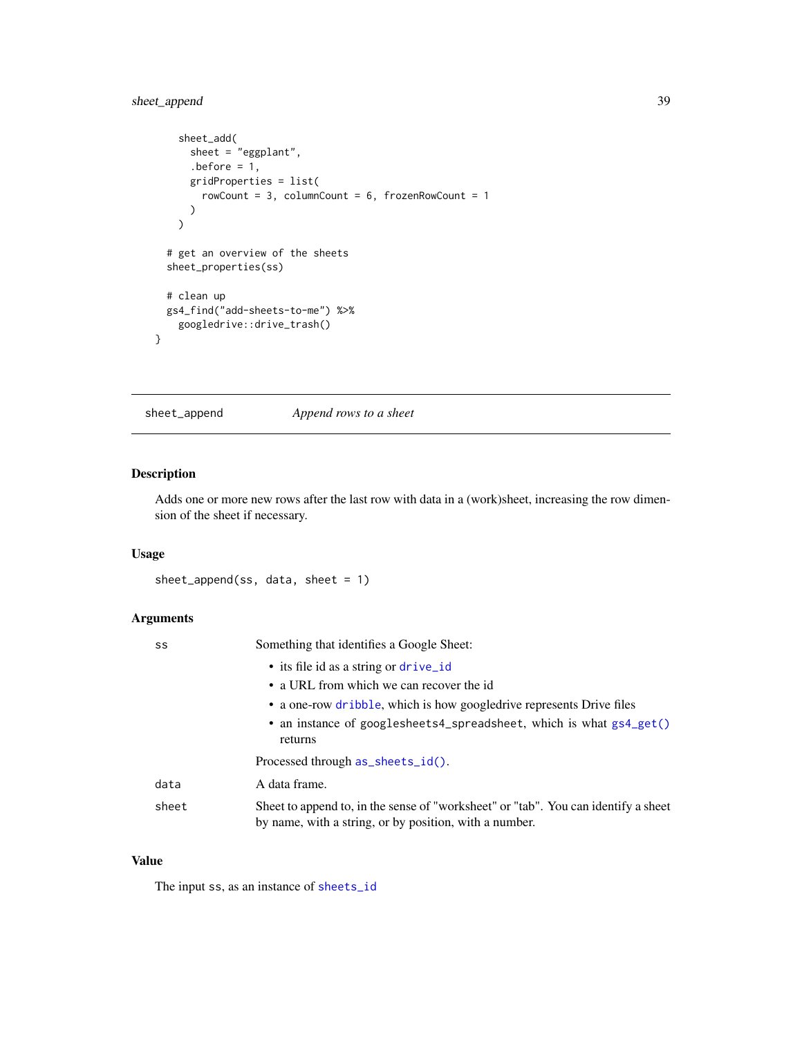## <span id="page-38-0"></span>sheet\_append 39

```
sheet_add(
      sheet = "eggplant",
      before = 1,
      gridProperties = list(
        rowCount = 3, columnCount = 6, frozenRowCount = 1\mathcal{L}\overline{\phantom{a}}# get an overview of the sheets
  sheet_properties(ss)
  # clean up
  gs4_find("add-sheets-to-me") %>%
    googledrive::drive_trash()
}
```
<span id="page-38-1"></span>

sheet\_append *Append rows to a sheet*

#### Description

Adds one or more new rows after the last row with data in a (work)sheet, increasing the row dimension of the sheet if necessary.

## Usage

```
sheet_append(ss, data, sheet = 1)
```
## Arguments

| SS    | Something that identifies a Google Sheet:                                                                                                    |
|-------|----------------------------------------------------------------------------------------------------------------------------------------------|
|       | • its file id as a string or drive_id                                                                                                        |
|       | • a URL from which we can recover the id                                                                                                     |
|       | • a one-row dribble, which is how googledrive represents Drive files                                                                         |
|       | • an instance of googlesheets4_spreadsheet, which is what gs4_get()<br>returns                                                               |
|       | Processed through as_sheets_id().                                                                                                            |
| data  | A data frame.                                                                                                                                |
| sheet | Sheet to append to, in the sense of "worksheet" or "tab". You can identify a sheet<br>by name, with a string, or by position, with a number. |

#### Value

The input ss, as an instance of [sheets\\_id](#page-35-2)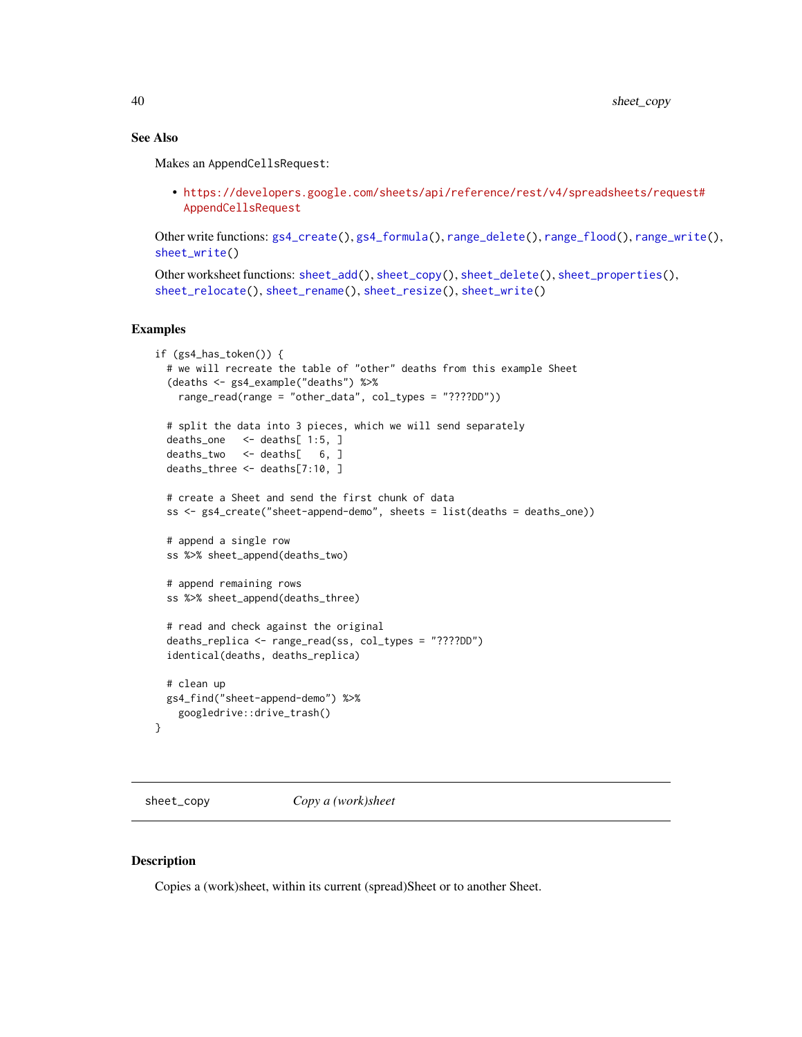## See Also

Makes an AppendCellsRequest:

• [https://developers.google.com/sheets/api/reference/rest/v4/spreadsheets/req](https://developers.google.com/sheets/api/reference/rest/v4/spreadsheets/request#AppendCellsRequest)uest# [AppendCellsRequest](https://developers.google.com/sheets/api/reference/rest/v4/spreadsheets/request#AppendCellsRequest)

Other write functions: [gs4\\_create\(](#page-8-1)), [gs4\\_formula\(](#page-14-1)), [range\\_delete\(](#page-20-1)), [range\\_flood\(](#page-21-1)), [range\\_write\(](#page-30-1)), [sheet\\_write\(](#page-48-1))

```
Other worksheet functions: sheet_add(), sheet_copy(), sheet_delete(), sheet_properties(),
sheet_relocate(), sheet_rename(), sheet_resize(), sheet_write()
```
## Examples

```
if (gs4_has_token()) {
 # we will recreate the table of "other" deaths from this example Sheet
  (deaths <- gs4_example("deaths") %>%
   range_read(range = "other_data", col_types = "????DD"))
 # split the data into 3 pieces, which we will send separately
 deaths_one <- deaths[ 1:5, ]
 deaths_two <- deaths[ 6, ]
 deaths_three <- deaths[7:10, ]
 # create a Sheet and send the first chunk of data
 ss <- gs4_create("sheet-append-demo", sheets = list(deaths = deaths_one))
 # append a single row
 ss %>% sheet_append(deaths_two)
 # append remaining rows
 ss %>% sheet_append(deaths_three)
 # read and check against the original
 deaths_replica <- range_read(ss, col_types = "????DD")
 identical(deaths, deaths_replica)
 # clean up
 gs4_find("sheet-append-demo") %>%
    googledrive::drive_trash()
}
```
<span id="page-39-1"></span>sheet\_copy *Copy a (work)sheet*

#### Description

Copies a (work)sheet, within its current (spread)Sheet or to another Sheet.

<span id="page-39-0"></span>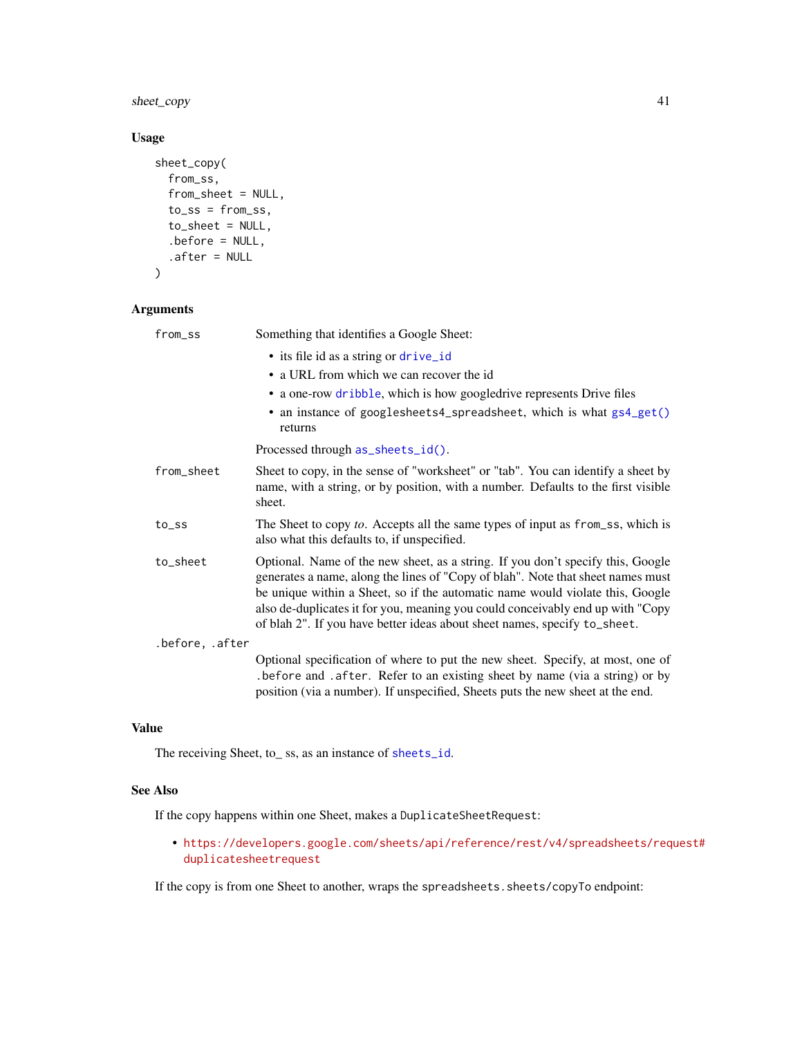<span id="page-40-0"></span>sheet\_copy 41

## Usage

```
sheet_copy(
 from_ss,
 from_sheet = NULL,
 toss = fromss,to_sheet = NULL,
  .before = NULL,
  .after = NULL
\mathcal{L}
```
## Arguments

| from_ss         | Something that identifies a Google Sheet:<br>• its file id as a string or drive_id<br>• a URL from which we can recover the id<br>• a one-row dribble, which is how googledrive represents Drive files<br>• an instance of googlesheets4_spreadsheet, which is what gs4_get()<br>returns                                                                                                                           |
|-----------------|--------------------------------------------------------------------------------------------------------------------------------------------------------------------------------------------------------------------------------------------------------------------------------------------------------------------------------------------------------------------------------------------------------------------|
|                 | Processed through as_sheets_id().                                                                                                                                                                                                                                                                                                                                                                                  |
| from_sheet      | Sheet to copy, in the sense of "worksheet" or "tab". You can identify a sheet by<br>name, with a string, or by position, with a number. Defaults to the first visible<br>sheet.                                                                                                                                                                                                                                    |
| to_ss           | The Sheet to copy to. Accepts all the same types of input as from_ss, which is<br>also what this defaults to, if unspecified.                                                                                                                                                                                                                                                                                      |
| to_sheet        | Optional. Name of the new sheet, as a string. If you don't specify this, Google<br>generates a name, along the lines of "Copy of blah". Note that sheet names must<br>be unique within a Sheet, so if the automatic name would violate this, Google<br>also de-duplicates it for you, meaning you could conceivably end up with "Copy<br>of blah 2". If you have better ideas about sheet names, specify to_sheet. |
| .before, .after |                                                                                                                                                                                                                                                                                                                                                                                                                    |
|                 | Optional specification of where to put the new sheet. Specify, at most, one of<br>.before and .after. Refer to an existing sheet by name (via a string) or by<br>position (via a number). If unspecified, Sheets puts the new sheet at the end.                                                                                                                                                                    |

## Value

The receiving Sheet, to\_ ss, as an instance of [sheets\\_id](#page-35-2).

#### See Also

If the copy happens within one Sheet, makes a DuplicateSheetRequest:

• [https://developers.google.com/sheets/api/reference/rest/v4/spreadsheets/req](https://developers.google.com/sheets/api/reference/rest/v4/spreadsheets/request#duplicatesheetrequest)uest# [duplicatesheetrequest](https://developers.google.com/sheets/api/reference/rest/v4/spreadsheets/request#duplicatesheetrequest)

If the copy is from one Sheet to another, wraps the spreadsheets.sheets/copyTo endpoint: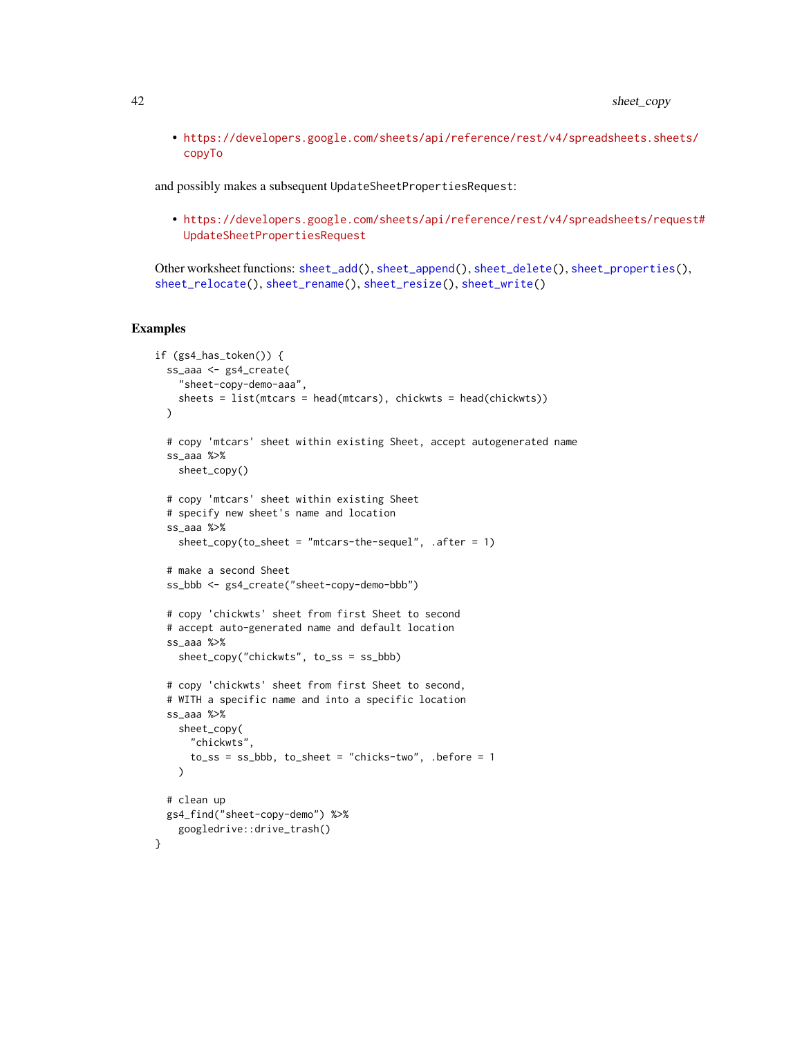• [https://developers.google.com/sheets/api/reference/rest/v4/spreadsheets.she](https://developers.google.com/sheets/api/reference/rest/v4/spreadsheets.sheets/copyTo)ets/ [copyTo](https://developers.google.com/sheets/api/reference/rest/v4/spreadsheets.sheets/copyTo)

and possibly makes a subsequent UpdateSheetPropertiesRequest:

• [https://developers.google.com/sheets/api/reference/rest/v4/spreadsheets/req](https://developers.google.com/sheets/api/reference/rest/v4/spreadsheets/request#UpdateSheetPropertiesRequest)uest# [UpdateSheetPropertiesRequest](https://developers.google.com/sheets/api/reference/rest/v4/spreadsheets/request#UpdateSheetPropertiesRequest)

Other worksheet functions: [sheet\\_add\(](#page-36-1)), [sheet\\_append\(](#page-38-1)), [sheet\\_delete\(](#page-42-1)), [sheet\\_properties\(](#page-43-1)), [sheet\\_relocate\(](#page-44-1)), [sheet\\_rename\(](#page-46-1)), [sheet\\_resize\(](#page-47-1)), [sheet\\_write\(](#page-48-1))

```
if (gs4_has_token()) {
 ss_aaa <- gs4_create(
   "sheet-copy-demo-aaa",
   sheets = list(mtcars = head(mtcars), chickwts = head(chickwts))
 \lambda# copy 'mtcars' sheet within existing Sheet, accept autogenerated name
 ss_aaa %>%
   sheet_copy()
 # copy 'mtcars' sheet within existing Sheet
 # specify new sheet's name and location
 ss_aaa %>%
   sheet_copy(to_sheet = "mtcars-the-sequel", after = 1)
 # make a second Sheet
 ss_bbb <- gs4_create("sheet-copy-demo-bbb")
 # copy 'chickwts' sheet from first Sheet to second
 # accept auto-generated name and default location
 ss_aaa %>%
    sheet_copy("chickwts", to_ss = ss_bbb)
 # copy 'chickwts' sheet from first Sheet to second,
 # WITH a specific name and into a specific location
 ss_aaa %>%
   sheet_copy(
      "chickwts",
      to<sub>_SS</sub> = ss_bbb, to_sheet = "chicks-two", .before = 1
   )
 # clean up
 gs4_find("sheet-copy-demo") %>%
   googledrive::drive_trash()
}
```
<span id="page-41-0"></span>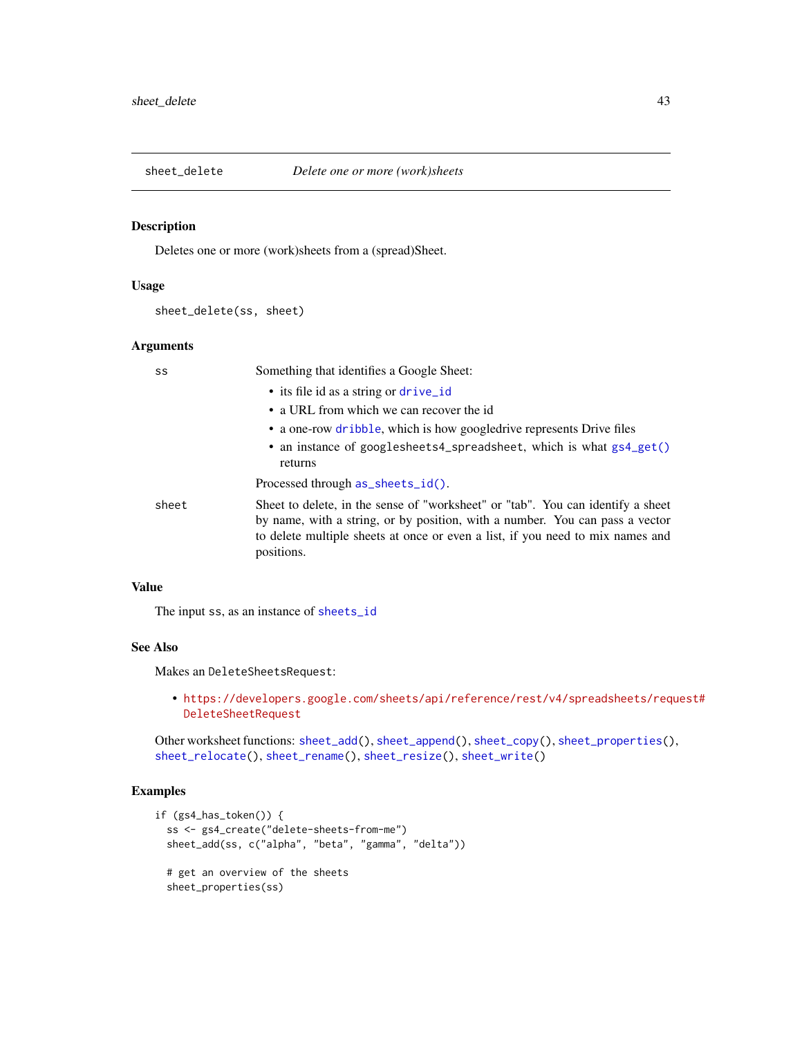<span id="page-42-1"></span><span id="page-42-0"></span>

#### Description

Deletes one or more (work)sheets from a (spread)Sheet.

## Usage

```
sheet_delete(ss, sheet)
```
## Arguments

| SS    | Something that identifies a Google Sheet:                                                                                                                                                                                                                       |
|-------|-----------------------------------------------------------------------------------------------------------------------------------------------------------------------------------------------------------------------------------------------------------------|
|       | • its file id as a string or drive_id                                                                                                                                                                                                                           |
|       | • a URL from which we can recover the id                                                                                                                                                                                                                        |
|       | • a one-row dribble, which is how googledrive represents Drive files                                                                                                                                                                                            |
|       | • an instance of googlesheets4_spreadsheet, which is what gs4_get()<br>returns                                                                                                                                                                                  |
|       | Processed through as_sheets_id().                                                                                                                                                                                                                               |
| sheet | Sheet to delete, in the sense of "worksheet" or "tab". You can identify a sheet<br>by name, with a string, or by position, with a number. You can pass a vector<br>to delete multiple sheets at once or even a list, if you need to mix names and<br>positions. |

## Value

The input ss, as an instance of [sheets\\_id](#page-35-2)

#### See Also

Makes an DeleteSheetsRequest:

• [https://developers.google.com/sheets/api/reference/rest/v4/spreadsheets/req](https://developers.google.com/sheets/api/reference/rest/v4/spreadsheets/request#DeleteSheetRequest)uest# [DeleteSheetRequest](https://developers.google.com/sheets/api/reference/rest/v4/spreadsheets/request#DeleteSheetRequest)

Other worksheet functions: [sheet\\_add\(](#page-36-1)), [sheet\\_append\(](#page-38-1)), [sheet\\_copy\(](#page-39-1)), [sheet\\_properties\(](#page-43-1)), [sheet\\_relocate\(](#page-44-1)), [sheet\\_rename\(](#page-46-1)), [sheet\\_resize\(](#page-47-1)), [sheet\\_write\(](#page-48-1))

```
if (gs4_has_token()) {
 ss <- gs4_create("delete-sheets-from-me")
 sheet_add(ss, c("alpha", "beta", "gamma", "delta"))
 # get an overview of the sheets
 sheet_properties(ss)
```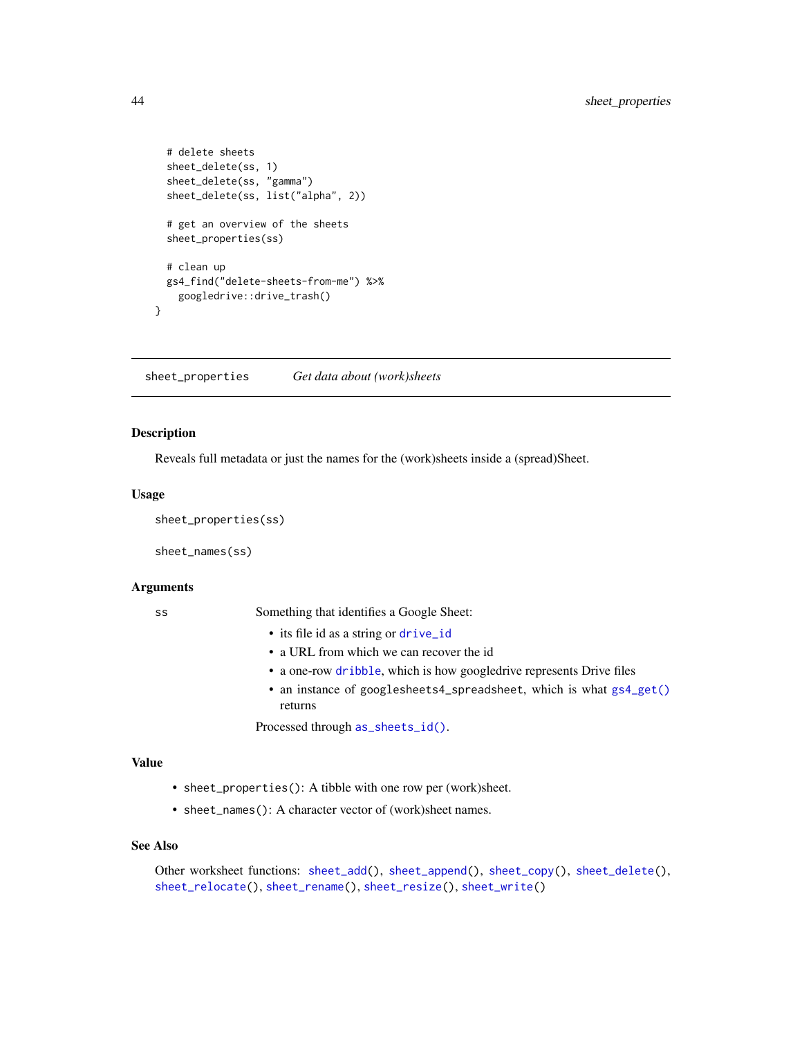```
# delete sheets
 sheet_delete(ss, 1)
 sheet_delete(ss, "gamma")
 sheet_delete(ss, list("alpha", 2))
 # get an overview of the sheets
 sheet_properties(ss)
 # clean up
 gs4_find("delete-sheets-from-me") %>%
    googledrive::drive_trash()
}
```
<span id="page-43-1"></span>sheet\_properties *Get data about (work)sheets*

## Description

Reveals full metadata or just the names for the (work)sheets inside a (spread)Sheet.

#### Usage

sheet\_properties(ss)

sheet\_names(ss)

#### Arguments

ss Something that identifies a Google Sheet:

- its file id as a string or [drive\\_id](#page-0-0)
- a URL from which we can recover the id
- a one-row [dribble](#page-0-0), which is how googledrive represents Drive files
- an instance of googlesheets4\_spreadsheet, which is what [gs4\\_get\(\)](#page-15-1) returns

Processed through [as\\_sheets\\_id\(\)](#page-35-1).

#### Value

- sheet\_properties(): A tibble with one row per (work)sheet.
- sheet\_names(): A character vector of (work)sheet names.

#### See Also

Other worksheet functions: [sheet\\_add\(](#page-36-1)), [sheet\\_append\(](#page-38-1)), [sheet\\_copy\(](#page-39-1)), [sheet\\_delete\(](#page-42-1)), [sheet\\_relocate\(](#page-44-1)), [sheet\\_rename\(](#page-46-1)), [sheet\\_resize\(](#page-47-1)), [sheet\\_write\(](#page-48-1))

<span id="page-43-0"></span>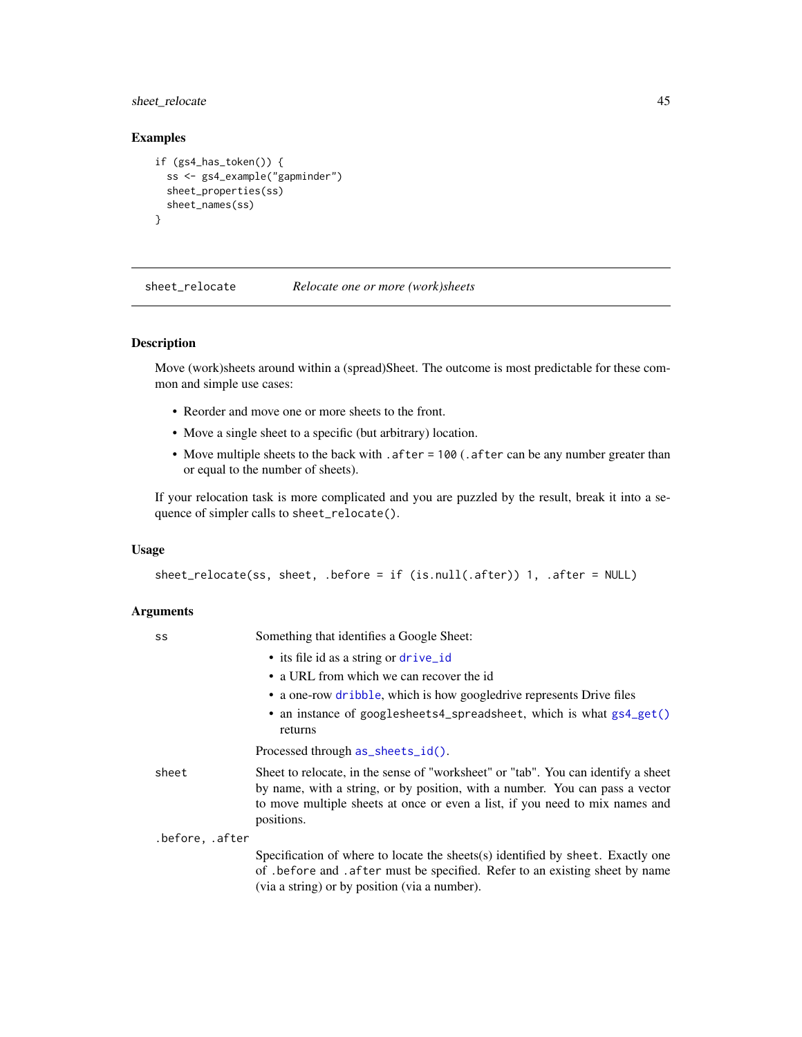<span id="page-44-0"></span>sheet\_relocate 45

## Examples

```
if (gs4_has_token()) {
  ss <- gs4_example("gapminder")
  sheet_properties(ss)
  sheet_names(ss)
}
```
<span id="page-44-1"></span>sheet\_relocate *Relocate one or more (work)sheets*

#### Description

Move (work)sheets around within a (spread)Sheet. The outcome is most predictable for these common and simple use cases:

- Reorder and move one or more sheets to the front.
- Move a single sheet to a specific (but arbitrary) location.
- Move multiple sheets to the back with . after = 100 (. after can be any number greater than or equal to the number of sheets).

If your relocation task is more complicated and you are puzzled by the result, break it into a sequence of simpler calls to sheet\_relocate().

#### Usage

```
sheet_relocate(ss, sheet, .before = if (is.null(.after)) 1, .after = NULL)
```
#### Arguments

| SS              | Something that identifies a Google Sheet:                                                                                                                                                                                                                       |
|-----------------|-----------------------------------------------------------------------------------------------------------------------------------------------------------------------------------------------------------------------------------------------------------------|
|                 | • its file id as a string or drive_id                                                                                                                                                                                                                           |
|                 | • a URL from which we can recover the id                                                                                                                                                                                                                        |
|                 | • a one-row dribble, which is how googledrive represents Drive files                                                                                                                                                                                            |
|                 | • an instance of googlesheets4_spreadsheet, which is what gs4_get()<br>returns                                                                                                                                                                                  |
|                 | Processed through as_sheets_id().                                                                                                                                                                                                                               |
| sheet           | Sheet to relocate, in the sense of "worksheet" or "tab". You can identify a sheet<br>by name, with a string, or by position, with a number. You can pass a vector<br>to move multiple sheets at once or even a list, if you need to mix names and<br>positions. |
| .before, .after |                                                                                                                                                                                                                                                                 |
|                 | Specification of where to locate the sheets(s) identified by sheet. Exactly one<br>of before and after must be specified. Refer to an existing sheet by name<br>(via a string) or by position (via a number).                                                   |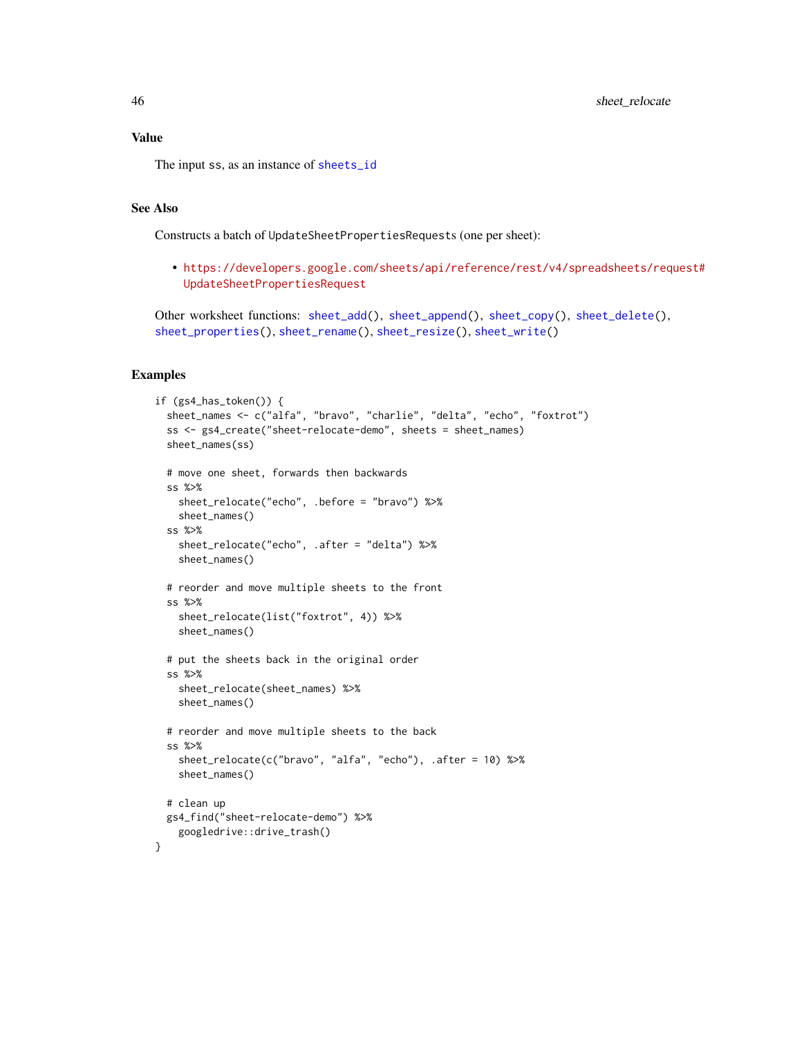#### Value

The input ss, as an instance of [sheets\\_id](#page-35-2)

## See Also

Constructs a batch of UpdateSheetPropertiesRequests (one per sheet):

• [https://developers.google.com/sheets/api/reference/rest/v4/spreadsheets/req](https://developers.google.com/sheets/api/reference/rest/v4/spreadsheets/request#UpdateSheetPropertiesRequest)uest# [UpdateSheetPropertiesRequest](https://developers.google.com/sheets/api/reference/rest/v4/spreadsheets/request#UpdateSheetPropertiesRequest)

```
Other worksheet functions: sheet_add(), sheet_append(), sheet_copy(), sheet_delete(),
sheet_properties(), sheet_rename(), sheet_resize(), sheet_write()
```

```
if (gs4_has_token()) {
 sheet_names <- c("alfa", "bravo", "charlie", "delta", "echo", "foxtrot")
 ss <- gs4_create("sheet-relocate-demo", sheets = sheet_names)
 sheet_names(ss)
 # move one sheet, forwards then backwards
 ss %>%
   sheet_relocate("echo", .before = "bravo") %>%
   sheet_names()
 ss %>%
    sheet_relocate("echo", .after = "delta") %>%
   sheet_names()
 # reorder and move multiple sheets to the front
 ss %>%
   sheet_relocate(list("foxtrot", 4)) %>%
   sheet_names()
 # put the sheets back in the original order
 ss %>%
   sheet_relocate(sheet_names) %>%
   sheet_names()
 # reorder and move multiple sheets to the back
 ss %>%
   sheet_relocate(c("bravo", "alfa", "echo"), .after = 10) %>%
   sheet_names()
 # clean up
 gs4_find("sheet-relocate-demo") %>%
   googledrive::drive_trash()
}
```
<span id="page-45-0"></span>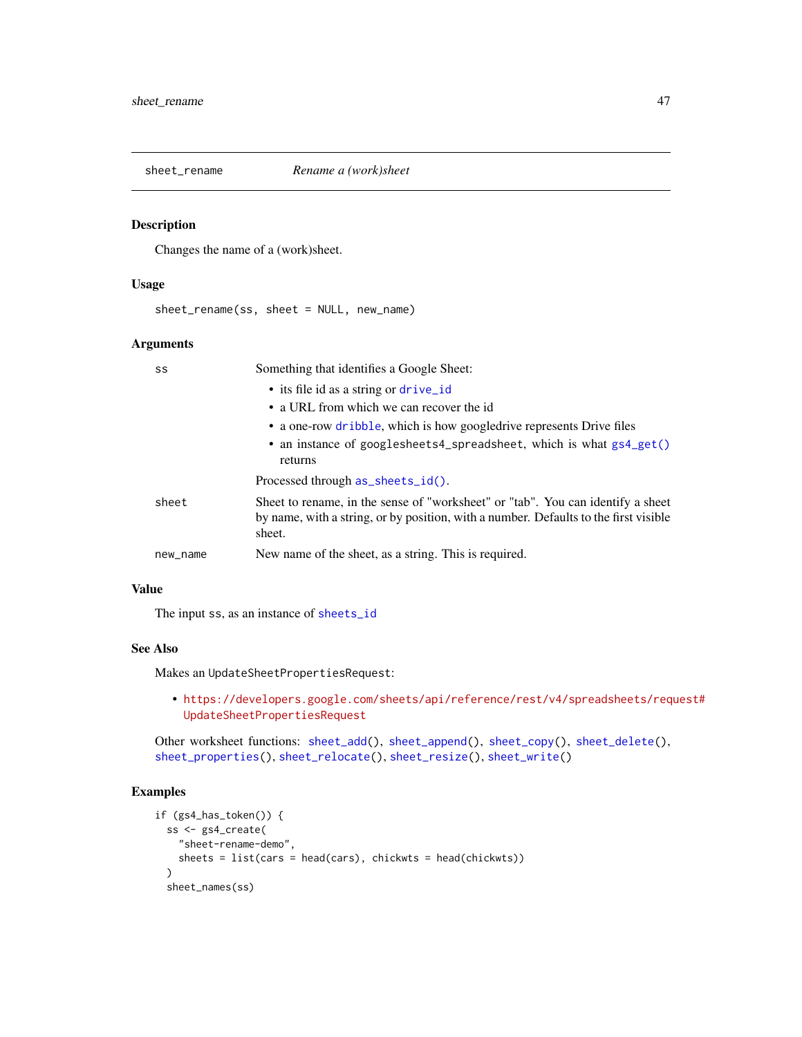<span id="page-46-1"></span><span id="page-46-0"></span>

## Description

Changes the name of a (work)sheet.

#### Usage

sheet\_rename(ss, sheet = NULL, new\_name)

## Arguments

| SS       | Something that identifies a Google Sheet:                                                                                                                                         |
|----------|-----------------------------------------------------------------------------------------------------------------------------------------------------------------------------------|
|          | • its file id as a string or drive_id                                                                                                                                             |
|          | • a URL from which we can recover the id                                                                                                                                          |
|          | • a one-row dribble, which is how googledrive represents Drive files                                                                                                              |
|          | • an instance of googlesheets4_spreadsheet, which is what gs4_get()<br>returns                                                                                                    |
|          | Processed through as_sheets_id().                                                                                                                                                 |
| sheet    | Sheet to rename, in the sense of "worksheet" or "tab". You can identify a sheet<br>by name, with a string, or by position, with a number. Defaults to the first visible<br>sheet. |
| new_name | New name of the sheet, as a string. This is required.                                                                                                                             |

## Value

The input ss, as an instance of [sheets\\_id](#page-35-2)

## See Also

Makes an UpdateSheetPropertiesRequest:

• [https://developers.google.com/sheets/api/reference/rest/v4/spreadsheets/req](https://developers.google.com/sheets/api/reference/rest/v4/spreadsheets/request#UpdateSheetPropertiesRequest)uest# [UpdateSheetPropertiesRequest](https://developers.google.com/sheets/api/reference/rest/v4/spreadsheets/request#UpdateSheetPropertiesRequest)

Other worksheet functions: [sheet\\_add\(](#page-36-1)), [sheet\\_append\(](#page-38-1)), [sheet\\_copy\(](#page-39-1)), [sheet\\_delete\(](#page-42-1)), [sheet\\_properties\(](#page-43-1)), [sheet\\_relocate\(](#page-44-1)), [sheet\\_resize\(](#page-47-1)), [sheet\\_write\(](#page-48-1))

```
if (gs4_has_token()) {
 ss <- gs4_create(
    "sheet-rename-demo",
   sheets = list(cars = head(cars), chickwts = head(chickwts))
 \lambdasheet_names(ss)
```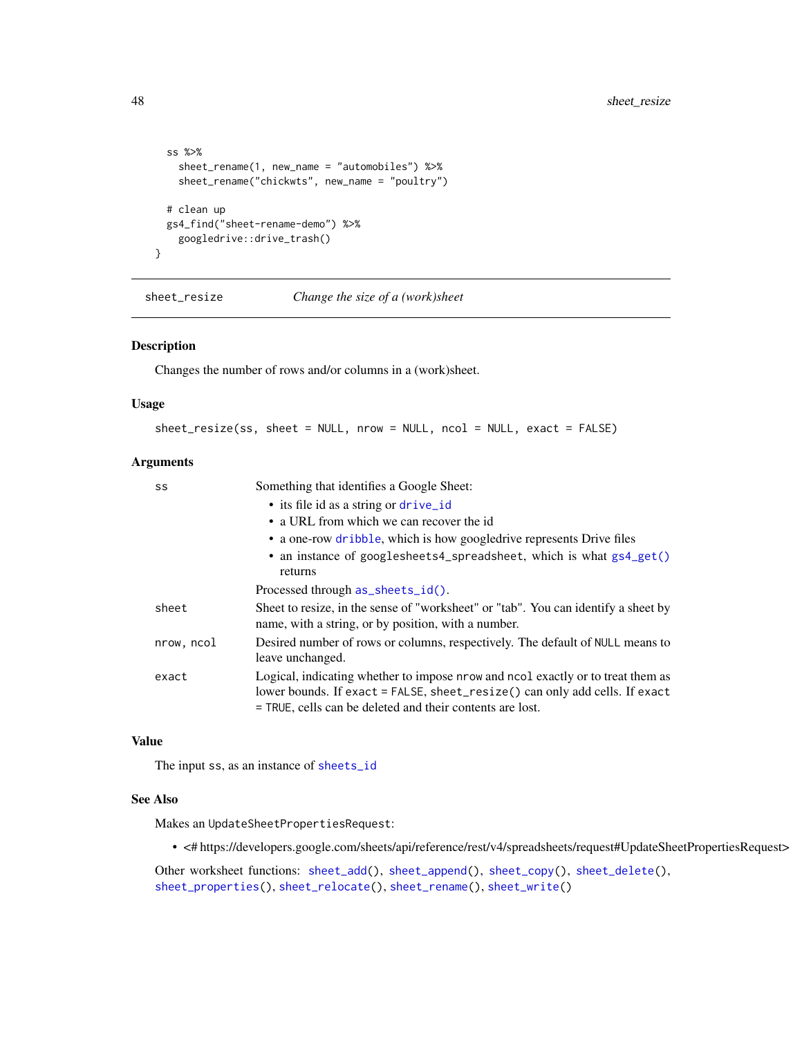```
ss %>%
   sheet_rename(1, new_name = "automobiles") %>%
   sheet_rename("chickwts", new_name = "poultry")
 # clean up
 gs4_find("sheet-rename-demo") %>%
   googledrive::drive_trash()
}
```
<span id="page-47-1"></span>sheet\_resize *Change the size of a (work)sheet*

## Description

Changes the number of rows and/or columns in a (work)sheet.

#### Usage

sheet\_resize(ss, sheet = NULL, nrow = NULL, ncol = NULL, exact = FALSE)

#### Arguments

| SS         | Something that identifies a Google Sheet:                                                                                                                                                                                   |
|------------|-----------------------------------------------------------------------------------------------------------------------------------------------------------------------------------------------------------------------------|
|            | • its file id as a string or drive_id                                                                                                                                                                                       |
|            | • a URL from which we can recover the id                                                                                                                                                                                    |
|            | • a one-row dribble, which is how googledrive represents Drive files                                                                                                                                                        |
|            | • an instance of googlesheets4_spreadsheet, which is what gs4_get()<br>returns                                                                                                                                              |
|            | Processed through as_sheets_id().                                                                                                                                                                                           |
| sheet      | Sheet to resize, in the sense of "worksheet" or "tab". You can identify a sheet by<br>name, with a string, or by position, with a number.                                                                                   |
| nrow, ncol | Desired number of rows or columns, respectively. The default of NULL means to<br>leave unchanged.                                                                                                                           |
| exact      | Logical, indicating whether to impose nrow and nool exactly or to treat them as<br>lower bounds. If exact = FALSE, sheet_resize() can only add cells. If exact<br>= TRUE, cells can be deleted and their contents are lost. |

## Value

The input ss, as an instance of [sheets\\_id](#page-35-2)

## See Also

Makes an UpdateSheetPropertiesRequest:

• <# https://developers.google.com/sheets/api/reference/rest/v4/spreadsheets/request#UpdateSheetPropertiesRequest>

Other worksheet functions: [sheet\\_add\(](#page-36-1)), [sheet\\_append\(](#page-38-1)), [sheet\\_copy\(](#page-39-1)), [sheet\\_delete\(](#page-42-1)), [sheet\\_properties\(](#page-43-1)), [sheet\\_relocate\(](#page-44-1)), [sheet\\_rename\(](#page-46-1)), [sheet\\_write\(](#page-48-1))

<span id="page-47-0"></span>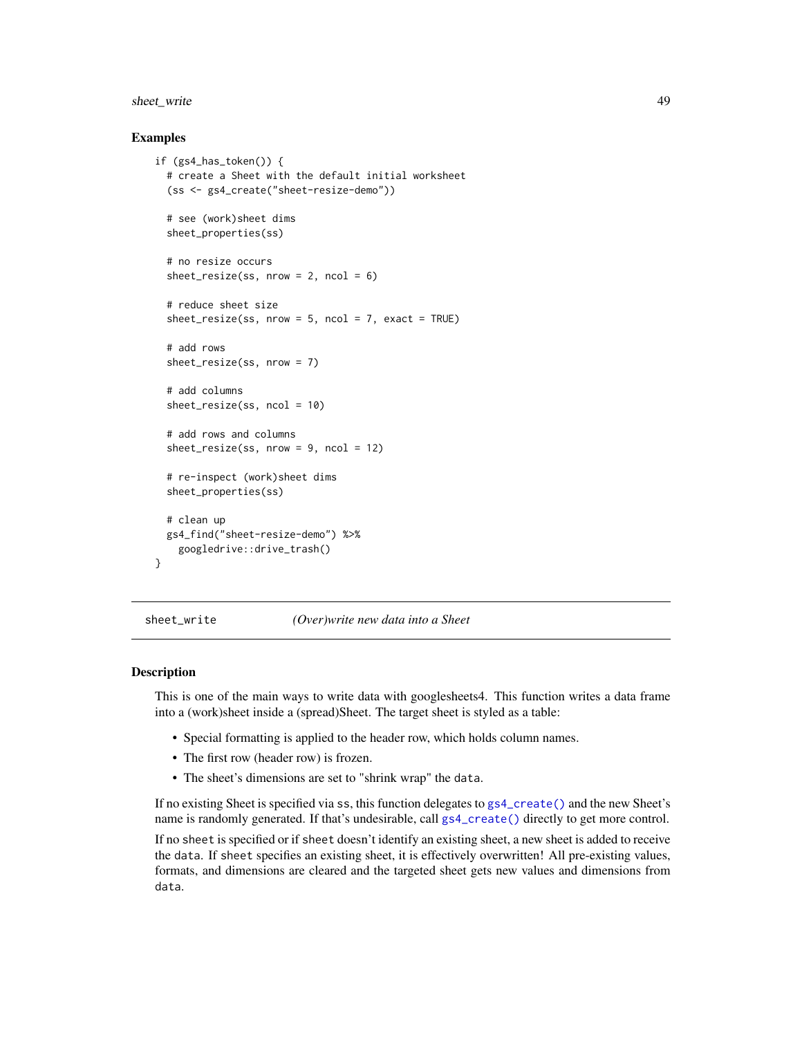## <span id="page-48-0"></span>sheet\_write 49

#### Examples

```
if (gs4_has_token()) {
 # create a Sheet with the default initial worksheet
  (ss <- gs4_create("sheet-resize-demo"))
 # see (work)sheet dims
 sheet_properties(ss)
 # no resize occurs
 sheet_resize(ss, nrow = 2, ncol = 6)
 # reduce sheet size
 sheet\_resize(ss, nrow = 5, ncol = 7, exact = TRUE)# add rows
 sheet_resize(ss, nrow = 7)
 # add columns
 sheet_resize(ss, ncol = 10)
 # add rows and columns
 sheet\_resize(ss, nrow = 9, ncol = 12)# re-inspect (work)sheet dims
 sheet_properties(ss)
 # clean up
 gs4_find("sheet-resize-demo") %>%
    googledrive::drive_trash()
}
```
<span id="page-48-1"></span>sheet\_write *(Over)write new data into a Sheet*

#### <span id="page-48-2"></span>Description

This is one of the main ways to write data with googlesheets4. This function writes a data frame into a (work)sheet inside a (spread)Sheet. The target sheet is styled as a table:

- Special formatting is applied to the header row, which holds column names.
- The first row (header row) is frozen.
- The sheet's dimensions are set to "shrink wrap" the data.

If no existing Sheet is specified via ss, this function delegates to [gs4\\_create\(\)](#page-8-1) and the new Sheet's name is randomly generated. If that's undesirable, call [gs4\\_create\(\)](#page-8-1) directly to get more control.

If no sheet is specified or if sheet doesn't identify an existing sheet, a new sheet is added to receive the data. If sheet specifies an existing sheet, it is effectively overwritten! All pre-existing values, formats, and dimensions are cleared and the targeted sheet gets new values and dimensions from data.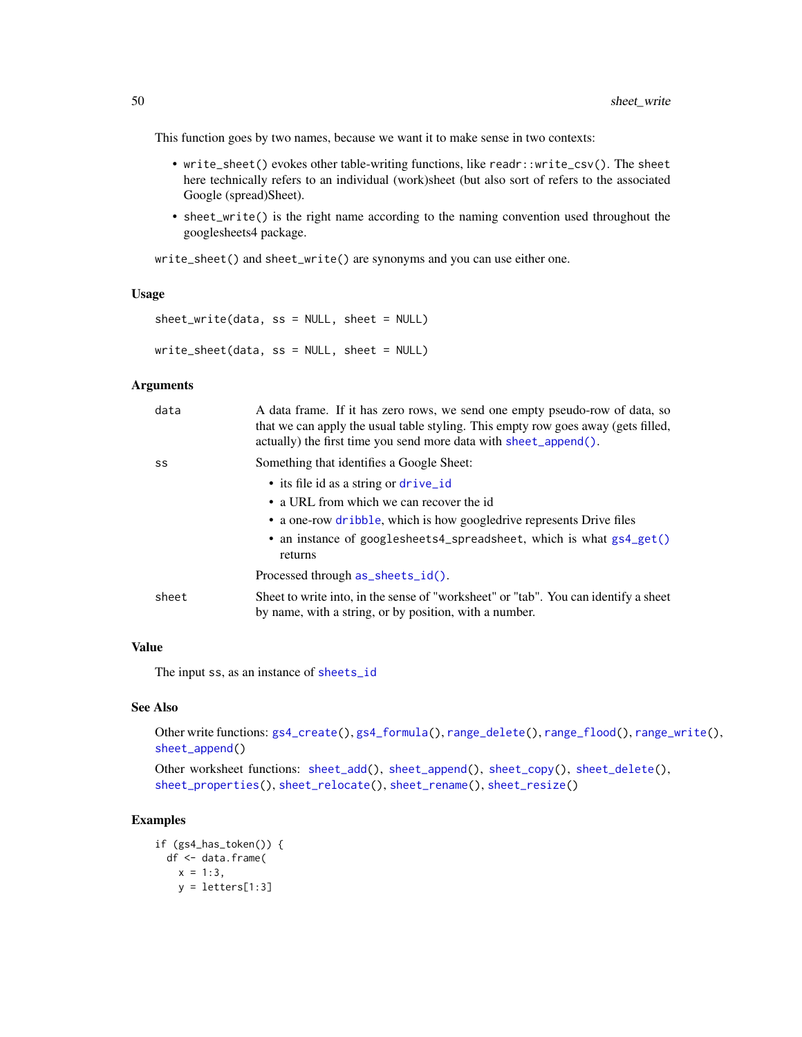This function goes by two names, because we want it to make sense in two contexts:

- write\_sheet() evokes other table-writing functions, like readr::write\_csv(). The sheet here technically refers to an individual (work)sheet (but also sort of refers to the associated Google (spread)Sheet).
- sheet\_write() is the right name according to the naming convention used throughout the googlesheets4 package.

write\_sheet() and sheet\_write() are synonyms and you can use either one.

#### Usage

```
sheet_write(data, ss = NULL, sheet = NULL)
write_sheet(data, ss = NULL, sheet = NULL)
```
#### Arguments

| data  | A data frame. If it has zero rows, we send one empty pseudo-row of data, so<br>that we can apply the usual table styling. This empty row goes away (gets filled,<br>actually) the first time you send more data with sheet_append(). |
|-------|--------------------------------------------------------------------------------------------------------------------------------------------------------------------------------------------------------------------------------------|
| SS    | Something that identifies a Google Sheet:                                                                                                                                                                                            |
|       | • its file id as a string or drive id                                                                                                                                                                                                |
|       | • a URL from which we can recover the id                                                                                                                                                                                             |
|       | • a one-row dribble, which is how googledrive represents Drive files                                                                                                                                                                 |
|       | • an instance of googlesheets4_spreadsheet, which is what $gs4\_get()$<br>returns                                                                                                                                                    |
|       | Processed through as_sheets_id().                                                                                                                                                                                                    |
| sheet | Sheet to write into, in the sense of "worksheet" or "tab". You can identify a sheet<br>by name, with a string, or by position, with a number.                                                                                        |

## Value

The input ss, as an instance of [sheets\\_id](#page-35-2)

#### See Also

Other write functions: [gs4\\_create\(](#page-8-1)), [gs4\\_formula\(](#page-14-1)), [range\\_delete\(](#page-20-1)), [range\\_flood\(](#page-21-1)), [range\\_write\(](#page-30-1)), [sheet\\_append\(](#page-38-1))

```
sheet_add(sheet_append(sheet_copy(sheet_delete(),
sheet_properties(), sheet_relocate(), sheet_rename(), sheet_resize()
```

```
if (gs4_has_token()) {
 df <- data.frame(
   x = 1:3,
   y = letters[1:3]
```
<span id="page-49-0"></span>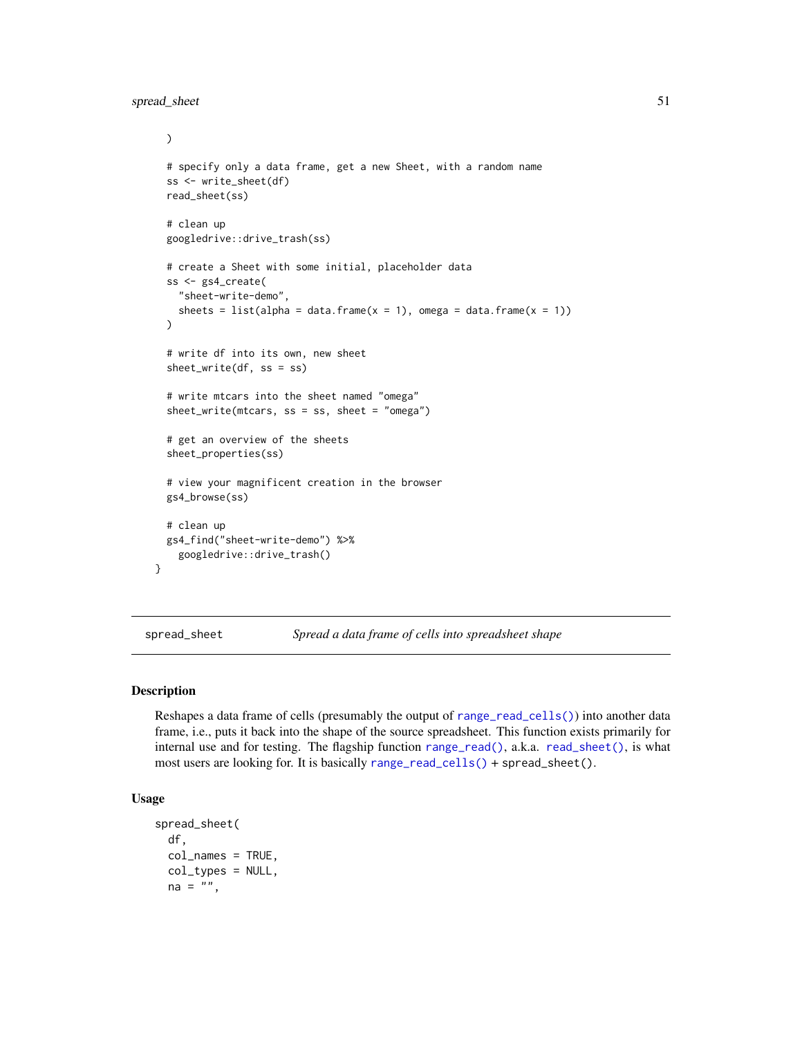```
)
# specify only a data frame, get a new Sheet, with a random name
ss <- write_sheet(df)
read_sheet(ss)
# clean up
googledrive::drive_trash(ss)
# create a Sheet with some initial, placeholder data
ss <- gs4_create(
  "sheet-write-demo",
  sheets = list(alpha = data.frame(x = 1), omega = data.frame(x = 1))
)
# write df into its own, new sheet
sheet_write(df, ss = ss)
# write mtcars into the sheet named "omega"
sheet_write(mtcars, ss = ss, sheet = "omega")
# get an overview of the sheets
sheet_properties(ss)
# view your magnificent creation in the browser
gs4_browse(ss)
# clean up
gs4_find("sheet-write-demo") %>%
  googledrive::drive_trash()
```
<span id="page-50-1"></span>spread\_sheet *Spread a data frame of cells into spreadsheet shape*

#### Description

}

Reshapes a data frame of cells (presumably the output of [range\\_read\\_cells\(\)](#page-26-1)) into another data frame, i.e., puts it back into the shape of the source spreadsheet. This function exists primarily for internal use and for testing. The flagship function [range\\_read\(\)](#page-23-2), a.k.a. [read\\_sheet\(\)](#page-23-1), is what most users are looking for. It is basically [range\\_read\\_cells\(\)](#page-26-1) + spread\_sheet().

## Usage

```
spread_sheet(
  df,
  col_names = TRUE,
  col_types = NULL,
 na = "",
```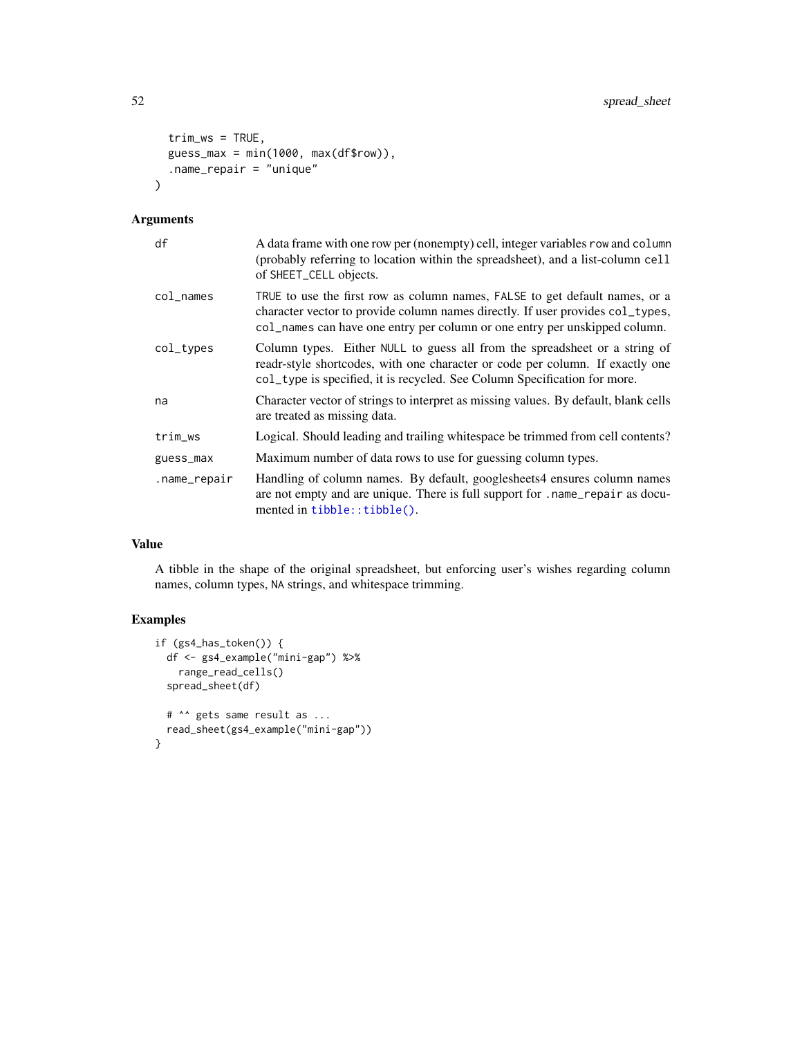```
trim_ws = TRUE,guess_max = min(1000, max(df$row)),.name_repair = "unique"
\mathcal{L}
```
## Arguments

| df              | A data frame with one row per (nonempty) cell, integer variables row and column<br>(probably referring to location within the spreadsheet), and a list-column cell<br>of SHEET_CELL objects.                                                |
|-----------------|---------------------------------------------------------------------------------------------------------------------------------------------------------------------------------------------------------------------------------------------|
| $col$ $\_names$ | TRUE to use the first row as column names, FALSE to get default names, or a<br>character vector to provide column names directly. If user provides col_types,<br>col_names can have one entry per column or one entry per unskipped column. |
| col_types       | Column types. Either NULL to guess all from the spreadsheet or a string of<br>readr-style shortcodes, with one character or code per column. If exactly one<br>col_type is specified, it is recycled. See Column Specification for more.    |
| na              | Character vector of strings to interpret as missing values. By default, blank cells<br>are treated as missing data.                                                                                                                         |
| trim_ws         | Logical. Should leading and trailing white space be trimmed from cell contents?                                                                                                                                                             |
| guess_max       | Maximum number of data rows to use for guessing column types.                                                                                                                                                                               |
| .name_repair    | Handling of column names. By default, googlesheets4 ensures column names<br>are not empty and are unique. There is full support for . name_repair as docu-<br>mented in tibble::tibble().                                                   |

## Value

A tibble in the shape of the original spreadsheet, but enforcing user's wishes regarding column names, column types, NA strings, and whitespace trimming.

```
if (gs4_has_token()) {
 df <- gs4_example("mini-gap") %>%
   range_read_cells()
  spread_sheet(df)
  # ^^ gets same result as ...
  read_sheet(gs4_example("mini-gap"))
}
```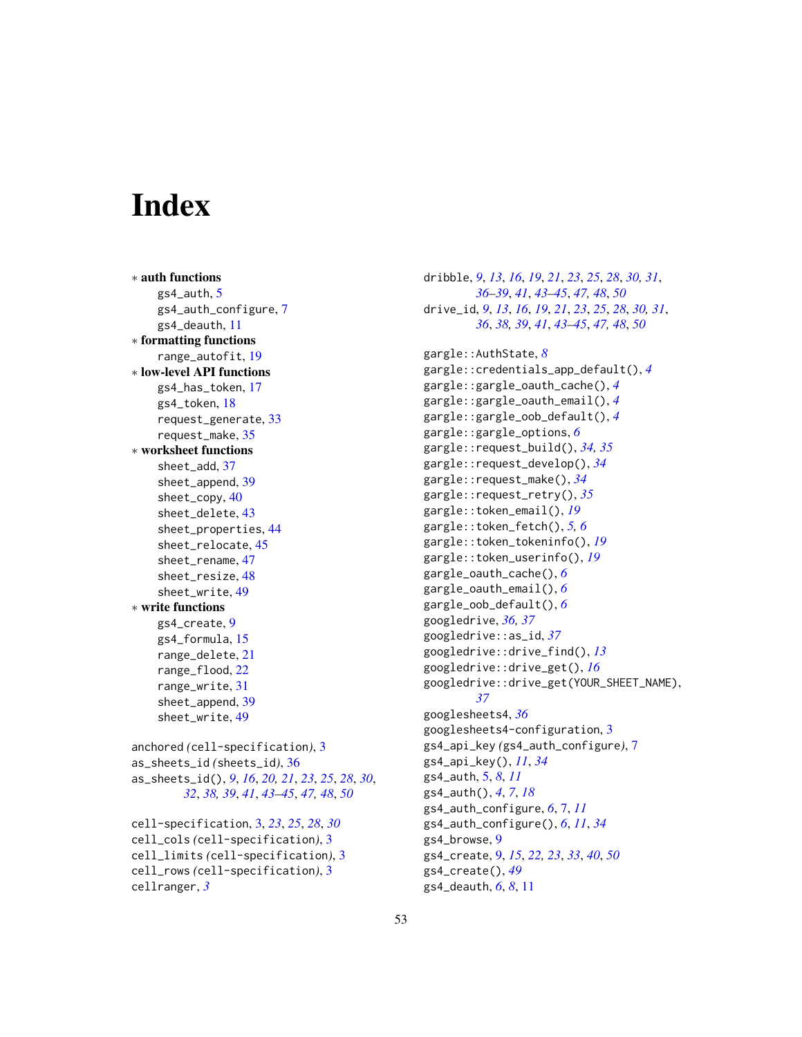# <span id="page-52-0"></span>**Index**

∗ auth functions gs4\_auth, [5](#page-4-0) gs4\_auth\_configure, [7](#page-6-0) gs4\_deauth, [11](#page-10-0) ∗ formatting functions range\_autofit, [19](#page-18-0) ∗ low-level API functions gs4\_has\_token, [17](#page-16-0) gs4\_token, [18](#page-17-0) request\_generate, [33](#page-32-0) request\_make, [35](#page-34-0) ∗ worksheet functions sheet\_add, [37](#page-36-0) sheet\_append, [39](#page-38-0) sheet\_copy, [40](#page-39-0) sheet\_delete, [43](#page-42-0) sheet\_properties, [44](#page-43-0) sheet\_relocate, [45](#page-44-0) sheet\_rename, [47](#page-46-0) sheet\_resize, [48](#page-47-0) sheet\_write, [49](#page-48-0) ∗ write functions gs4\_create, [9](#page-8-0) gs4\_formula, [15](#page-14-0) range\_delete, [21](#page-20-0) range\_flood, [22](#page-21-0) range\_write, [31](#page-30-0) sheet\_append, [39](#page-38-0) sheet\_write, [49](#page-48-0) anchored *(*cell-specification*)*, [3](#page-2-0) as\_sheets\_id *(*sheets\_id*)*, [36](#page-35-0) as\_sheets\_id(), *[9](#page-8-0)*, *[16](#page-15-0)*, *[20,](#page-19-0) [21](#page-20-0)*, *[23](#page-22-0)*, *[25](#page-24-0)*, *[28](#page-27-0)*, *[30](#page-29-0)*, *[32](#page-31-0)*, *[38,](#page-37-0) [39](#page-38-0)*, *[41](#page-40-0)*, *[43–](#page-42-0)[45](#page-44-0)*, *[47,](#page-46-0) [48](#page-47-0)*, *[50](#page-49-0)* cell-specification, [3,](#page-2-0) *[23](#page-22-0)*, *[25](#page-24-0)*, *[28](#page-27-0)*, *[30](#page-29-0)* cell\_cols *(*cell-specification*)*, [3](#page-2-0) cell\_limits *(*cell-specification*)*, [3](#page-2-0) cell\_rows *(*cell-specification*)*, [3](#page-2-0) cellranger, *[3](#page-2-0)*

dribble, *[9](#page-8-0)*, *[13](#page-12-0)*, *[16](#page-15-0)*, *[19](#page-18-0)*, *[21](#page-20-0)*, *[23](#page-22-0)*, *[25](#page-24-0)*, *[28](#page-27-0)*, *[30,](#page-29-0) [31](#page-30-0)*, *[36](#page-35-0)[–39](#page-38-0)*, *[41](#page-40-0)*, *[43](#page-42-0)[–45](#page-44-0)*, *[47,](#page-46-0) [48](#page-47-0)*, *[50](#page-49-0)* drive\_id, *[9](#page-8-0)*, *[13](#page-12-0)*, *[16](#page-15-0)*, *[19](#page-18-0)*, *[21](#page-20-0)*, *[23](#page-22-0)*, *[25](#page-24-0)*, *[28](#page-27-0)*, *[30,](#page-29-0) [31](#page-30-0)*, *[36](#page-35-0)*, *[38,](#page-37-0) [39](#page-38-0)*, *[41](#page-40-0)*, *[43](#page-42-0)[–45](#page-44-0)*, *[47,](#page-46-0) [48](#page-47-0)*, *[50](#page-49-0)* gargle::AuthState, *[8](#page-7-0)* gargle::credentials\_app\_default(), *[4](#page-3-0)* gargle::gargle\_oauth\_cache(), *[4](#page-3-0)* gargle::gargle\_oauth\_email(), *[4](#page-3-0)* gargle::gargle\_oob\_default(), *[4](#page-3-0)* gargle::gargle\_options, *[6](#page-5-0)* gargle::request\_build(), *[34,](#page-33-0) [35](#page-34-0)* gargle::request\_develop(), *[34](#page-33-0)* gargle::request\_make(), *[34](#page-33-0)* gargle::request\_retry(), *[35](#page-34-0)* gargle::token\_email(), *[19](#page-18-0)* gargle::token\_fetch(), *[5,](#page-4-0) [6](#page-5-0)* gargle::token\_tokeninfo(), *[19](#page-18-0)* gargle::token\_userinfo(), *[19](#page-18-0)* gargle\_oauth\_cache(), *[6](#page-5-0)* gargle\_oauth\_email(), *[6](#page-5-0)* gargle\_oob\_default(), *[6](#page-5-0)* googledrive, *[36,](#page-35-0) [37](#page-36-0)* googledrive::as\_id, *[37](#page-36-0)* googledrive::drive\_find(), *[13](#page-12-0)* googledrive::drive\_get(), *[16](#page-15-0)* googledrive::drive\_get(YOUR\_SHEET\_NAME), *[37](#page-36-0)* googlesheets4, *[36](#page-35-0)* googlesheets4-configuration, [3](#page-2-0) gs4\_api\_key *(*gs4\_auth\_configure*)*, [7](#page-6-0) gs4\_api\_key(), *[11](#page-10-0)*, *[34](#page-33-0)* gs4\_auth, [5,](#page-4-0) *[8](#page-7-0)*, *[11](#page-10-0)* gs4\_auth(), *[4](#page-3-0)*, *[7](#page-6-0)*, *[18](#page-17-0)* gs4\_auth\_configure, *[6](#page-5-0)*, [7,](#page-6-0) *[11](#page-10-0)* gs4\_auth\_configure(), *[6](#page-5-0)*, *[11](#page-10-0)*, *[34](#page-33-0)* gs4\_browse, [9](#page-8-0) gs4\_create, [9,](#page-8-0) *[15](#page-14-0)*, *[22,](#page-21-0) [23](#page-22-0)*, *[33](#page-32-0)*, *[40](#page-39-0)*, *[50](#page-49-0)* gs4\_create(), *[49](#page-48-0)* gs4\_deauth, *[6](#page-5-0)*, *[8](#page-7-0)*, [11](#page-10-0)